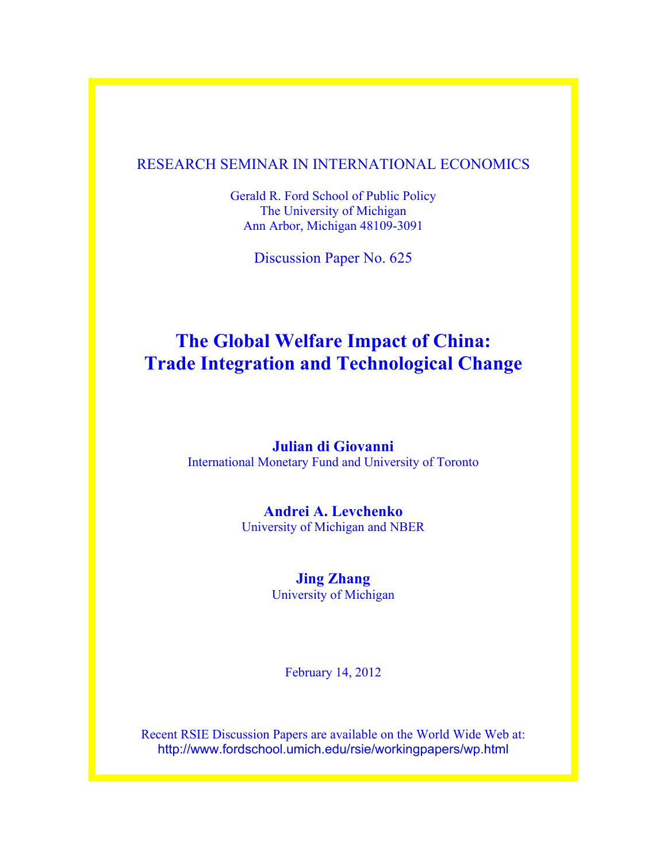### RESEARCH SEMINAR IN INTERNATIONAL ECONOMICS

Gerald R. Ford School of Public Policy The University of Michigan Ann Arbor, Michigan 48109-3091

Discussion Paper No. 625

# **The Global Welfare Impact of China: Trade Integration and Technological Change**

### **Julian di Giovanni**

International Monetary Fund and University of Toronto

## **Andrei A. Levchenko**

University of Michigan and NBER

### **Jing Zhang**

University of Michigan

February 14, 2012

Recent RSIE Discussion Papers are available on the World Wide Web at: http://www.fordschool.umich.edu/rsie/workingpapers/wp.html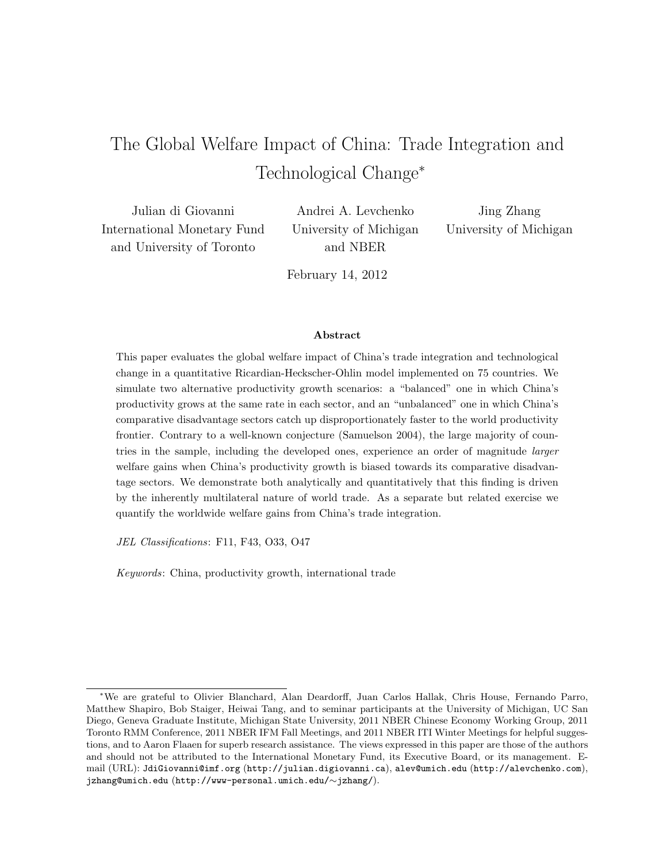# The Global Welfare Impact of China: Trade Integration and Technological Change<sup>∗</sup>

Julian di Giovanni International Monetary Fund and University of Toronto

Andrei A. Levchenko University of Michigan and NBER

Jing Zhang University of Michigan

February 14, 2012

#### Abstract

This paper evaluates the global welfare impact of China's trade integration and technological change in a quantitative Ricardian-Heckscher-Ohlin model implemented on 75 countries. We simulate two alternative productivity growth scenarios: a "balanced" one in which China's productivity grows at the same rate in each sector, and an "unbalanced" one in which China's comparative disadvantage sectors catch up disproportionately faster to the world productivity frontier. Contrary to a well-known conjecture (Samuelson 2004), the large majority of countries in the sample, including the developed ones, experience an order of magnitude larger welfare gains when China's productivity growth is biased towards its comparative disadvantage sectors. We demonstrate both analytically and quantitatively that this finding is driven by the inherently multilateral nature of world trade. As a separate but related exercise we quantify the worldwide welfare gains from China's trade integration.

JEL Classifications: F11, F43, O33, O47

Keywords: China, productivity growth, international trade

<sup>∗</sup>We are grateful to Olivier Blanchard, Alan Deardorff, Juan Carlos Hallak, Chris House, Fernando Parro, Matthew Shapiro, Bob Staiger, Heiwai Tang, and to seminar participants at the University of Michigan, UC San Diego, Geneva Graduate Institute, Michigan State University, 2011 NBER Chinese Economy Working Group, 2011 Toronto RMM Conference, 2011 NBER IFM Fall Meetings, and 2011 NBER ITI Winter Meetings for helpful suggestions, and to Aaron Flaaen for superb research assistance. The views expressed in this paper are those of the authors and should not be attributed to the International Monetary Fund, its Executive Board, or its management. Email (URL): JdiGiovanni@imf.org (http://julian.digiovanni.ca), alev@umich.edu (http://alevchenko.com), jzhang@umich.edu (http://www-personal.umich.edu/∼jzhang/).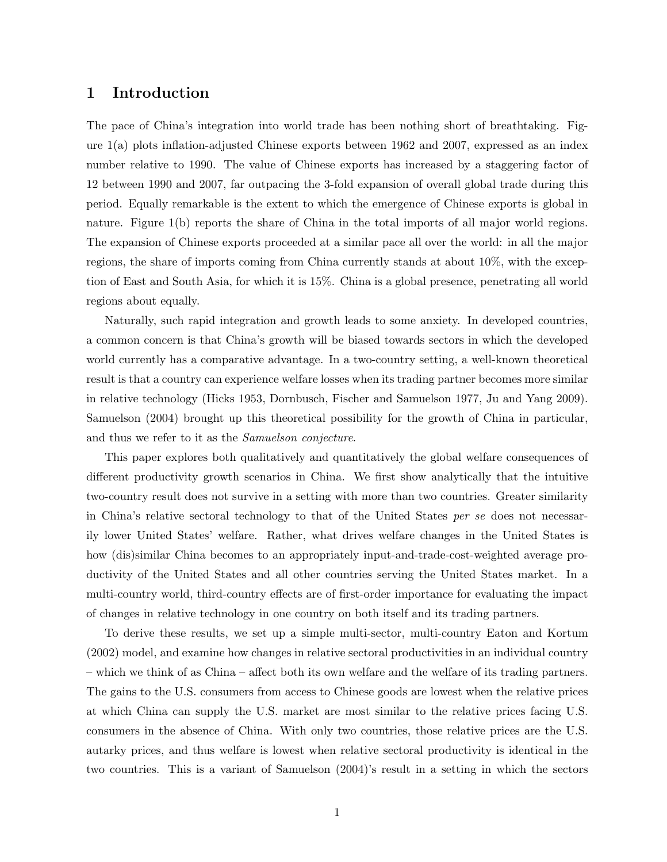### 1 Introduction

The pace of China's integration into world trade has been nothing short of breathtaking. Figure 1(a) plots inflation-adjusted Chinese exports between 1962 and 2007, expressed as an index number relative to 1990. The value of Chinese exports has increased by a staggering factor of 12 between 1990 and 2007, far outpacing the 3-fold expansion of overall global trade during this period. Equally remarkable is the extent to which the emergence of Chinese exports is global in nature. Figure 1(b) reports the share of China in the total imports of all major world regions. The expansion of Chinese exports proceeded at a similar pace all over the world: in all the major regions, the share of imports coming from China currently stands at about 10%, with the exception of East and South Asia, for which it is 15%. China is a global presence, penetrating all world regions about equally.

Naturally, such rapid integration and growth leads to some anxiety. In developed countries, a common concern is that China's growth will be biased towards sectors in which the developed world currently has a comparative advantage. In a two-country setting, a well-known theoretical result is that a country can experience welfare losses when its trading partner becomes more similar in relative technology (Hicks 1953, Dornbusch, Fischer and Samuelson 1977, Ju and Yang 2009). Samuelson (2004) brought up this theoretical possibility for the growth of China in particular, and thus we refer to it as the Samuelson conjecture.

This paper explores both qualitatively and quantitatively the global welfare consequences of different productivity growth scenarios in China. We first show analytically that the intuitive two-country result does not survive in a setting with more than two countries. Greater similarity in China's relative sectoral technology to that of the United States per se does not necessarily lower United States' welfare. Rather, what drives welfare changes in the United States is how (dis)similar China becomes to an appropriately input-and-trade-cost-weighted average productivity of the United States and all other countries serving the United States market. In a multi-country world, third-country effects are of first-order importance for evaluating the impact of changes in relative technology in one country on both itself and its trading partners.

To derive these results, we set up a simple multi-sector, multi-country Eaton and Kortum (2002) model, and examine how changes in relative sectoral productivities in an individual country – which we think of as China – affect both its own welfare and the welfare of its trading partners. The gains to the U.S. consumers from access to Chinese goods are lowest when the relative prices at which China can supply the U.S. market are most similar to the relative prices facing U.S. consumers in the absence of China. With only two countries, those relative prices are the U.S. autarky prices, and thus welfare is lowest when relative sectoral productivity is identical in the two countries. This is a variant of Samuelson (2004)'s result in a setting in which the sectors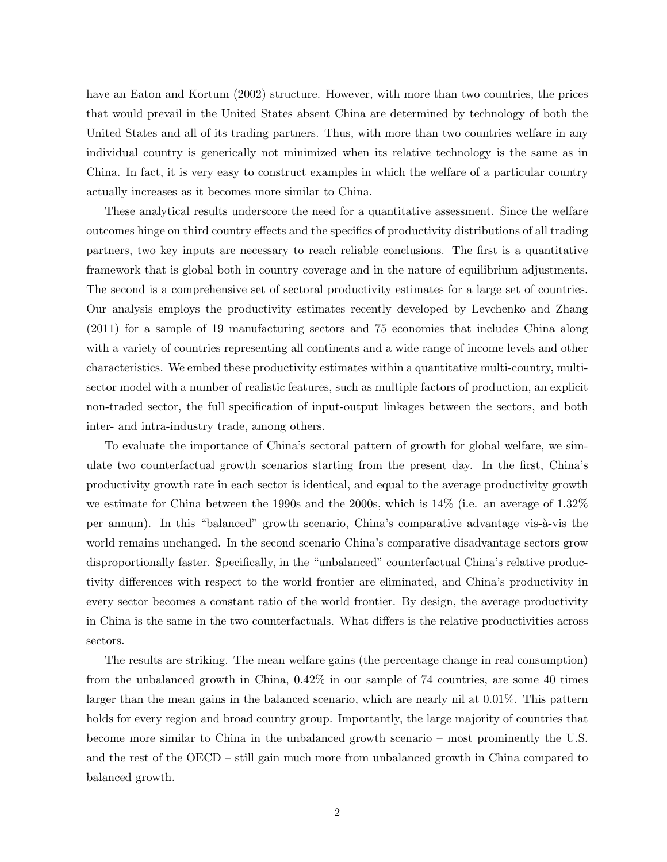have an Eaton and Kortum (2002) structure. However, with more than two countries, the prices that would prevail in the United States absent China are determined by technology of both the United States and all of its trading partners. Thus, with more than two countries welfare in any individual country is generically not minimized when its relative technology is the same as in China. In fact, it is very easy to construct examples in which the welfare of a particular country actually increases as it becomes more similar to China.

These analytical results underscore the need for a quantitative assessment. Since the welfare outcomes hinge on third country effects and the specifics of productivity distributions of all trading partners, two key inputs are necessary to reach reliable conclusions. The first is a quantitative framework that is global both in country coverage and in the nature of equilibrium adjustments. The second is a comprehensive set of sectoral productivity estimates for a large set of countries. Our analysis employs the productivity estimates recently developed by Levchenko and Zhang (2011) for a sample of 19 manufacturing sectors and 75 economies that includes China along with a variety of countries representing all continents and a wide range of income levels and other characteristics. We embed these productivity estimates within a quantitative multi-country, multisector model with a number of realistic features, such as multiple factors of production, an explicit non-traded sector, the full specification of input-output linkages between the sectors, and both inter- and intra-industry trade, among others.

To evaluate the importance of China's sectoral pattern of growth for global welfare, we simulate two counterfactual growth scenarios starting from the present day. In the first, China's productivity growth rate in each sector is identical, and equal to the average productivity growth we estimate for China between the 1990s and the 2000s, which is 14% (i.e. an average of 1.32% per annum). In this "balanced" growth scenario, China's comparative advantage vis- $\grave{a}$ -vis the world remains unchanged. In the second scenario China's comparative disadvantage sectors grow disproportionally faster. Specifically, in the "unbalanced" counterfactual China's relative productivity differences with respect to the world frontier are eliminated, and China's productivity in every sector becomes a constant ratio of the world frontier. By design, the average productivity in China is the same in the two counterfactuals. What differs is the relative productivities across sectors.

The results are striking. The mean welfare gains (the percentage change in real consumption) from the unbalanced growth in China, 0.42% in our sample of 74 countries, are some 40 times larger than the mean gains in the balanced scenario, which are nearly nil at 0.01%. This pattern holds for every region and broad country group. Importantly, the large majority of countries that become more similar to China in the unbalanced growth scenario – most prominently the U.S. and the rest of the OECD – still gain much more from unbalanced growth in China compared to balanced growth.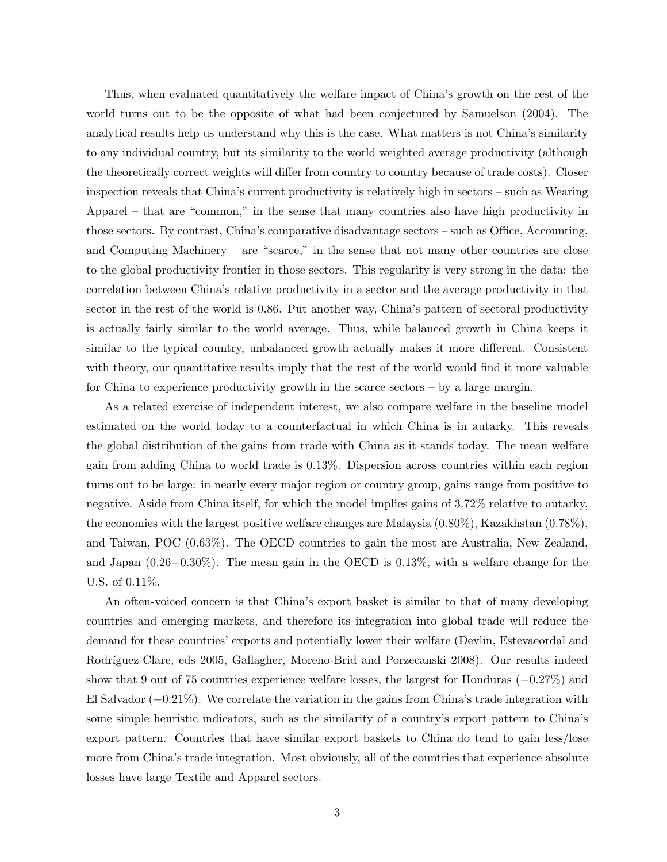Thus, when evaluated quantitatively the welfare impact of China's growth on the rest of the world turns out to be the opposite of what had been conjectured by Samuelson (2004). The analytical results help us understand why this is the case. What matters is not China's similarity to any individual country, but its similarity to the world weighted average productivity (although the theoretically correct weights will differ from country to country because of trade costs). Closer inspection reveals that China's current productivity is relatively high in sectors – such as Wearing Apparel – that are "common," in the sense that many countries also have high productivity in those sectors. By contrast, China's comparative disadvantage sectors – such as Office, Accounting, and Computing Machinery – are "scarce," in the sense that not many other countries are close to the global productivity frontier in those sectors. This regularity is very strong in the data: the correlation between China's relative productivity in a sector and the average productivity in that sector in the rest of the world is 0.86. Put another way, China's pattern of sectoral productivity is actually fairly similar to the world average. Thus, while balanced growth in China keeps it similar to the typical country, unbalanced growth actually makes it more different. Consistent with theory, our quantitative results imply that the rest of the world would find it more valuable for China to experience productivity growth in the scarce sectors – by a large margin.

As a related exercise of independent interest, we also compare welfare in the baseline model estimated on the world today to a counterfactual in which China is in autarky. This reveals the global distribution of the gains from trade with China as it stands today. The mean welfare gain from adding China to world trade is 0.13%. Dispersion across countries within each region turns out to be large: in nearly every major region or country group, gains range from positive to negative. Aside from China itself, for which the model implies gains of 3.72% relative to autarky, the economies with the largest positive welfare changes are Malaysia (0.80%), Kazakhstan (0.78%), and Taiwan, POC (0.63%). The OECD countries to gain the most are Australia, New Zealand, and Japan (0.26−0.30%). The mean gain in the OECD is 0.13%, with a welfare change for the U.S. of 0.11%.

An often-voiced concern is that China's export basket is similar to that of many developing countries and emerging markets, and therefore its integration into global trade will reduce the demand for these countries' exports and potentially lower their welfare (Devlin, Estevaeordal and Rodríguez-Clare, eds 2005, Gallagher, Moreno-Brid and Porzecanski 2008). Our results indeed show that 9 out of 75 countries experience welfare losses, the largest for Honduras (−0.27%) and El Salvador  $(-0.21\%)$ . We correlate the variation in the gains from China's trade integration with some simple heuristic indicators, such as the similarity of a country's export pattern to China's export pattern. Countries that have similar export baskets to China do tend to gain less/lose more from China's trade integration. Most obviously, all of the countries that experience absolute losses have large Textile and Apparel sectors.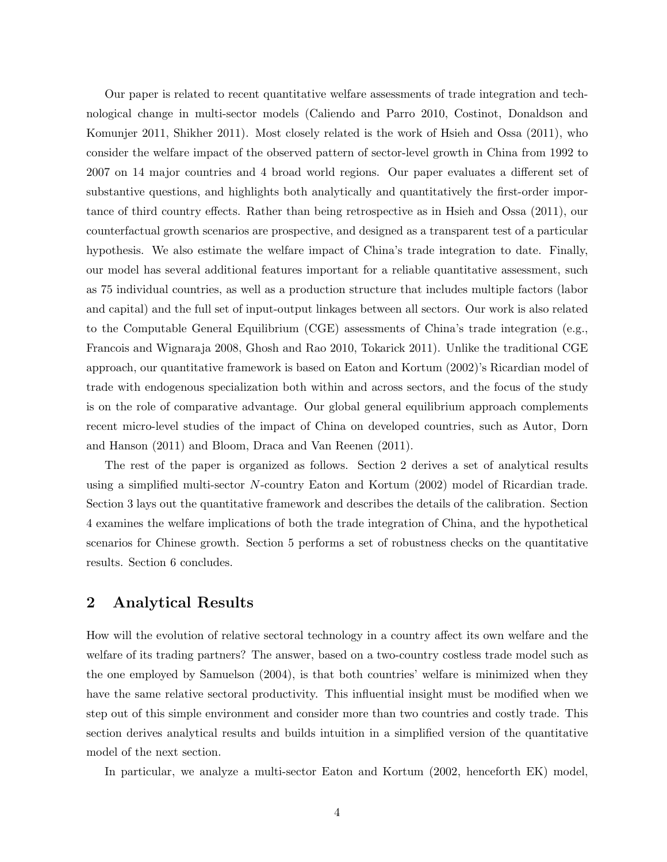Our paper is related to recent quantitative welfare assessments of trade integration and technological change in multi-sector models (Caliendo and Parro 2010, Costinot, Donaldson and Komunjer 2011, Shikher 2011). Most closely related is the work of Hsieh and Ossa (2011), who consider the welfare impact of the observed pattern of sector-level growth in China from 1992 to 2007 on 14 major countries and 4 broad world regions. Our paper evaluates a different set of substantive questions, and highlights both analytically and quantitatively the first-order importance of third country effects. Rather than being retrospective as in Hsieh and Ossa (2011), our counterfactual growth scenarios are prospective, and designed as a transparent test of a particular hypothesis. We also estimate the welfare impact of China's trade integration to date. Finally, our model has several additional features important for a reliable quantitative assessment, such as 75 individual countries, as well as a production structure that includes multiple factors (labor and capital) and the full set of input-output linkages between all sectors. Our work is also related to the Computable General Equilibrium (CGE) assessments of China's trade integration (e.g., Francois and Wignaraja 2008, Ghosh and Rao 2010, Tokarick 2011). Unlike the traditional CGE approach, our quantitative framework is based on Eaton and Kortum (2002)'s Ricardian model of trade with endogenous specialization both within and across sectors, and the focus of the study is on the role of comparative advantage. Our global general equilibrium approach complements recent micro-level studies of the impact of China on developed countries, such as Autor, Dorn and Hanson (2011) and Bloom, Draca and Van Reenen (2011).

The rest of the paper is organized as follows. Section 2 derives a set of analytical results using a simplified multi-sector N-country Eaton and Kortum (2002) model of Ricardian trade. Section 3 lays out the quantitative framework and describes the details of the calibration. Section 4 examines the welfare implications of both the trade integration of China, and the hypothetical scenarios for Chinese growth. Section 5 performs a set of robustness checks on the quantitative results. Section 6 concludes.

### 2 Analytical Results

How will the evolution of relative sectoral technology in a country affect its own welfare and the welfare of its trading partners? The answer, based on a two-country costless trade model such as the one employed by Samuelson (2004), is that both countries' welfare is minimized when they have the same relative sectoral productivity. This influential insight must be modified when we step out of this simple environment and consider more than two countries and costly trade. This section derives analytical results and builds intuition in a simplified version of the quantitative model of the next section.

In particular, we analyze a multi-sector Eaton and Kortum (2002, henceforth EK) model,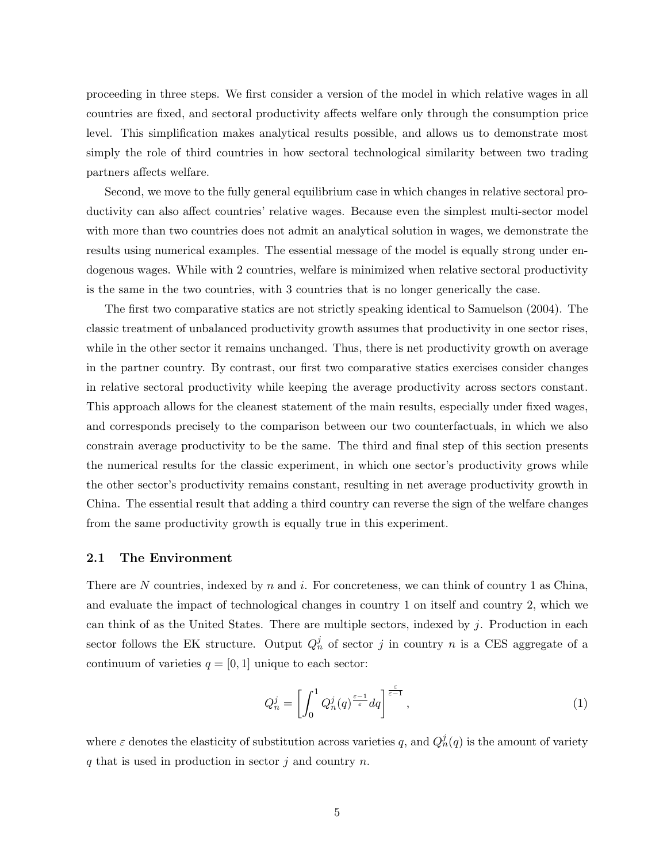proceeding in three steps. We first consider a version of the model in which relative wages in all countries are fixed, and sectoral productivity affects welfare only through the consumption price level. This simplification makes analytical results possible, and allows us to demonstrate most simply the role of third countries in how sectoral technological similarity between two trading partners affects welfare.

Second, we move to the fully general equilibrium case in which changes in relative sectoral productivity can also affect countries' relative wages. Because even the simplest multi-sector model with more than two countries does not admit an analytical solution in wages, we demonstrate the results using numerical examples. The essential message of the model is equally strong under endogenous wages. While with 2 countries, welfare is minimized when relative sectoral productivity is the same in the two countries, with 3 countries that is no longer generically the case.

The first two comparative statics are not strictly speaking identical to Samuelson (2004). The classic treatment of unbalanced productivity growth assumes that productivity in one sector rises, while in the other sector it remains unchanged. Thus, there is net productivity growth on average in the partner country. By contrast, our first two comparative statics exercises consider changes in relative sectoral productivity while keeping the average productivity across sectors constant. This approach allows for the cleanest statement of the main results, especially under fixed wages, and corresponds precisely to the comparison between our two counterfactuals, in which we also constrain average productivity to be the same. The third and final step of this section presents the numerical results for the classic experiment, in which one sector's productivity grows while the other sector's productivity remains constant, resulting in net average productivity growth in China. The essential result that adding a third country can reverse the sign of the welfare changes from the same productivity growth is equally true in this experiment.

#### 2.1 The Environment

There are N countries, indexed by n and i. For concreteness, we can think of country 1 as China, and evaluate the impact of technological changes in country 1 on itself and country 2, which we can think of as the United States. There are multiple sectors, indexed by  $j$ . Production in each sector follows the EK structure. Output  $Q_n^j$  of sector j in country n is a CES aggregate of a continuum of varieties  $q = [0, 1]$  unique to each sector:

$$
Q_n^j = \left[ \int_0^1 Q_n^j(q)^{\frac{\varepsilon - 1}{\varepsilon}} dq \right]^{\frac{\varepsilon}{\varepsilon - 1}},\tag{1}
$$

where  $\varepsilon$  denotes the elasticity of substitution across varieties q, and  $Q_n^j(q)$  is the amount of variety q that is used in production in sector  $j$  and country  $n$ .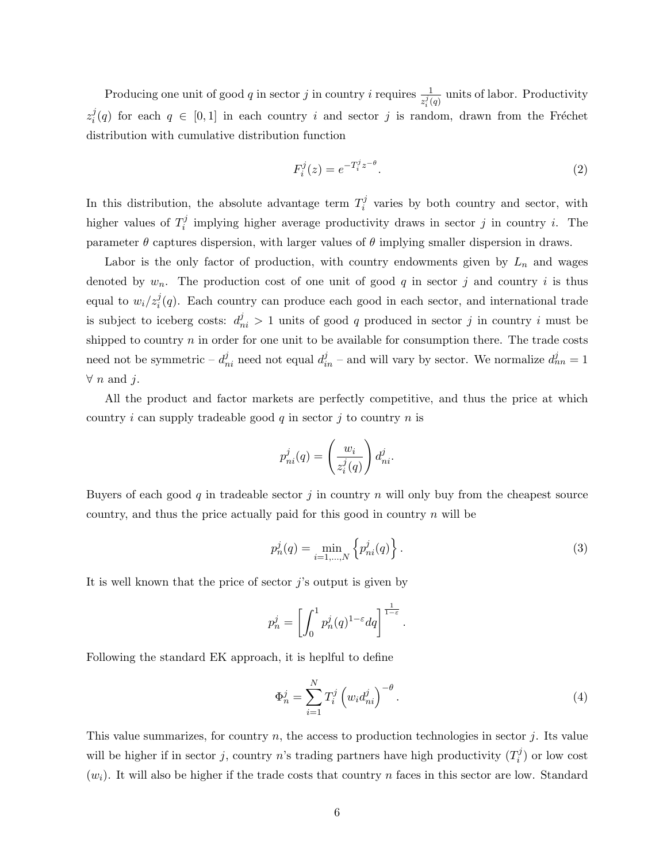Producing one unit of good q in sector j in country i requires  $\frac{1}{z_i^j(q)}$  units of labor. Productivity  $z_i^j$  $i(q)$  for each  $q \in [0,1]$  in each country i and sector j is random, drawn from the Fréchet distribution with cumulative distribution function

$$
F_i^j(z) = e^{-T_i^j z^{-\theta}}.\tag{2}
$$

In this distribution, the absolute advantage term  $T_i^j$  $i<sup>j</sup>$  varies by both country and sector, with higher values of  $T_i^j$  $i$  implying higher average productivity draws in sector j in country i. The parameter  $\theta$  captures dispersion, with larger values of  $\theta$  implying smaller dispersion in draws.

Labor is the only factor of production, with country endowments given by  $L_n$  and wages denoted by  $w_n$ . The production cost of one unit of good q in sector j and country i is thus equal to  $w_i/z_i^j(q)$ . Each country can produce each good in each sector, and international trade is subject to iceberg costs:  $d_{ni}^j > 1$  units of good q produced in sector j in country i must be shipped to country  $n$  in order for one unit to be available for consumption there. The trade costs need not be symmetric  $-d_{ni}^{j}$  need not equal  $d_{in}^{j}$  – and will vary by sector. We normalize  $d_{nn}^{j} = 1$  $\forall n$  and j.

All the product and factor markets are perfectly competitive, and thus the price at which country i can supply tradeable good  $q$  in sector j to country  $n$  is

$$
p_{ni}^j(q) = \left(\frac{w_i}{z_i^j(q)}\right) d_{ni}^j.
$$

Buyers of each good  $q$  in tradeable sector  $j$  in country  $n$  will only buy from the cheapest source country, and thus the price actually paid for this good in country  $n$  will be

$$
p_n^j(q) = \min_{i=1,\dots,N} \left\{ p_{ni}^j(q) \right\}.
$$
 (3)

.

It is well known that the price of sector  $i$ 's output is given by

$$
p_n^j = \left[ \int_0^1 p_n^j(q)^{1-\varepsilon} dq \right]^{\frac{1}{1-\varepsilon}}
$$

Following the standard EK approach, it is heplful to define

$$
\Phi_n^j = \sum_{i=1}^N T_i^j \left( w_i d_{ni}^j \right)^{-\theta} . \tag{4}
$$

This value summarizes, for country  $n$ , the access to production technologies in sector  $j$ . Its value will be higher if in sector j, country n's trading partners have high productivity  $(T_i^j)$  $i^j$ ) or low cost  $(w_i)$ . It will also be higher if the trade costs that country n faces in this sector are low. Standard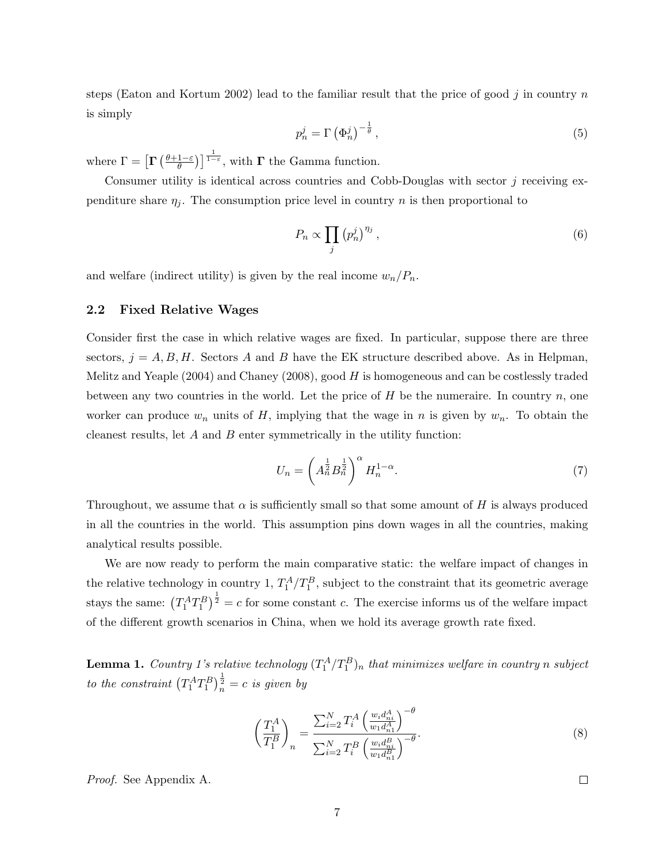steps (Eaton and Kortum 2002) lead to the familiar result that the price of good j in country n is simply

$$
p_n^j = \Gamma\left(\Phi_n^j\right)^{-\frac{1}{\theta}},\tag{5}
$$

where  $\Gamma = \left[ \Gamma \left( \frac{\theta + 1 - \varepsilon}{\theta} \right) \right]$  $\left(\frac{1-\varepsilon}{\theta}\right)\right]^{\frac{1}{1-\varepsilon}}$ , with  $\Gamma$  the Gamma function.

Consumer utility is identical across countries and Cobb-Douglas with sector  $j$  receiving expenditure share  $\eta_i$ . The consumption price level in country n is then proportional to

$$
P_n \propto \prod_j \left(p_n^j\right)^{\eta_j},\tag{6}
$$

and welfare (indirect utility) is given by the real income  $w_n/P_n$ .

#### 2.2 Fixed Relative Wages

Consider first the case in which relative wages are fixed. In particular, suppose there are three sectors,  $j = A, B, H$ . Sectors A and B have the EK structure described above. As in Helpman, Melitz and Yeaple  $(2004)$  and Chaney  $(2008)$ , good  $H$  is homogeneous and can be costlessly traded between any two countries in the world. Let the price of  $H$  be the numeraire. In country  $n$ , one worker can produce  $w_n$  units of H, implying that the wage in n is given by  $w_n$ . To obtain the cleanest results, let  $A$  and  $B$  enter symmetrically in the utility function:

$$
U_n = \left(A_n^{\frac{1}{2}} B_n^{\frac{1}{2}}\right)^{\alpha} H_n^{1-\alpha}.
$$
 (7)

Throughout, we assume that  $\alpha$  is sufficiently small so that some amount of H is always produced in all the countries in the world. This assumption pins down wages in all the countries, making analytical results possible.

We are now ready to perform the main comparative static: the welfare impact of changes in the relative technology in country 1,  $T_1^A/T_1^B$ , subject to the constraint that its geometric average stays the same:  $(T_1^A T_1^B)^{\frac{1}{2}} = c$  for some constant c. The exercise informs us of the welfare impact of the different growth scenarios in China, when we hold its average growth rate fixed.

**Lemma 1.** Country 1's relative technology  $(T_1^A/T_1^B)_n$  that minimizes welfare in country n subject to the constraint  $(T_1^AT_1^B)^{\frac{1}{2}}_n = c$  is given by

$$
\left(\frac{T_1^A}{T_1^B}\right)_n = \frac{\sum_{i=2}^N T_i^A \left(\frac{w_i d_{ni}^A}{w_1 d_{n1}^A}\right)^{-\theta}}{\sum_{i=2}^N T_i^B \left(\frac{w_i d_{ni}^B}{w_1 d_{n1}^B}\right)^{-\theta}}.
$$
\n(8)

Proof. See Appendix A.

7

 $\Box$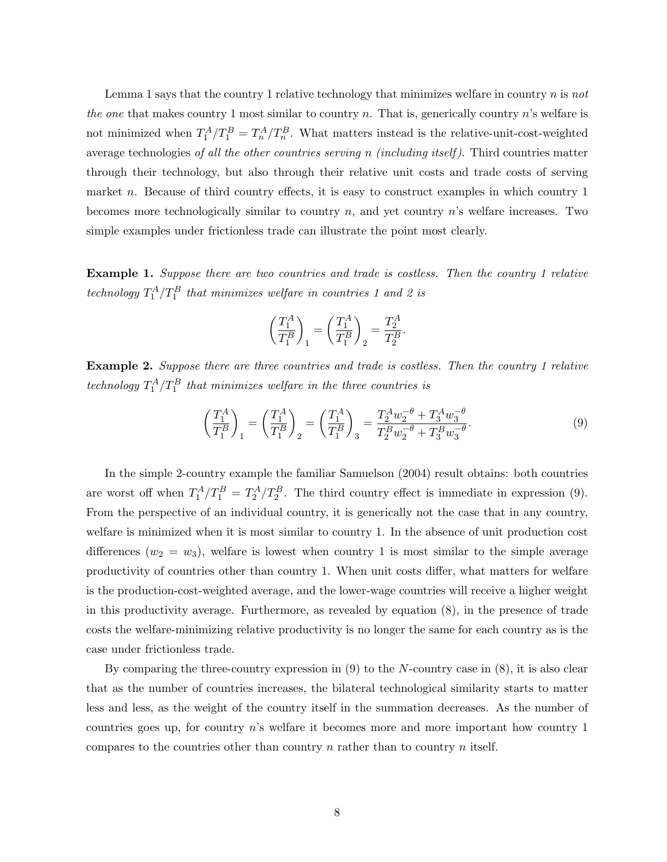Lemma 1 says that the country 1 relative technology that minimizes welfare in country n is not the one that makes country 1 most similar to country n. That is, generically country n's welfare is not minimized when  $T_1^A/T_1^B = T_n^A/T_n^B$ . What matters instead is the relative-unit-cost-weighted average technologies of all the other countries serving n (including itself). Third countries matter through their technology, but also through their relative unit costs and trade costs of serving market n. Because of third country effects, it is easy to construct examples in which country 1 becomes more technologically similar to country  $n$ , and yet country  $n$ 's welfare increases. Two simple examples under frictionless trade can illustrate the point most clearly.

**Example 1.** Suppose there are two countries and trade is costless. Then the country 1 relative  $technology T_1^A/T_1^B$  that minimizes welfare in countries 1 and 2 is

$$
\left(\frac{T_1^A}{T_1^B}\right)_1 = \left(\frac{T_1^A}{T_1^B}\right)_2 = \frac{T_2^A}{T_2^B}.
$$

**Example 2.** Suppose there are three countries and trade is costless. Then the country 1 relative technology  $T_1^A/T_1^B$  that minimizes welfare in the three countries is

$$
\left(\frac{T_1^A}{T_1^B}\right)_1 = \left(\frac{T_1^A}{T_1^B}\right)_2 = \left(\frac{T_1^A}{T_1^B}\right)_3 = \frac{T_2^A w_2^{-\theta} + T_3^A w_3^{-\theta}}{T_2^B w_2^{-\theta} + T_3^B w_3^{-\theta}}.
$$
\n(9)

In the simple 2-country example the familiar Samuelson (2004) result obtains: both countries are worst off when  $T_1^A/T_1^B = T_2^A/T_2^B$ . The third country effect is immediate in expression (9). From the perspective of an individual country, it is generically not the case that in any country, welfare is minimized when it is most similar to country 1. In the absence of unit production cost differences  $(w_2 = w_3)$ , welfare is lowest when country 1 is most similar to the simple average productivity of countries other than country 1. When unit costs differ, what matters for welfare is the production-cost-weighted average, and the lower-wage countries will receive a higher weight in this productivity average. Furthermore, as revealed by equation (8), in the presence of trade costs the welfare-minimizing relative productivity is no longer the same for each country as is the case under frictionless trade.

By comparing the three-country expression in  $(9)$  to the N-country case in  $(8)$ , it is also clear that as the number of countries increases, the bilateral technological similarity starts to matter less and less, as the weight of the country itself in the summation decreases. As the number of countries goes up, for country n's welfare it becomes more and more important how country 1 compares to the countries other than country n rather than to country n itself.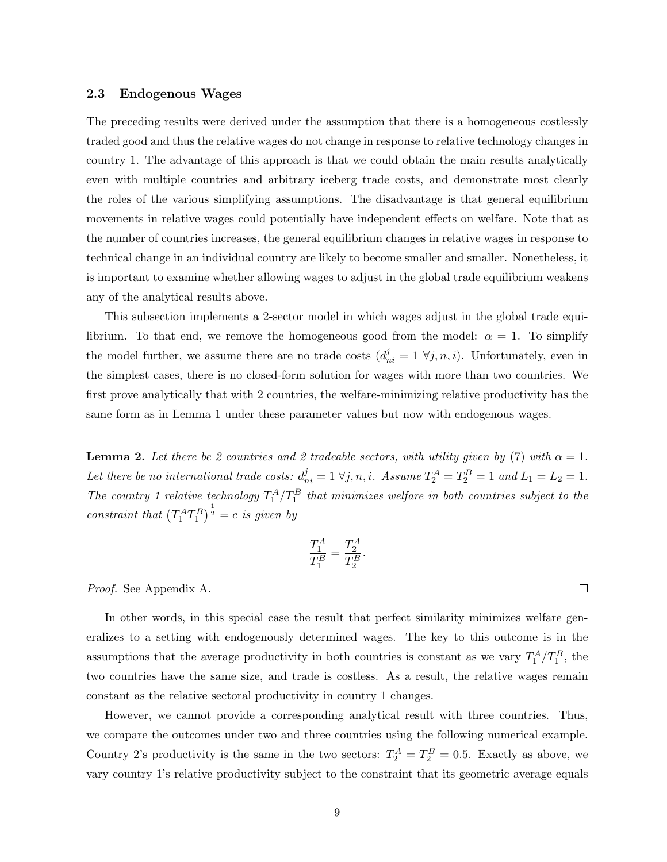#### 2.3 Endogenous Wages

The preceding results were derived under the assumption that there is a homogeneous costlessly traded good and thus the relative wages do not change in response to relative technology changes in country 1. The advantage of this approach is that we could obtain the main results analytically even with multiple countries and arbitrary iceberg trade costs, and demonstrate most clearly the roles of the various simplifying assumptions. The disadvantage is that general equilibrium movements in relative wages could potentially have independent effects on welfare. Note that as the number of countries increases, the general equilibrium changes in relative wages in response to technical change in an individual country are likely to become smaller and smaller. Nonetheless, it is important to examine whether allowing wages to adjust in the global trade equilibrium weakens any of the analytical results above.

This subsection implements a 2-sector model in which wages adjust in the global trade equilibrium. To that end, we remove the homogeneous good from the model:  $\alpha = 1$ . To simplify the model further, we assume there are no trade costs  $(d_{ni}^j = 1 \; \forall j, n, i)$ . Unfortunately, even in the simplest cases, there is no closed-form solution for wages with more than two countries. We first prove analytically that with 2 countries, the welfare-minimizing relative productivity has the same form as in Lemma 1 under these parameter values but now with endogenous wages.

**Lemma 2.** Let there be 2 countries and 2 tradeable sectors, with utility given by (7) with  $\alpha = 1$ . Let there be no international trade costs:  $d_{ni}^j = 1 \ \forall j, n, i$ . Assume  $T_2^A = T_2^B = 1$  and  $L_1 = L_2 = 1$ . The country 1 relative technology  $T_1^A/T_1^B$  that minimizes welfare in both countries subject to the constraint that  $(T_1^AT_1^B)^{\frac{1}{2}}=c$  is given by

$$
\frac{T_1^A}{T_1^B} = \frac{T_2^A}{T_2^B}.
$$

Proof. See Appendix A.

In other words, in this special case the result that perfect similarity minimizes welfare generalizes to a setting with endogenously determined wages. The key to this outcome is in the assumptions that the average productivity in both countries is constant as we vary  $T_1^A/T_1^B$ , the two countries have the same size, and trade is costless. As a result, the relative wages remain constant as the relative sectoral productivity in country 1 changes.

However, we cannot provide a corresponding analytical result with three countries. Thus, we compare the outcomes under two and three countries using the following numerical example. Country 2's productivity is the same in the two sectors:  $T_2^A = T_2^B = 0.5$ . Exactly as above, we vary country 1's relative productivity subject to the constraint that its geometric average equals

 $\Box$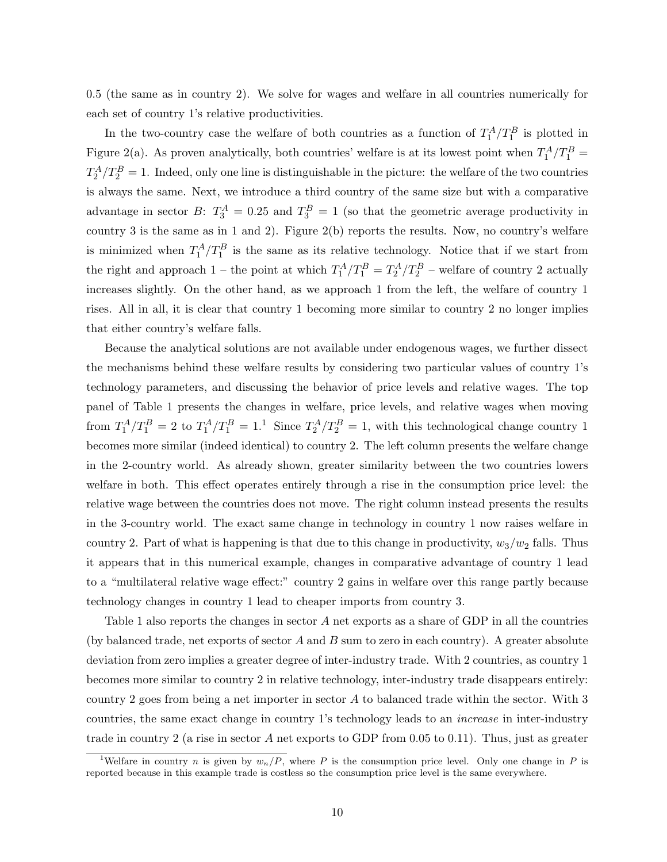0.5 (the same as in country 2). We solve for wages and welfare in all countries numerically for each set of country 1's relative productivities.

In the two-country case the welfare of both countries as a function of  $T_1^A/T_1^B$  is plotted in Figure 2(a). As proven analytically, both countries' welfare is at its lowest point when  $T_1^A/T_1^B =$  $T_2^A/T_2^B = 1$ . Indeed, only one line is distinguishable in the picture: the welfare of the two countries is always the same. Next, we introduce a third country of the same size but with a comparative advantage in sector B:  $T_3^A = 0.25$  and  $T_3^B = 1$  (so that the geometric average productivity in country 3 is the same as in 1 and 2). Figure 2(b) reports the results. Now, no country's welfare is minimized when  $T_1^A/T_1^B$  is the same as its relative technology. Notice that if we start from the right and approach 1 – the point at which  $T_1^A/T_1^B = T_2^A/T_2^B$  – welfare of country 2 actually increases slightly. On the other hand, as we approach 1 from the left, the welfare of country 1 rises. All in all, it is clear that country 1 becoming more similar to country 2 no longer implies that either country's welfare falls.

Because the analytical solutions are not available under endogenous wages, we further dissect the mechanisms behind these welfare results by considering two particular values of country 1's technology parameters, and discussing the behavior of price levels and relative wages. The top panel of Table 1 presents the changes in welfare, price levels, and relative wages when moving from  $T_1^A/T_1^B = 2$  to  $T_1^A/T_1^B = 1$ .<sup>1</sup> Since  $T_2^A/T_2^B = 1$ , with this technological change country 1 becomes more similar (indeed identical) to country 2. The left column presents the welfare change in the 2-country world. As already shown, greater similarity between the two countries lowers welfare in both. This effect operates entirely through a rise in the consumption price level: the relative wage between the countries does not move. The right column instead presents the results in the 3-country world. The exact same change in technology in country 1 now raises welfare in country 2. Part of what is happening is that due to this change in productivity,  $w_3/w_2$  falls. Thus it appears that in this numerical example, changes in comparative advantage of country 1 lead to a "multilateral relative wage effect:" country 2 gains in welfare over this range partly because technology changes in country 1 lead to cheaper imports from country 3.

Table 1 also reports the changes in sector A net exports as a share of GDP in all the countries (by balanced trade, net exports of sector  $A$  and  $B$  sum to zero in each country). A greater absolute deviation from zero implies a greater degree of inter-industry trade. With 2 countries, as country 1 becomes more similar to country 2 in relative technology, inter-industry trade disappears entirely: country 2 goes from being a net importer in sector  $A$  to balanced trade within the sector. With 3 countries, the same exact change in country 1's technology leads to an increase in inter-industry trade in country 2 (a rise in sector A net exports to GDP from 0.05 to 0.11). Thus, just as greater

<sup>&</sup>lt;sup>1</sup>Welfare in country *n* is given by  $w_n/P$ , where *P* is the consumption price level. Only one change in *P* is reported because in this example trade is costless so the consumption price level is the same everywhere.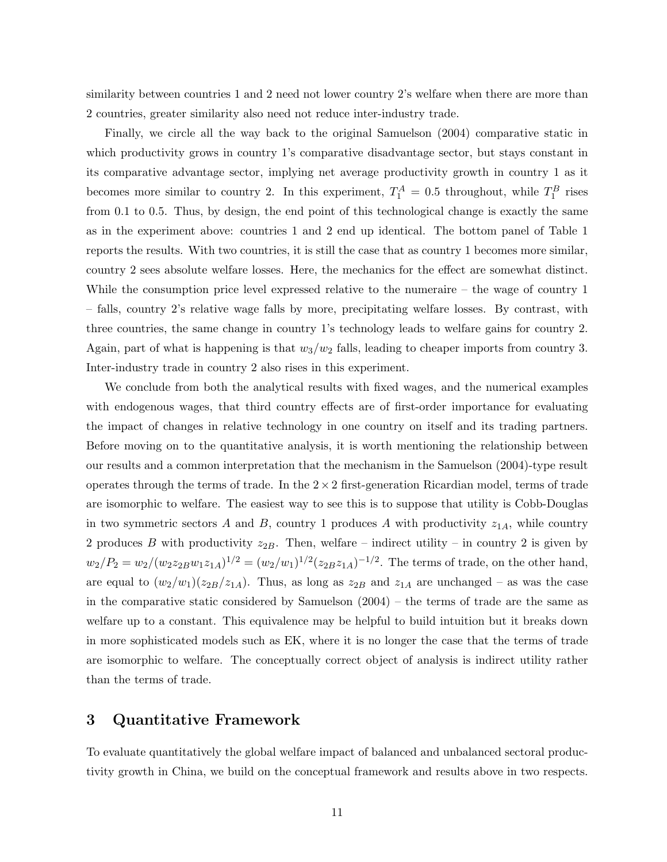similarity between countries 1 and 2 need not lower country 2's welfare when there are more than 2 countries, greater similarity also need not reduce inter-industry trade.

Finally, we circle all the way back to the original Samuelson (2004) comparative static in which productivity grows in country 1's comparative disadvantage sector, but stays constant in its comparative advantage sector, implying net average productivity growth in country 1 as it becomes more similar to country 2. In this experiment,  $T_1^A = 0.5$  throughout, while  $T_1^B$  rises from 0.1 to 0.5. Thus, by design, the end point of this technological change is exactly the same as in the experiment above: countries 1 and 2 end up identical. The bottom panel of Table 1 reports the results. With two countries, it is still the case that as country 1 becomes more similar, country 2 sees absolute welfare losses. Here, the mechanics for the effect are somewhat distinct. While the consumption price level expressed relative to the numeraire – the wage of country 1 – falls, country 2's relative wage falls by more, precipitating welfare losses. By contrast, with three countries, the same change in country 1's technology leads to welfare gains for country 2. Again, part of what is happening is that  $w_3/w_2$  falls, leading to cheaper imports from country 3. Inter-industry trade in country 2 also rises in this experiment.

We conclude from both the analytical results with fixed wages, and the numerical examples with endogenous wages, that third country effects are of first-order importance for evaluating the impact of changes in relative technology in one country on itself and its trading partners. Before moving on to the quantitative analysis, it is worth mentioning the relationship between our results and a common interpretation that the mechanism in the Samuelson (2004)-type result operates through the terms of trade. In the  $2 \times 2$  first-generation Ricardian model, terms of trade are isomorphic to welfare. The easiest way to see this is to suppose that utility is Cobb-Douglas in two symmetric sectors A and B, country 1 produces A with productivity  $z_{1A}$ , while country 2 produces B with productivity  $z_{2B}$ . Then, welfare – indirect utility – in country 2 is given by  $w_2/P_2 = w_2/(w_2 z_{2B} w_1 z_{1A})^{1/2} = (w_2/w_1)^{1/2} (z_{2B} z_{1A})^{-1/2}$ . The terms of trade, on the other hand, are equal to  $(w_2/w_1)(z_{2B}/z_{1A})$ . Thus, as long as  $z_{2B}$  and  $z_{1A}$  are unchanged – as was the case in the comparative static considered by Samuelson  $(2004)$  – the terms of trade are the same as welfare up to a constant. This equivalence may be helpful to build intuition but it breaks down in more sophisticated models such as EK, where it is no longer the case that the terms of trade are isomorphic to welfare. The conceptually correct object of analysis is indirect utility rather than the terms of trade.

### 3 Quantitative Framework

To evaluate quantitatively the global welfare impact of balanced and unbalanced sectoral productivity growth in China, we build on the conceptual framework and results above in two respects.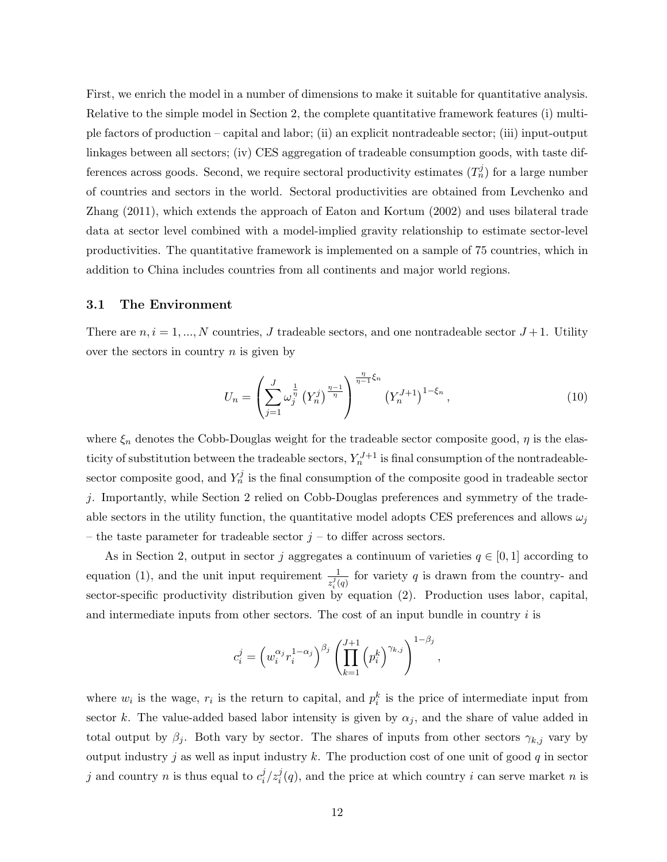First, we enrich the model in a number of dimensions to make it suitable for quantitative analysis. Relative to the simple model in Section 2, the complete quantitative framework features (i) multiple factors of production – capital and labor; (ii) an explicit nontradeable sector; (iii) input-output linkages between all sectors; (iv) CES aggregation of tradeable consumption goods, with taste differences across goods. Second, we require sectoral productivity estimates  $(T_n^j)$  for a large number of countries and sectors in the world. Sectoral productivities are obtained from Levchenko and Zhang (2011), which extends the approach of Eaton and Kortum (2002) and uses bilateral trade data at sector level combined with a model-implied gravity relationship to estimate sector-level productivities. The quantitative framework is implemented on a sample of 75 countries, which in addition to China includes countries from all continents and major world regions.

#### 3.1 The Environment

There are  $n, i = 1, ..., N$  countries, J tradeable sectors, and one nontradeable sector  $J+1$ . Utility over the sectors in country  $n$  is given by

$$
U_n = \left(\sum_{j=1}^J \omega_j^{\frac{1}{\eta}} \left(Y_n^j\right)^{\frac{\eta-1}{\eta}}\right)^{\frac{\eta}{\eta-1}\xi_n} \left(Y_n^{J+1}\right)^{1-\xi_n},\tag{10}
$$

where  $\xi_n$  denotes the Cobb-Douglas weight for the tradeable sector composite good,  $\eta$  is the elasticity of substitution between the tradeable sectors,  $Y_n^{J+1}$  is final consumption of the nontradeablesector composite good, and  $Y_n^j$  is the final consumption of the composite good in tradeable sector j. Importantly, while Section 2 relied on Cobb-Douglas preferences and symmetry of the tradeable sectors in the utility function, the quantitative model adopts CES preferences and allows  $\omega_i$ – the taste parameter for tradeable sector  $j$  – to differ across sectors.

As in Section 2, output in sector j aggregates a continuum of varieties  $q \in [0,1]$  according to equation (1), and the unit input requirement  $\frac{1}{z_i^j(q)}$  for variety q is drawn from the country- and sector-specific productivity distribution given by equation (2). Production uses labor, capital, and intermediate inputs from other sectors. The cost of an input bundle in country  $i$  is

$$
c_i^j = \left(w_i^{\alpha_j} r_i^{1-\alpha_j}\right)^{\beta_j} \left(\prod_{k=1}^{J+1} \left(p_i^k\right)^{\gamma_{k,j}}\right)^{1-\beta_j},
$$

where  $w_i$  is the wage,  $r_i$  is the return to capital, and  $p_i^k$  is the price of intermediate input from sector k. The value-added based labor intensity is given by  $\alpha_j$ , and the share of value added in total output by  $\beta_j$ . Both vary by sector. The shares of inputs from other sectors  $\gamma_{k,j}$  vary by output industry j as well as input industry k. The production cost of one unit of good  $q$  in sector j and country n is thus equal to  $c_i^j$  $i<sub>i</sub><sup>j</sup> / z<sub>i</sub><sup>j</sup> (q)$ , and the price at which country i can serve market n is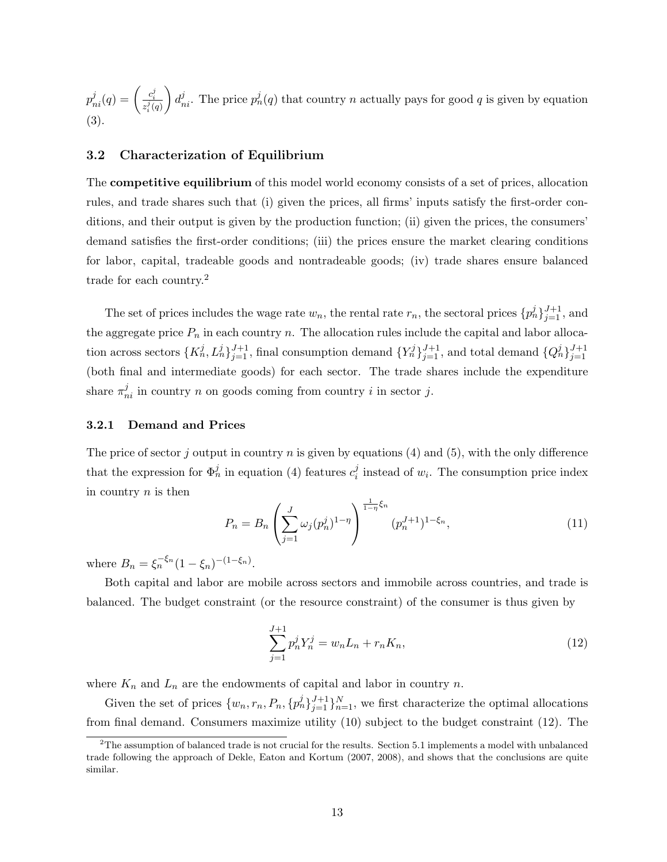$p_{ni}^j(q) = \biggl( \frac{c_i^j}{z_i^j(q)}$  $\left( \int d_n^j$ . The price  $p_n^j(q)$  that country n actually pays for good q is given by equation (3).

### 3.2 Characterization of Equilibrium

The competitive equilibrium of this model world economy consists of a set of prices, allocation rules, and trade shares such that (i) given the prices, all firms' inputs satisfy the first-order conditions, and their output is given by the production function; (ii) given the prices, the consumers' demand satisfies the first-order conditions; (iii) the prices ensure the market clearing conditions for labor, capital, tradeable goods and nontradeable goods; (iv) trade shares ensure balanced trade for each country.<sup>2</sup>

The set of prices includes the wage rate  $w_n$ , the rental rate  $r_n$ , the sectoral prices  $\{p_n^j\}_{j=1}^{J+1}$ , and the aggregate price  $P_n$  in each country n. The allocation rules include the capital and labor allocation across sectors  $\{K_n^j, L_n^j\}_{j=1}^{J+1}$ , final consumption demand  $\{Y_n^j\}_{j=1}^{J+1}$ , and total demand  $\{Q_n^j\}_{j=1}^{J+1}$ (both final and intermediate goods) for each sector. The trade shares include the expenditure share  $\pi_{ni}^j$  in country n on goods coming from country i in sector j.

#### 3.2.1 Demand and Prices

The price of sector j output in country n is given by equations  $(4)$  and  $(5)$ , with the only difference that the expression for  $\Phi_n^j$  in equation (4) features  $c_i^j$  $i_i$  instead of  $w_i$ . The consumption price index in country  $n$  is then

$$
P_n = B_n \left( \sum_{j=1}^J \omega_j (p_n^j)^{1-\eta} \right)^{\frac{1}{1-\eta} \xi_n} (p_n^{J+1})^{1-\xi_n}, \tag{11}
$$

where  $B_n = \xi_n^{-\xi_n} (1 - \xi_n)^{-(1 - \xi_n)}$ .

Both capital and labor are mobile across sectors and immobile across countries, and trade is balanced. The budget constraint (or the resource constraint) of the consumer is thus given by

$$
\sum_{j=1}^{J+1} p_n^j Y_n^j = w_n L_n + r_n K_n,
$$
\n(12)

where  $K_n$  and  $L_n$  are the endowments of capital and labor in country n.

Given the set of prices  $\{w_n, r_n, P_n, \{p_n^j\}_{j=1}^{J+1}\}_{n=1}^N$ , we first characterize the optimal allocations from final demand. Consumers maximize utility (10) subject to the budget constraint (12). The

 $2$ The assumption of balanced trade is not crucial for the results. Section 5.1 implements a model with unbalanced trade following the approach of Dekle, Eaton and Kortum (2007, 2008), and shows that the conclusions are quite similar.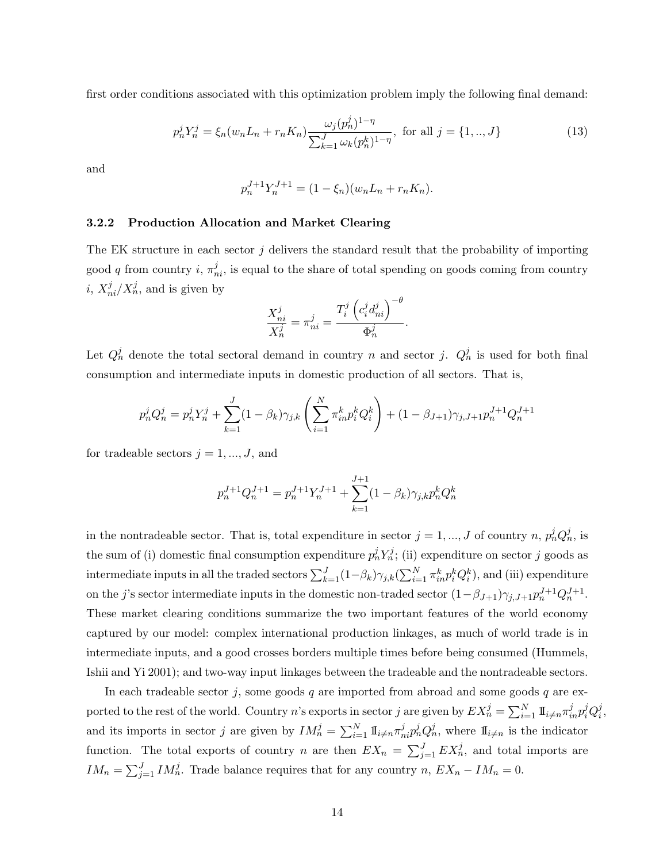first order conditions associated with this optimization problem imply the following final demand:

$$
p_n^j Y_n^j = \xi_n (w_n L_n + r_n K_n) \frac{\omega_j (p_n^j)^{1-\eta}}{\sum_{k=1}^J \omega_k (p_n^k)^{1-\eta}}, \text{ for all } j = \{1, ..., J\}
$$
 (13)

and

$$
p_n^{J+1} Y_n^{J+1} = (1 - \xi_n)(w_n L_n + r_n K_n).
$$

#### 3.2.2 Production Allocation and Market Clearing

The EK structure in each sector  $j$  delivers the standard result that the probability of importing good q from country  $i, \pi_{ni}^j$ , is equal to the share of total spending on goods coming from country  $i, X_{ni}^j/X_n^j$ , and is given by

$$
\frac{X_{ni}^j}{X_n^j} = \pi_{ni}^j = \frac{T_i^j \left( c_i^j d_{ni}^j \right)^{-\theta}}{\Phi_n^j}.
$$

Let  $Q_n^j$  denote the total sectoral demand in country n and sector j.  $Q_n^j$  is used for both final consumption and intermediate inputs in domestic production of all sectors. That is,

$$
p_n^j Q_n^j = p_n^j Y_n^j + \sum_{k=1}^J (1 - \beta_k) \gamma_{j,k} \left( \sum_{i=1}^N \pi_{in}^k p_i^k Q_i^k \right) + (1 - \beta_{J+1}) \gamma_{j,J+1} p_n^{J+1} Q_n^{J+1}
$$

for tradeable sectors  $j = 1, ..., J$ , and

$$
p_n^{J+1} Q_n^{J+1} = p_n^{J+1} Y_n^{J+1} + \sum_{k=1}^{J+1} (1 - \beta_k) \gamma_{j,k} p_n^k Q_n^k
$$

in the nontradeable sector. That is, total expenditure in sector  $j = 1, ..., J$  of country  $n, p_n^j Q_n^j$ , is the sum of (i) domestic final consumption expenditure  $p_n^j Y_n^j$ ; (ii) expenditure on sector j goods as intermediate inputs in all the traded sectors  $\sum_{k=1}^{J}(1-\beta_k)\gamma_{j,k}(\sum_{i=1}^{N}\pi_{in}^k p_i^k Q_i^k)$ , and (iii) expenditure on the j's sector intermediate inputs in the domestic non-traded sector  $(1 - \beta_{J+1})\gamma_{j,J+1}p_n^{J+1}Q_n^{J+1}$ . These market clearing conditions summarize the two important features of the world economy captured by our model: complex international production linkages, as much of world trade is in intermediate inputs, and a good crosses borders multiple times before being consumed (Hummels, Ishii and Yi 2001); and two-way input linkages between the tradeable and the nontradeable sectors.

In each tradeable sector j, some goods q are imported from abroad and some goods q are exported to the rest of the world. Country n's exports in sector j are given by  $EX_n^j = \sum_{i=1}^N \mathbb{I}_{i \neq n} \pi_{in}^j p_i^j Q_i^j$  $_{i}^{\jmath},$ and its imports in sector j are given by  $IM_n^j = \sum_{i=1}^N 1\!\!1_{i \neq n} \pi_{ni}^j p_n^j Q_n^j$ , where  $1\!\!1_{i \neq n}$  is the indicator function. The total exports of country n are then  $EX_n = \sum_{j=1}^{J} EX_n^j$ , and total imports are  $IM_n = \sum_{j=1}^{J} IM_n^j$ . Trade balance requires that for any country n,  $EX_n - IM_n = 0$ .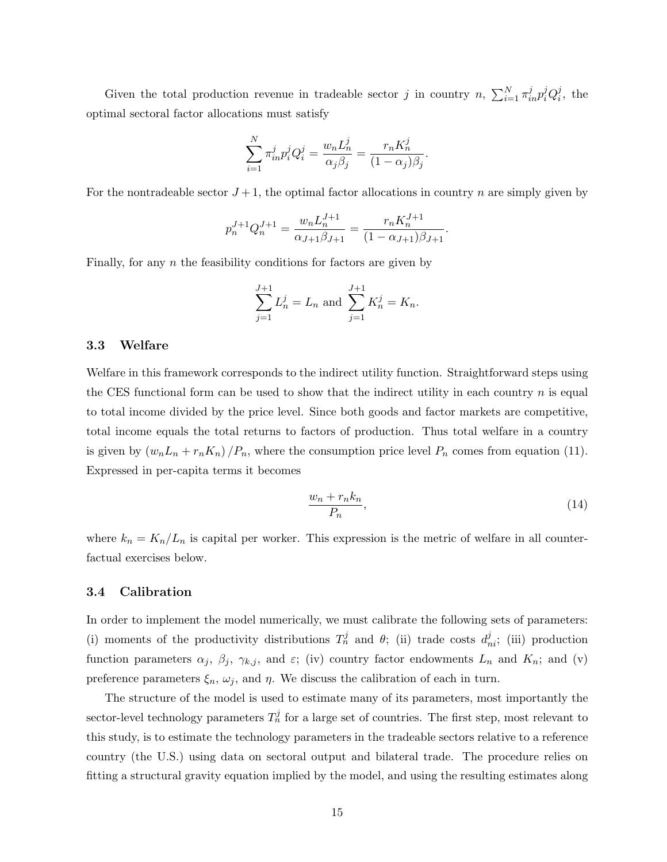Given the total production revenue in tradeable sector j in country  $n$ ,  $\sum_{i=1}^{N} \pi_{in}^{j} p_i^j Q_i^j$  $i<sub>i</sub>$ , the optimal sectoral factor allocations must satisfy

$$
\sum_{i=1}^N \pi_{in}^j p_i^j Q_i^j = \frac{w_n L_n^j}{\alpha_j \beta_j} = \frac{r_n K_n^j}{(1 - \alpha_j)\beta_j}.
$$

For the nontradeable sector  $J+1$ , the optimal factor allocations in country n are simply given by

$$
p_n^{J+1} Q_n^{J+1} = \frac{w_n L_n^{J+1}}{\alpha_{J+1} \beta_{J+1}} = \frac{r_n K_n^{J+1}}{(1 - \alpha_{J+1}) \beta_{J+1}}.
$$

Finally, for any  $n$  the feasibility conditions for factors are given by

$$
\sum_{j=1}^{J+1} L_n^j = L_n \text{ and } \sum_{j=1}^{J+1} K_n^j = K_n.
$$

#### 3.3 Welfare

Welfare in this framework corresponds to the indirect utility function. Straightforward steps using the CES functional form can be used to show that the indirect utility in each country  $n$  is equal to total income divided by the price level. Since both goods and factor markets are competitive, total income equals the total returns to factors of production. Thus total welfare in a country is given by  $(w_n L_n + r_n K_n)/P_n$ , where the consumption price level  $P_n$  comes from equation (11). Expressed in per-capita terms it becomes

$$
\frac{w_n + r_n k_n}{P_n},\tag{14}
$$

where  $k_n = K_n/L_n$  is capital per worker. This expression is the metric of welfare in all counterfactual exercises below.

#### 3.4 Calibration

In order to implement the model numerically, we must calibrate the following sets of parameters: (i) moments of the productivity distributions  $T_n^j$  and  $\theta$ ; (ii) trade costs  $d_{ni}^j$ ; (iii) production function parameters  $\alpha_j$ ,  $\beta_j$ ,  $\gamma_{k,j}$ , and  $\varepsilon$ ; (iv) country factor endowments  $L_n$  and  $K_n$ ; and (v) preference parameters  $\xi_n$ ,  $\omega_j$ , and  $\eta$ . We discuss the calibration of each in turn.

The structure of the model is used to estimate many of its parameters, most importantly the sector-level technology parameters  $T_n^j$  for a large set of countries. The first step, most relevant to this study, is to estimate the technology parameters in the tradeable sectors relative to a reference country (the U.S.) using data on sectoral output and bilateral trade. The procedure relies on fitting a structural gravity equation implied by the model, and using the resulting estimates along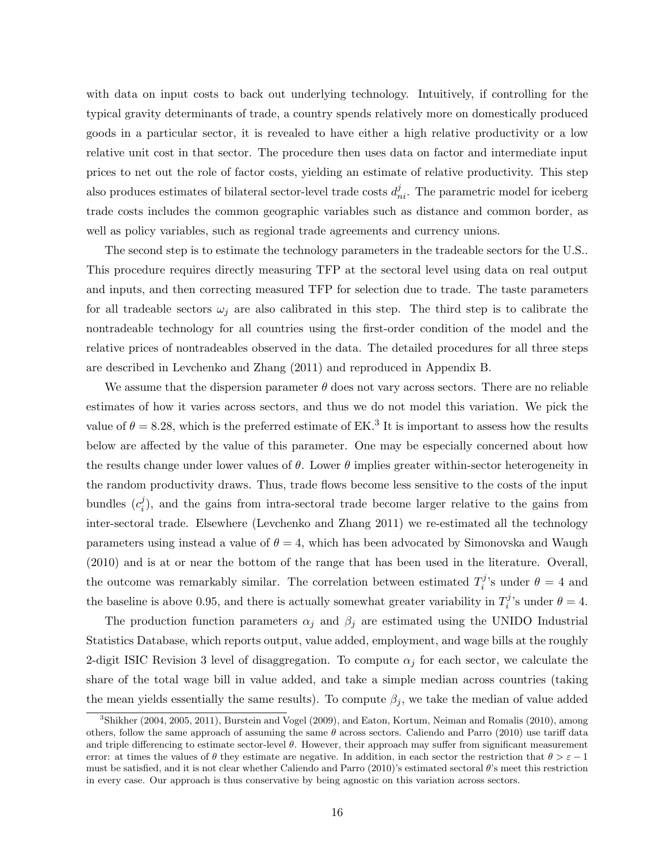with data on input costs to back out underlying technology. Intuitively, if controlling for the typical gravity determinants of trade, a country spends relatively more on domestically produced goods in a particular sector, it is revealed to have either a high relative productivity or a low relative unit cost in that sector. The procedure then uses data on factor and intermediate input prices to net out the role of factor costs, yielding an estimate of relative productivity. This step also produces estimates of bilateral sector-level trade costs  $d_{ni}^j$ . The parametric model for iceberg trade costs includes the common geographic variables such as distance and common border, as well as policy variables, such as regional trade agreements and currency unions.

The second step is to estimate the technology parameters in the tradeable sectors for the U.S.. This procedure requires directly measuring TFP at the sectoral level using data on real output and inputs, and then correcting measured TFP for selection due to trade. The taste parameters for all tradeable sectors  $\omega_j$  are also calibrated in this step. The third step is to calibrate the nontradeable technology for all countries using the first-order condition of the model and the relative prices of nontradeables observed in the data. The detailed procedures for all three steps are described in Levchenko and Zhang (2011) and reproduced in Appendix B.

We assume that the dispersion parameter  $\theta$  does not vary across sectors. There are no reliable estimates of how it varies across sectors, and thus we do not model this variation. We pick the value of  $\theta = 8.28$ , which is the preferred estimate of EK.<sup>3</sup> It is important to assess how the results below are affected by the value of this parameter. One may be especially concerned about how the results change under lower values of  $\theta$ . Lower  $\theta$  implies greater within-sector heterogeneity in the random productivity draws. Thus, trade flows become less sensitive to the costs of the input bundles  $(c_i^j)$  $i_j$ ), and the gains from intra-sectoral trade become larger relative to the gains from inter-sectoral trade. Elsewhere (Levchenko and Zhang 2011) we re-estimated all the technology parameters using instead a value of  $\theta = 4$ , which has been advocated by Simonovska and Waugh (2010) and is at or near the bottom of the range that has been used in the literature. Overall, the outcome was remarkably similar. The correlation between estimated  $T_i^j$ <sup> $\eta$ </sup>'s under  $\theta = 4$  and the baseline is above 0.95, and there is actually somewhat greater variability in  $T_i^j$  $i^{\mathcal{I}}$ 's under  $\theta = 4$ .

The production function parameters  $\alpha_j$  and  $\beta_j$  are estimated using the UNIDO Industrial Statistics Database, which reports output, value added, employment, and wage bills at the roughly 2-digit ISIC Revision 3 level of disaggregation. To compute  $\alpha_j$  for each sector, we calculate the share of the total wage bill in value added, and take a simple median across countries (taking the mean yields essentially the same results). To compute  $\beta_j$ , we take the median of value added

<sup>3</sup>Shikher (2004, 2005, 2011), Burstein and Vogel (2009), and Eaton, Kortum, Neiman and Romalis (2010), among others, follow the same approach of assuming the same  $\theta$  across sectors. Caliendo and Parro (2010) use tariff data and triple differencing to estimate sector-level  $\theta$ . However, their approach may suffer from significant measurement error: at times the values of  $\theta$  they estimate are negative. In addition, in each sector the restriction that  $\theta > \epsilon - 1$ must be satisfied, and it is not clear whether Caliendo and Parro (2010)'s estimated sectoral θ's meet this restriction in every case. Our approach is thus conservative by being agnostic on this variation across sectors.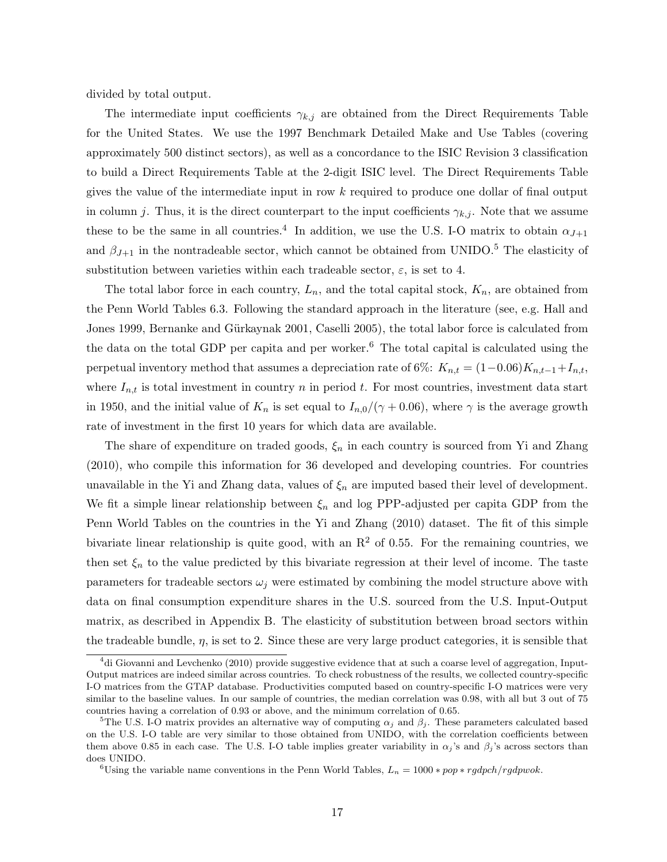divided by total output.

The intermediate input coefficients  $\gamma_{k,j}$  are obtained from the Direct Requirements Table for the United States. We use the 1997 Benchmark Detailed Make and Use Tables (covering approximately 500 distinct sectors), as well as a concordance to the ISIC Revision 3 classification to build a Direct Requirements Table at the 2-digit ISIC level. The Direct Requirements Table gives the value of the intermediate input in row k required to produce one dollar of final output in column j. Thus, it is the direct counterpart to the input coefficients  $\gamma_{k,j}$ . Note that we assume these to be the same in all countries.<sup>4</sup> In addition, we use the U.S. I-O matrix to obtain  $\alpha_{J+1}$ and  $\beta_{J+1}$  in the nontradeable sector, which cannot be obtained from UNIDO.<sup>5</sup> The elasticity of substitution between varieties within each tradeable sector,  $\varepsilon$ , is set to 4.

The total labor force in each country,  $L_n$ , and the total capital stock,  $K_n$ , are obtained from the Penn World Tables 6.3. Following the standard approach in the literature (see, e.g. Hall and Jones 1999, Bernanke and Gürkaynak 2001, Caselli 2005), the total labor force is calculated from the data on the total GDP per capita and per worker.<sup>6</sup> The total capital is calculated using the perpetual inventory method that assumes a depreciation rate of 6%:  $K_{n,t} = (1-0.06)K_{n,t-1}+I_{n,t}$ , where  $I_{n,t}$  is total investment in country n in period t. For most countries, investment data start in 1950, and the initial value of  $K_n$  is set equal to  $I_{n,0}/(\gamma + 0.06)$ , where  $\gamma$  is the average growth rate of investment in the first 10 years for which data are available.

The share of expenditure on traded goods,  $\xi_n$  in each country is sourced from Yi and Zhang (2010), who compile this information for 36 developed and developing countries. For countries unavailable in the Yi and Zhang data, values of  $\xi_n$  are imputed based their level of development. We fit a simple linear relationship between  $\xi_n$  and log PPP-adjusted per capita GDP from the Penn World Tables on the countries in the Yi and Zhang (2010) dataset. The fit of this simple bivariate linear relationship is quite good, with an  $\mathbb{R}^2$  of 0.55. For the remaining countries, we then set  $\xi_n$  to the value predicted by this bivariate regression at their level of income. The taste parameters for tradeable sectors  $\omega_i$  were estimated by combining the model structure above with data on final consumption expenditure shares in the U.S. sourced from the U.S. Input-Output matrix, as described in Appendix B. The elasticity of substitution between broad sectors within the tradeable bundle,  $\eta$ , is set to 2. Since these are very large product categories, it is sensible that

<sup>&</sup>lt;sup>4</sup>di Giovanni and Levchenko (2010) provide suggestive evidence that at such a coarse level of aggregation, Input-Output matrices are indeed similar across countries. To check robustness of the results, we collected country-specific I-O matrices from the GTAP database. Productivities computed based on country-specific I-O matrices were very similar to the baseline values. In our sample of countries, the median correlation was 0.98, with all but 3 out of 75 countries having a correlation of 0.93 or above, and the minimum correlation of 0.65.

<sup>&</sup>lt;sup>5</sup>The U.S. I-O matrix provides an alternative way of computing  $\alpha_j$  and  $\beta_j$ . These parameters calculated based on the U.S. I-O table are very similar to those obtained from UNIDO, with the correlation coefficients between them above 0.85 in each case. The U.S. I-O table implies greater variability in  $\alpha_i$ 's and  $\beta_i$ 's across sectors than does UNIDO.

<sup>&</sup>lt;sup>6</sup>Using the variable name conventions in the Penn World Tables,  $L_n = 1000 * pop * rgdpch/rgdpwok$ .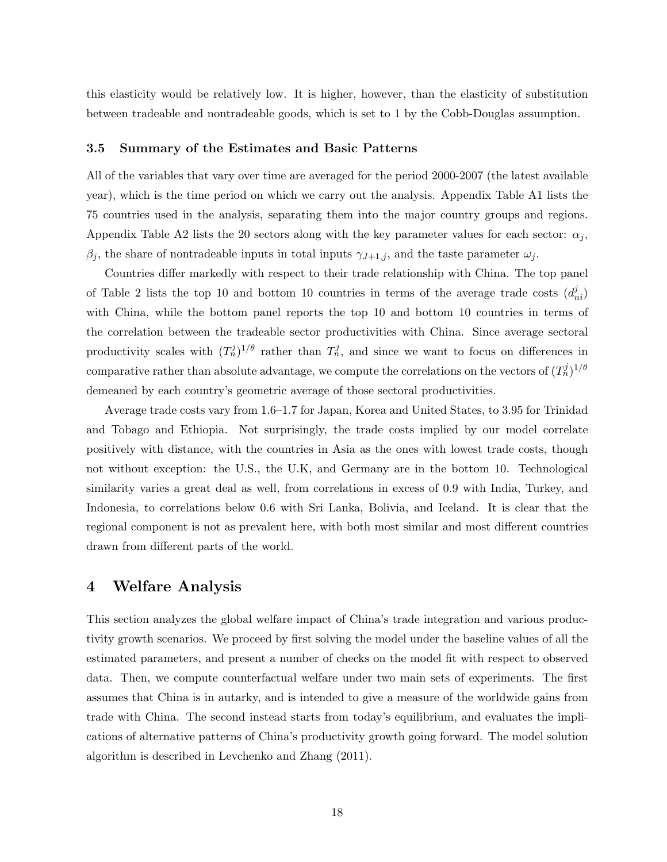this elasticity would be relatively low. It is higher, however, than the elasticity of substitution between tradeable and nontradeable goods, which is set to 1 by the Cobb-Douglas assumption.

#### 3.5 Summary of the Estimates and Basic Patterns

All of the variables that vary over time are averaged for the period 2000-2007 (the latest available year), which is the time period on which we carry out the analysis. Appendix Table A1 lists the 75 countries used in the analysis, separating them into the major country groups and regions. Appendix Table A2 lists the 20 sectors along with the key parameter values for each sector:  $\alpha_i$ ,  $\beta_j$ , the share of nontradeable inputs in total inputs  $\gamma_{J+1,j}$ , and the taste parameter  $\omega_j$ .

Countries differ markedly with respect to their trade relationship with China. The top panel of Table 2 lists the top 10 and bottom 10 countries in terms of the average trade costs  $(d_{ni}^j)$ with China, while the bottom panel reports the top 10 and bottom 10 countries in terms of the correlation between the tradeable sector productivities with China. Since average sectoral productivity scales with  $(T_n^j)^{1/\theta}$  rather than  $T_n^j$ , and since we want to focus on differences in comparative rather than absolute advantage, we compute the correlations on the vectors of  $(T_n^j)^{1/\theta}$ demeaned by each country's geometric average of those sectoral productivities.

Average trade costs vary from 1.6–1.7 for Japan, Korea and United States, to 3.95 for Trinidad and Tobago and Ethiopia. Not surprisingly, the trade costs implied by our model correlate positively with distance, with the countries in Asia as the ones with lowest trade costs, though not without exception: the U.S., the U.K, and Germany are in the bottom 10. Technological similarity varies a great deal as well, from correlations in excess of 0.9 with India, Turkey, and Indonesia, to correlations below 0.6 with Sri Lanka, Bolivia, and Iceland. It is clear that the regional component is not as prevalent here, with both most similar and most different countries drawn from different parts of the world.

### 4 Welfare Analysis

This section analyzes the global welfare impact of China's trade integration and various productivity growth scenarios. We proceed by first solving the model under the baseline values of all the estimated parameters, and present a number of checks on the model fit with respect to observed data. Then, we compute counterfactual welfare under two main sets of experiments. The first assumes that China is in autarky, and is intended to give a measure of the worldwide gains from trade with China. The second instead starts from today's equilibrium, and evaluates the implications of alternative patterns of China's productivity growth going forward. The model solution algorithm is described in Levchenko and Zhang (2011).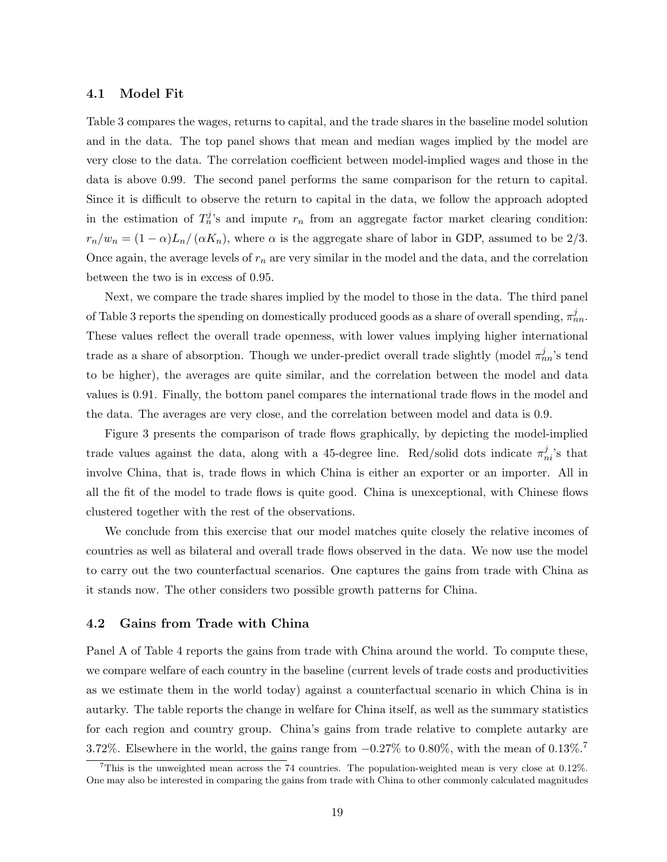#### 4.1 Model Fit

Table 3 compares the wages, returns to capital, and the trade shares in the baseline model solution and in the data. The top panel shows that mean and median wages implied by the model are very close to the data. The correlation coefficient between model-implied wages and those in the data is above 0.99. The second panel performs the same comparison for the return to capital. Since it is difficult to observe the return to capital in the data, we follow the approach adopted in the estimation of  $T_n^j$ 's and impute  $r_n$  from an aggregate factor market clearing condition:  $r_n/w_n = (1 - \alpha)L_n/(\alpha K_n)$ , where  $\alpha$  is the aggregate share of labor in GDP, assumed to be 2/3. Once again, the average levels of  $r_n$  are very similar in the model and the data, and the correlation between the two is in excess of 0.95.

Next, we compare the trade shares implied by the model to those in the data. The third panel of Table 3 reports the spending on domestically produced goods as a share of overall spending,  $\pi_{nn}^j$ . These values reflect the overall trade openness, with lower values implying higher international trade as a share of absorption. Though we under-predict overall trade slightly (model  $\pi_{nn}^j$ 's tend to be higher), the averages are quite similar, and the correlation between the model and data values is 0.91. Finally, the bottom panel compares the international trade flows in the model and the data. The averages are very close, and the correlation between model and data is 0.9.

Figure 3 presents the comparison of trade flows graphically, by depicting the model-implied trade values against the data, along with a 45-degree line. Red/solid dots indicate  $\pi_{ni}^j$ 's that involve China, that is, trade flows in which China is either an exporter or an importer. All in all the fit of the model to trade flows is quite good. China is unexceptional, with Chinese flows clustered together with the rest of the observations.

We conclude from this exercise that our model matches quite closely the relative incomes of countries as well as bilateral and overall trade flows observed in the data. We now use the model to carry out the two counterfactual scenarios. One captures the gains from trade with China as it stands now. The other considers two possible growth patterns for China.

#### 4.2 Gains from Trade with China

Panel A of Table 4 reports the gains from trade with China around the world. To compute these, we compare welfare of each country in the baseline (current levels of trade costs and productivities as we estimate them in the world today) against a counterfactual scenario in which China is in autarky. The table reports the change in welfare for China itself, as well as the summary statistics for each region and country group. China's gains from trade relative to complete autarky are 3.72%. Elsewhere in the world, the gains range from  $-0.27\%$  to 0.80%, with the mean of 0.13%.<sup>7</sup>

<sup>&</sup>lt;sup>7</sup>This is the unweighted mean across the 74 countries. The population-weighted mean is very close at  $0.12\%$ . One may also be interested in comparing the gains from trade with China to other commonly calculated magnitudes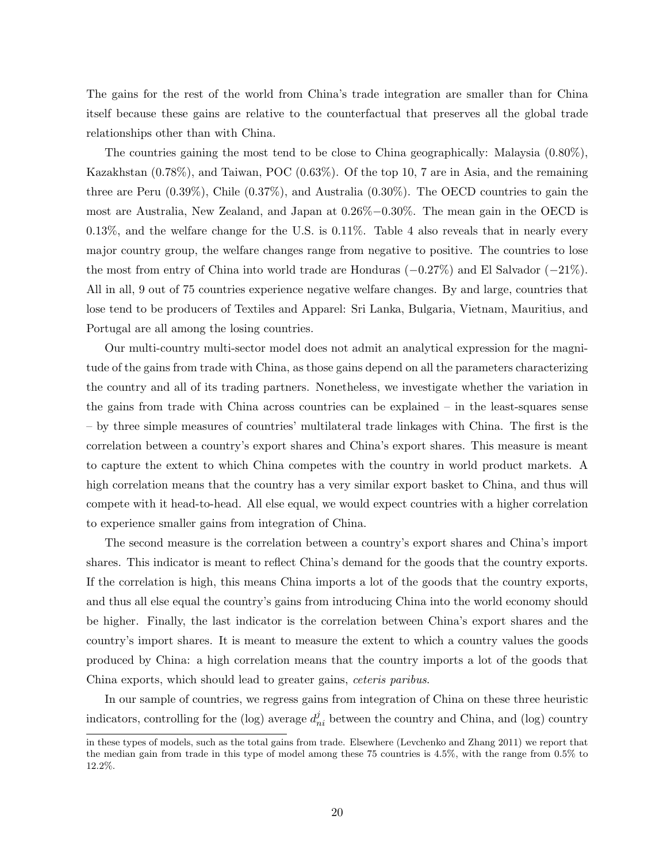The gains for the rest of the world from China's trade integration are smaller than for China itself because these gains are relative to the counterfactual that preserves all the global trade relationships other than with China.

The countries gaining the most tend to be close to China geographically: Malaysia (0.80%), Kazakhstan (0.78%), and Taiwan, POC (0.63%). Of the top 10, 7 are in Asia, and the remaining three are Peru (0.39%), Chile (0.37%), and Australia (0.30%). The OECD countries to gain the most are Australia, New Zealand, and Japan at 0.26%−0.30%. The mean gain in the OECD is 0.13%, and the welfare change for the U.S. is 0.11%. Table 4 also reveals that in nearly every major country group, the welfare changes range from negative to positive. The countries to lose the most from entry of China into world trade are Honduras  $(-0.27\%)$  and El Salvador  $(-21\%)$ . All in all, 9 out of 75 countries experience negative welfare changes. By and large, countries that lose tend to be producers of Textiles and Apparel: Sri Lanka, Bulgaria, Vietnam, Mauritius, and Portugal are all among the losing countries.

Our multi-country multi-sector model does not admit an analytical expression for the magnitude of the gains from trade with China, as those gains depend on all the parameters characterizing the country and all of its trading partners. Nonetheless, we investigate whether the variation in the gains from trade with China across countries can be explained – in the least-squares sense – by three simple measures of countries' multilateral trade linkages with China. The first is the correlation between a country's export shares and China's export shares. This measure is meant to capture the extent to which China competes with the country in world product markets. A high correlation means that the country has a very similar export basket to China, and thus will compete with it head-to-head. All else equal, we would expect countries with a higher correlation to experience smaller gains from integration of China.

The second measure is the correlation between a country's export shares and China's import shares. This indicator is meant to reflect China's demand for the goods that the country exports. If the correlation is high, this means China imports a lot of the goods that the country exports, and thus all else equal the country's gains from introducing China into the world economy should be higher. Finally, the last indicator is the correlation between China's export shares and the country's import shares. It is meant to measure the extent to which a country values the goods produced by China: a high correlation means that the country imports a lot of the goods that China exports, which should lead to greater gains, ceteris paribus.

In our sample of countries, we regress gains from integration of China on these three heuristic indicators, controlling for the (log) average  $d_{ni}^j$  between the country and China, and (log) country

in these types of models, such as the total gains from trade. Elsewhere (Levchenko and Zhang 2011) we report that the median gain from trade in this type of model among these 75 countries is 4.5%, with the range from 0.5% to 12.2%.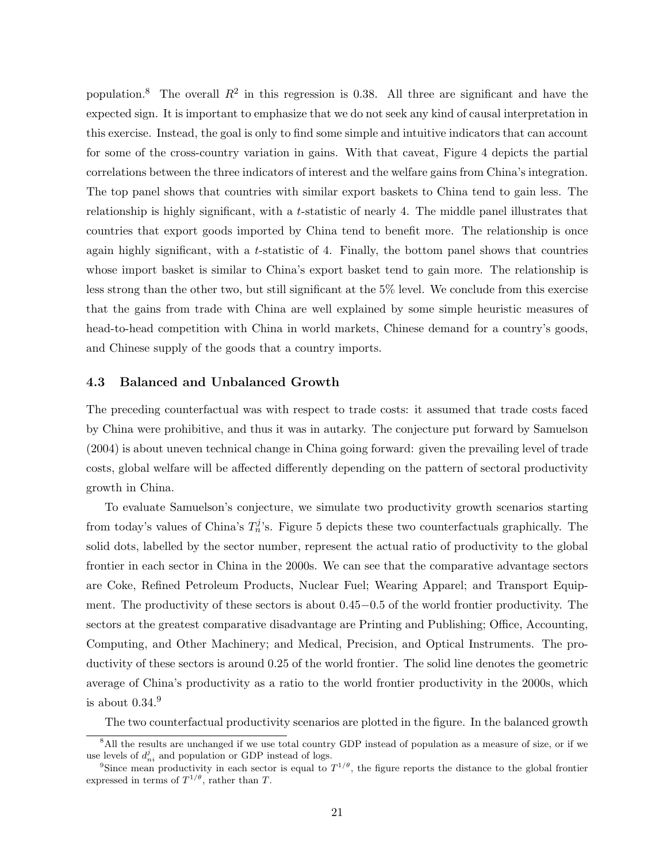population.<sup>8</sup> The overall  $R^2$  in this regression is 0.38. All three are significant and have the expected sign. It is important to emphasize that we do not seek any kind of causal interpretation in this exercise. Instead, the goal is only to find some simple and intuitive indicators that can account for some of the cross-country variation in gains. With that caveat, Figure 4 depicts the partial correlations between the three indicators of interest and the welfare gains from China's integration. The top panel shows that countries with similar export baskets to China tend to gain less. The relationship is highly significant, with a t-statistic of nearly 4. The middle panel illustrates that countries that export goods imported by China tend to benefit more. The relationship is once again highly significant, with a t-statistic of 4. Finally, the bottom panel shows that countries whose import basket is similar to China's export basket tend to gain more. The relationship is less strong than the other two, but still significant at the 5% level. We conclude from this exercise that the gains from trade with China are well explained by some simple heuristic measures of head-to-head competition with China in world markets, Chinese demand for a country's goods, and Chinese supply of the goods that a country imports.

#### 4.3 Balanced and Unbalanced Growth

The preceding counterfactual was with respect to trade costs: it assumed that trade costs faced by China were prohibitive, and thus it was in autarky. The conjecture put forward by Samuelson (2004) is about uneven technical change in China going forward: given the prevailing level of trade costs, global welfare will be affected differently depending on the pattern of sectoral productivity growth in China.

To evaluate Samuelson's conjecture, we simulate two productivity growth scenarios starting from today's values of China's  $T_n^j$ 's. Figure 5 depicts these two counterfactuals graphically. The solid dots, labelled by the sector number, represent the actual ratio of productivity to the global frontier in each sector in China in the 2000s. We can see that the comparative advantage sectors are Coke, Refined Petroleum Products, Nuclear Fuel; Wearing Apparel; and Transport Equipment. The productivity of these sectors is about 0.45−0.5 of the world frontier productivity. The sectors at the greatest comparative disadvantage are Printing and Publishing; Office, Accounting, Computing, and Other Machinery; and Medical, Precision, and Optical Instruments. The productivity of these sectors is around 0.25 of the world frontier. The solid line denotes the geometric average of China's productivity as a ratio to the world frontier productivity in the 2000s, which is about  $0.34<sup>9</sup>$ 

The two counterfactual productivity scenarios are plotted in the figure. In the balanced growth

<sup>8</sup>All the results are unchanged if we use total country GDP instead of population as a measure of size, or if we use levels of  $d_{ni}^j$  and population or GDP instead of logs.

<sup>&</sup>lt;sup>9</sup>Since mean productivity in each sector is equal to  $T^{1/\theta}$ , the figure reports the distance to the global frontier expressed in terms of  $T^{1/\theta}$ , rather than T.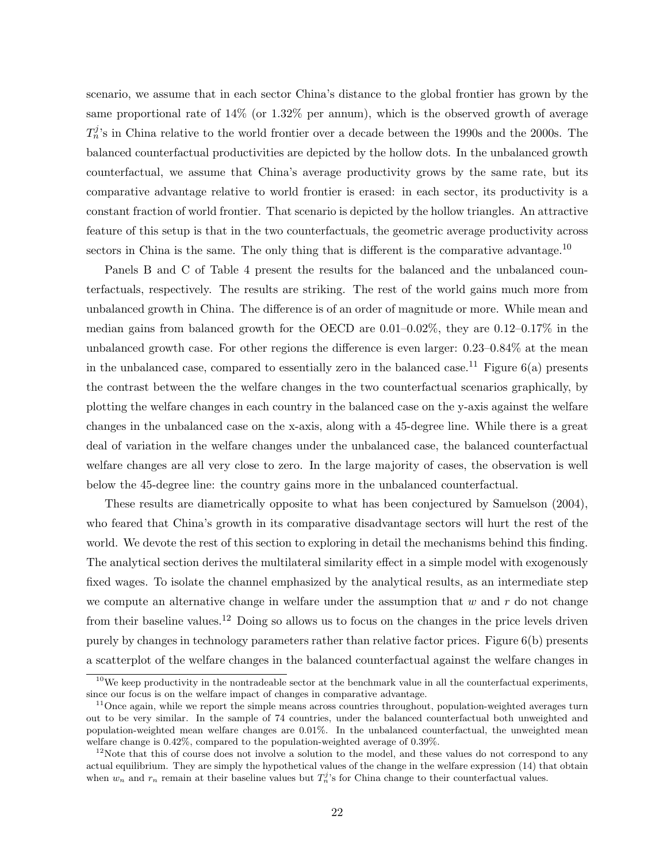scenario, we assume that in each sector China's distance to the global frontier has grown by the same proportional rate of 14% (or 1.32% per annum), which is the observed growth of average  $T_n^j$ 's in China relative to the world frontier over a decade between the 1990s and the 2000s. The balanced counterfactual productivities are depicted by the hollow dots. In the unbalanced growth counterfactual, we assume that China's average productivity grows by the same rate, but its comparative advantage relative to world frontier is erased: in each sector, its productivity is a constant fraction of world frontier. That scenario is depicted by the hollow triangles. An attractive feature of this setup is that in the two counterfactuals, the geometric average productivity across sectors in China is the same. The only thing that is different is the comparative advantage.<sup>10</sup>

Panels B and C of Table 4 present the results for the balanced and the unbalanced counterfactuals, respectively. The results are striking. The rest of the world gains much more from unbalanced growth in China. The difference is of an order of magnitude or more. While mean and median gains from balanced growth for the OECD are 0.01–0.02%, they are 0.12–0.17% in the unbalanced growth case. For other regions the difference is even larger: 0.23–0.84% at the mean in the unbalanced case, compared to essentially zero in the balanced case.<sup>11</sup> Figure  $6(a)$  presents the contrast between the the welfare changes in the two counterfactual scenarios graphically, by plotting the welfare changes in each country in the balanced case on the y-axis against the welfare changes in the unbalanced case on the x-axis, along with a 45-degree line. While there is a great deal of variation in the welfare changes under the unbalanced case, the balanced counterfactual welfare changes are all very close to zero. In the large majority of cases, the observation is well below the 45-degree line: the country gains more in the unbalanced counterfactual.

These results are diametrically opposite to what has been conjectured by Samuelson (2004), who feared that China's growth in its comparative disadvantage sectors will hurt the rest of the world. We devote the rest of this section to exploring in detail the mechanisms behind this finding. The analytical section derives the multilateral similarity effect in a simple model with exogenously fixed wages. To isolate the channel emphasized by the analytical results, as an intermediate step we compute an alternative change in welfare under the assumption that  $w$  and  $r$  do not change from their baseline values.<sup>12</sup> Doing so allows us to focus on the changes in the price levels driven purely by changes in technology parameters rather than relative factor prices. Figure 6(b) presents a scatterplot of the welfare changes in the balanced counterfactual against the welfare changes in

 $10$ We keep productivity in the nontradeable sector at the benchmark value in all the counterfactual experiments, since our focus is on the welfare impact of changes in comparative advantage.

<sup>&</sup>lt;sup>11</sup>Once again, while we report the simple means across countries throughout, population-weighted averages turn out to be very similar. In the sample of 74 countries, under the balanced counterfactual both unweighted and population-weighted mean welfare changes are 0.01%. In the unbalanced counterfactual, the unweighted mean welfare change is 0.42%, compared to the population-weighted average of 0.39%.

 $12$ Note that this of course does not involve a solution to the model, and these values do not correspond to any actual equilibrium. They are simply the hypothetical values of the change in the welfare expression (14) that obtain when  $w_n$  and  $r_n$  remain at their baseline values but  $T_n^j$ 's for China change to their counterfactual values.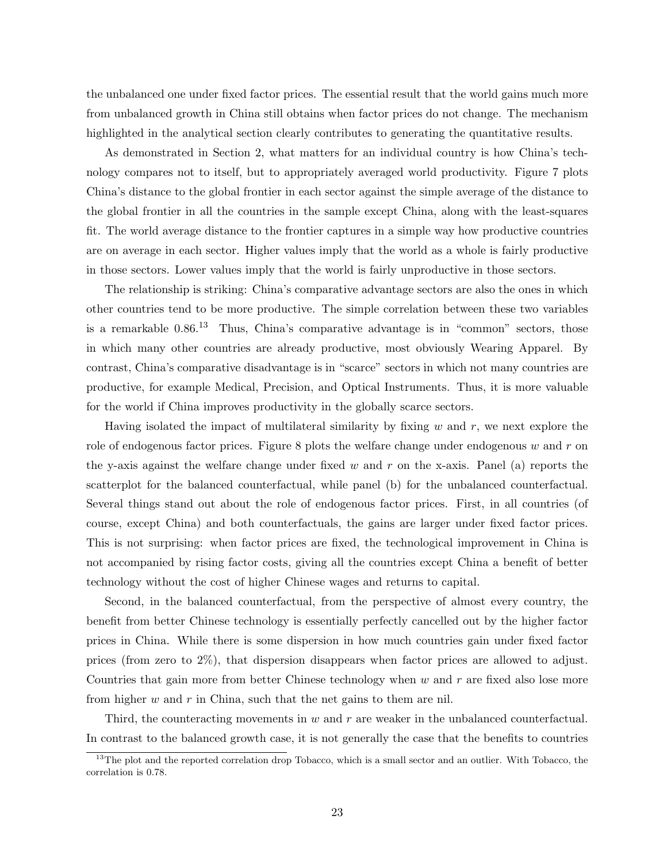the unbalanced one under fixed factor prices. The essential result that the world gains much more from unbalanced growth in China still obtains when factor prices do not change. The mechanism highlighted in the analytical section clearly contributes to generating the quantitative results.

As demonstrated in Section 2, what matters for an individual country is how China's technology compares not to itself, but to appropriately averaged world productivity. Figure 7 plots China's distance to the global frontier in each sector against the simple average of the distance to the global frontier in all the countries in the sample except China, along with the least-squares fit. The world average distance to the frontier captures in a simple way how productive countries are on average in each sector. Higher values imply that the world as a whole is fairly productive in those sectors. Lower values imply that the world is fairly unproductive in those sectors.

The relationship is striking: China's comparative advantage sectors are also the ones in which other countries tend to be more productive. The simple correlation between these two variables is a remarkable  $0.86<sup>13</sup>$  Thus, China's comparative advantage is in "common" sectors, those in which many other countries are already productive, most obviously Wearing Apparel. By contrast, China's comparative disadvantage is in "scarce" sectors in which not many countries are productive, for example Medical, Precision, and Optical Instruments. Thus, it is more valuable for the world if China improves productivity in the globally scarce sectors.

Having isolated the impact of multilateral similarity by fixing  $w$  and  $r$ , we next explore the role of endogenous factor prices. Figure 8 plots the welfare change under endogenous  $w$  and  $r$  on the y-axis against the welfare change under fixed w and r on the x-axis. Panel (a) reports the scatterplot for the balanced counterfactual, while panel (b) for the unbalanced counterfactual. Several things stand out about the role of endogenous factor prices. First, in all countries (of course, except China) and both counterfactuals, the gains are larger under fixed factor prices. This is not surprising: when factor prices are fixed, the technological improvement in China is not accompanied by rising factor costs, giving all the countries except China a benefit of better technology without the cost of higher Chinese wages and returns to capital.

Second, in the balanced counterfactual, from the perspective of almost every country, the benefit from better Chinese technology is essentially perfectly cancelled out by the higher factor prices in China. While there is some dispersion in how much countries gain under fixed factor prices (from zero to 2%), that dispersion disappears when factor prices are allowed to adjust. Countries that gain more from better Chinese technology when  $w$  and  $r$  are fixed also lose more from higher  $w$  and  $r$  in China, such that the net gains to them are nil.

Third, the counteracting movements in  $w$  and  $r$  are weaker in the unbalanced counterfactual. In contrast to the balanced growth case, it is not generally the case that the benefits to countries

<sup>&</sup>lt;sup>13</sup>The plot and the reported correlation drop Tobacco, which is a small sector and an outlier. With Tobacco, the correlation is 0.78.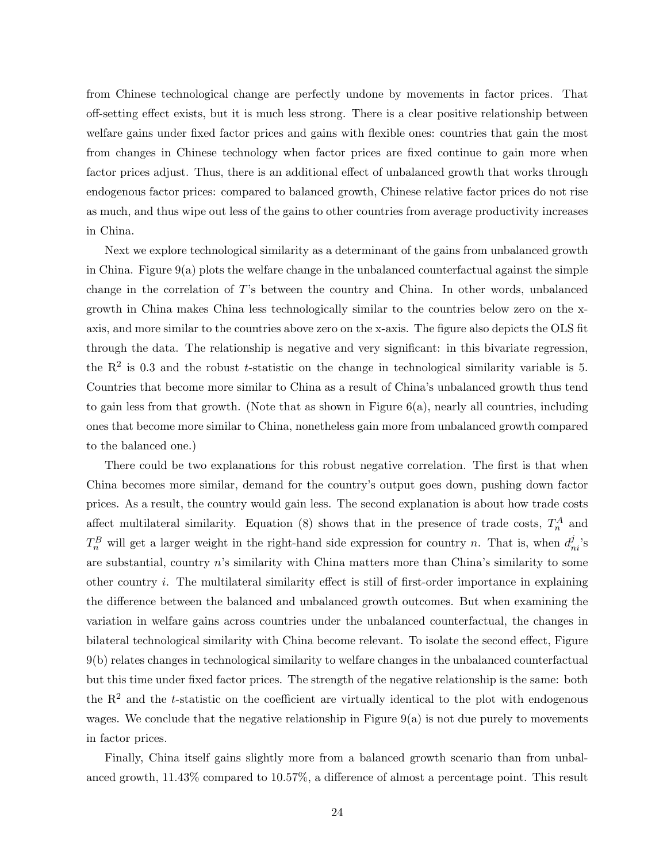from Chinese technological change are perfectly undone by movements in factor prices. That off-setting effect exists, but it is much less strong. There is a clear positive relationship between welfare gains under fixed factor prices and gains with flexible ones: countries that gain the most from changes in Chinese technology when factor prices are fixed continue to gain more when factor prices adjust. Thus, there is an additional effect of unbalanced growth that works through endogenous factor prices: compared to balanced growth, Chinese relative factor prices do not rise as much, and thus wipe out less of the gains to other countries from average productivity increases in China.

Next we explore technological similarity as a determinant of the gains from unbalanced growth in China. Figure  $9(a)$  plots the welfare change in the unbalanced counterfactual against the simple change in the correlation of T's between the country and China. In other words, unbalanced growth in China makes China less technologically similar to the countries below zero on the xaxis, and more similar to the countries above zero on the x-axis. The figure also depicts the OLS fit through the data. The relationship is negative and very significant: in this bivariate regression, the  $\mathbb{R}^2$  is 0.3 and the robust *t*-statistic on the change in technological similarity variable is 5. Countries that become more similar to China as a result of China's unbalanced growth thus tend to gain less from that growth. (Note that as shown in Figure 6(a), nearly all countries, including ones that become more similar to China, nonetheless gain more from unbalanced growth compared to the balanced one.)

There could be two explanations for this robust negative correlation. The first is that when China becomes more similar, demand for the country's output goes down, pushing down factor prices. As a result, the country would gain less. The second explanation is about how trade costs affect multilateral similarity. Equation (8) shows that in the presence of trade costs,  $T_n^A$  and  $T_n^B$  will get a larger weight in the right-hand side expression for country n. That is, when  $d_{ni}^j$ 's are substantial, country  $n$ 's similarity with China matters more than China's similarity to some other country i. The multilateral similarity effect is still of first-order importance in explaining the difference between the balanced and unbalanced growth outcomes. But when examining the variation in welfare gains across countries under the unbalanced counterfactual, the changes in bilateral technological similarity with China become relevant. To isolate the second effect, Figure 9(b) relates changes in technological similarity to welfare changes in the unbalanced counterfactual but this time under fixed factor prices. The strength of the negative relationship is the same: both the  $R<sup>2</sup>$  and the t-statistic on the coefficient are virtually identical to the plot with endogenous wages. We conclude that the negative relationship in Figure  $9(a)$  is not due purely to movements in factor prices.

Finally, China itself gains slightly more from a balanced growth scenario than from unbalanced growth, 11.43% compared to 10.57%, a difference of almost a percentage point. This result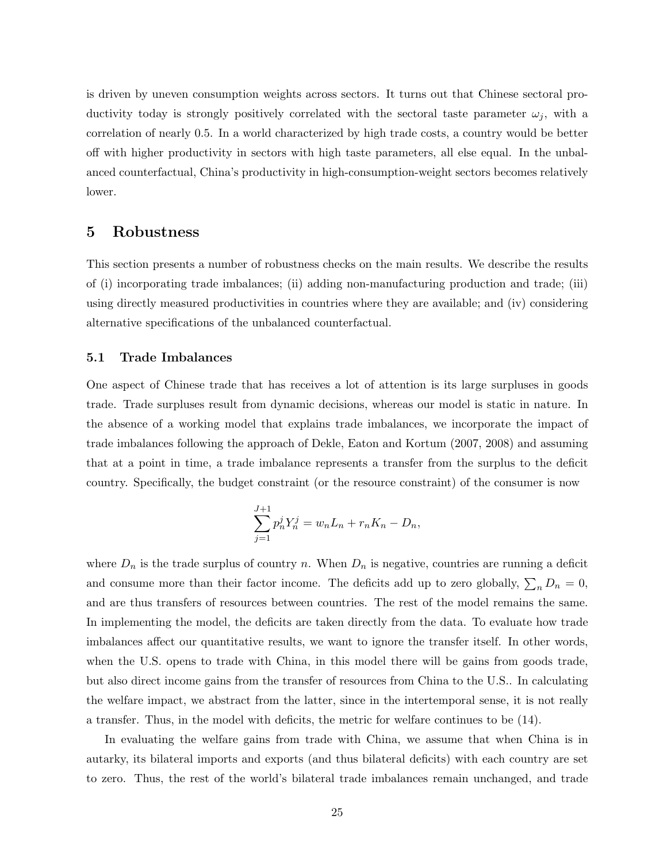is driven by uneven consumption weights across sectors. It turns out that Chinese sectoral productivity today is strongly positively correlated with the sectoral taste parameter  $\omega_i$ , with a correlation of nearly 0.5. In a world characterized by high trade costs, a country would be better off with higher productivity in sectors with high taste parameters, all else equal. In the unbalanced counterfactual, China's productivity in high-consumption-weight sectors becomes relatively lower.

#### 5 Robustness

This section presents a number of robustness checks on the main results. We describe the results of (i) incorporating trade imbalances; (ii) adding non-manufacturing production and trade; (iii) using directly measured productivities in countries where they are available; and (iv) considering alternative specifications of the unbalanced counterfactual.

#### 5.1 Trade Imbalances

One aspect of Chinese trade that has receives a lot of attention is its large surpluses in goods trade. Trade surpluses result from dynamic decisions, whereas our model is static in nature. In the absence of a working model that explains trade imbalances, we incorporate the impact of trade imbalances following the approach of Dekle, Eaton and Kortum (2007, 2008) and assuming that at a point in time, a trade imbalance represents a transfer from the surplus to the deficit country. Specifically, the budget constraint (or the resource constraint) of the consumer is now

$$
\sum_{j=1}^{J+1} p_n^j Y_n^j = w_n L_n + r_n K_n - D_n,
$$

where  $D_n$  is the trade surplus of country n. When  $D_n$  is negative, countries are running a deficit and consume more than their factor income. The deficits add up to zero globally,  $\sum_n D_n = 0$ , and are thus transfers of resources between countries. The rest of the model remains the same. In implementing the model, the deficits are taken directly from the data. To evaluate how trade imbalances affect our quantitative results, we want to ignore the transfer itself. In other words, when the U.S. opens to trade with China, in this model there will be gains from goods trade, but also direct income gains from the transfer of resources from China to the U.S.. In calculating the welfare impact, we abstract from the latter, since in the intertemporal sense, it is not really a transfer. Thus, in the model with deficits, the metric for welfare continues to be (14).

In evaluating the welfare gains from trade with China, we assume that when China is in autarky, its bilateral imports and exports (and thus bilateral deficits) with each country are set to zero. Thus, the rest of the world's bilateral trade imbalances remain unchanged, and trade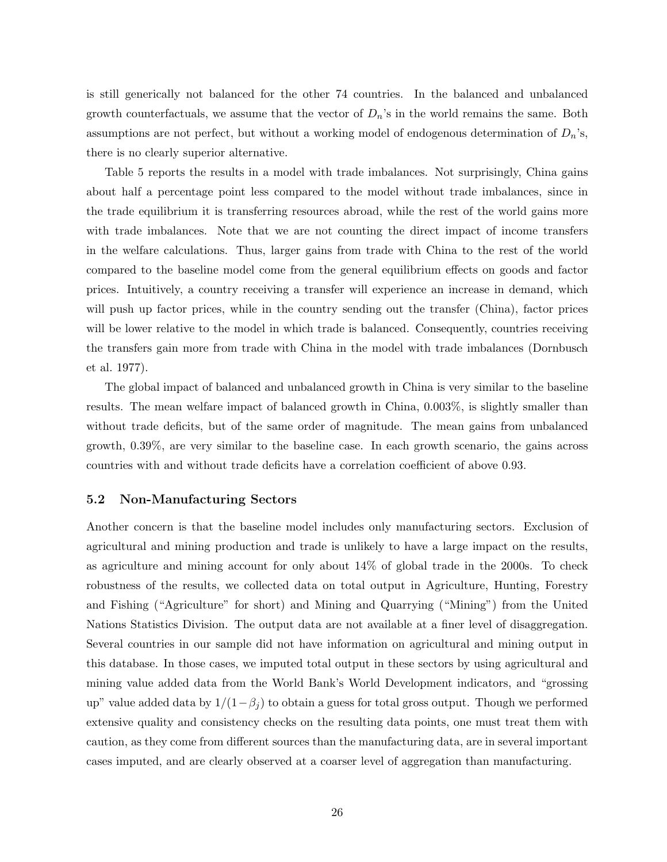is still generically not balanced for the other 74 countries. In the balanced and unbalanced growth counterfactuals, we assume that the vector of  $D_n$ 's in the world remains the same. Both assumptions are not perfect, but without a working model of endogenous determination of  $D_n$ 's, there is no clearly superior alternative.

Table 5 reports the results in a model with trade imbalances. Not surprisingly, China gains about half a percentage point less compared to the model without trade imbalances, since in the trade equilibrium it is transferring resources abroad, while the rest of the world gains more with trade imbalances. Note that we are not counting the direct impact of income transfers in the welfare calculations. Thus, larger gains from trade with China to the rest of the world compared to the baseline model come from the general equilibrium effects on goods and factor prices. Intuitively, a country receiving a transfer will experience an increase in demand, which will push up factor prices, while in the country sending out the transfer (China), factor prices will be lower relative to the model in which trade is balanced. Consequently, countries receiving the transfers gain more from trade with China in the model with trade imbalances (Dornbusch et al. 1977).

The global impact of balanced and unbalanced growth in China is very similar to the baseline results. The mean welfare impact of balanced growth in China, 0.003%, is slightly smaller than without trade deficits, but of the same order of magnitude. The mean gains from unbalanced growth, 0.39%, are very similar to the baseline case. In each growth scenario, the gains across countries with and without trade deficits have a correlation coefficient of above 0.93.

#### 5.2 Non-Manufacturing Sectors

Another concern is that the baseline model includes only manufacturing sectors. Exclusion of agricultural and mining production and trade is unlikely to have a large impact on the results, as agriculture and mining account for only about 14% of global trade in the 2000s. To check robustness of the results, we collected data on total output in Agriculture, Hunting, Forestry and Fishing ("Agriculture" for short) and Mining and Quarrying ("Mining") from the United Nations Statistics Division. The output data are not available at a finer level of disaggregation. Several countries in our sample did not have information on agricultural and mining output in this database. In those cases, we imputed total output in these sectors by using agricultural and mining value added data from the World Bank's World Development indicators, and "grossing up" value added data by  $1/(1-\beta_i)$  to obtain a guess for total gross output. Though we performed extensive quality and consistency checks on the resulting data points, one must treat them with caution, as they come from different sources than the manufacturing data, are in several important cases imputed, and are clearly observed at a coarser level of aggregation than manufacturing.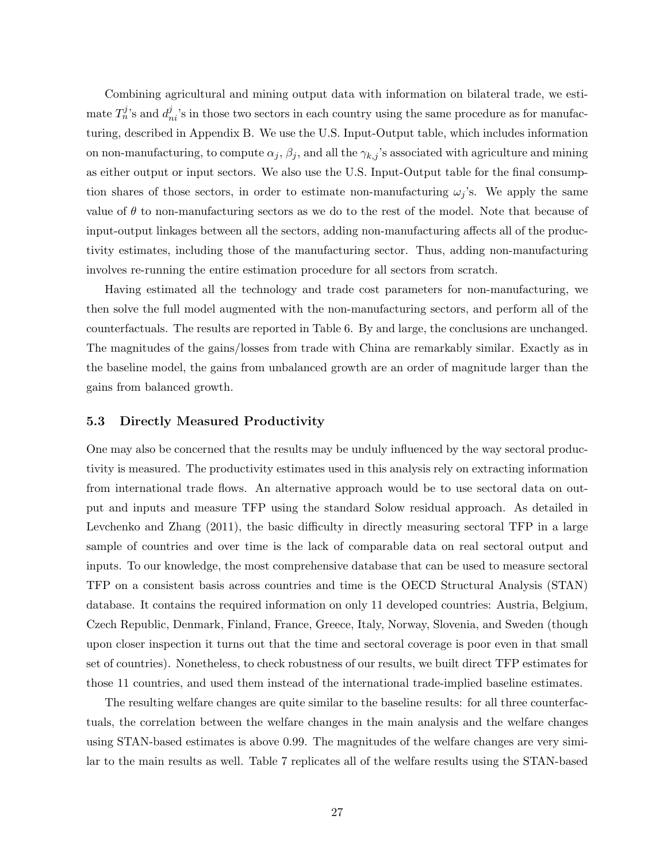Combining agricultural and mining output data with information on bilateral trade, we estimate  $T_n^j$ 's and  $d_{ni}^j$ 's in those two sectors in each country using the same procedure as for manufacturing, described in Appendix B. We use the U.S. Input-Output table, which includes information on non-manufacturing, to compute  $\alpha_j$ ,  $\beta_j$ , and all the  $\gamma_{k,j}$ 's associated with agriculture and mining as either output or input sectors. We also use the U.S. Input-Output table for the final consumption shares of those sectors, in order to estimate non-manufacturing  $\omega_i$ 's. We apply the same value of  $\theta$  to non-manufacturing sectors as we do to the rest of the model. Note that because of input-output linkages between all the sectors, adding non-manufacturing affects all of the productivity estimates, including those of the manufacturing sector. Thus, adding non-manufacturing involves re-running the entire estimation procedure for all sectors from scratch.

Having estimated all the technology and trade cost parameters for non-manufacturing, we then solve the full model augmented with the non-manufacturing sectors, and perform all of the counterfactuals. The results are reported in Table 6. By and large, the conclusions are unchanged. The magnitudes of the gains/losses from trade with China are remarkably similar. Exactly as in the baseline model, the gains from unbalanced growth are an order of magnitude larger than the gains from balanced growth.

#### 5.3 Directly Measured Productivity

One may also be concerned that the results may be unduly influenced by the way sectoral productivity is measured. The productivity estimates used in this analysis rely on extracting information from international trade flows. An alternative approach would be to use sectoral data on output and inputs and measure TFP using the standard Solow residual approach. As detailed in Levchenko and Zhang (2011), the basic difficulty in directly measuring sectoral TFP in a large sample of countries and over time is the lack of comparable data on real sectoral output and inputs. To our knowledge, the most comprehensive database that can be used to measure sectoral TFP on a consistent basis across countries and time is the OECD Structural Analysis (STAN) database. It contains the required information on only 11 developed countries: Austria, Belgium, Czech Republic, Denmark, Finland, France, Greece, Italy, Norway, Slovenia, and Sweden (though upon closer inspection it turns out that the time and sectoral coverage is poor even in that small set of countries). Nonetheless, to check robustness of our results, we built direct TFP estimates for those 11 countries, and used them instead of the international trade-implied baseline estimates.

The resulting welfare changes are quite similar to the baseline results: for all three counterfactuals, the correlation between the welfare changes in the main analysis and the welfare changes using STAN-based estimates is above 0.99. The magnitudes of the welfare changes are very similar to the main results as well. Table 7 replicates all of the welfare results using the STAN-based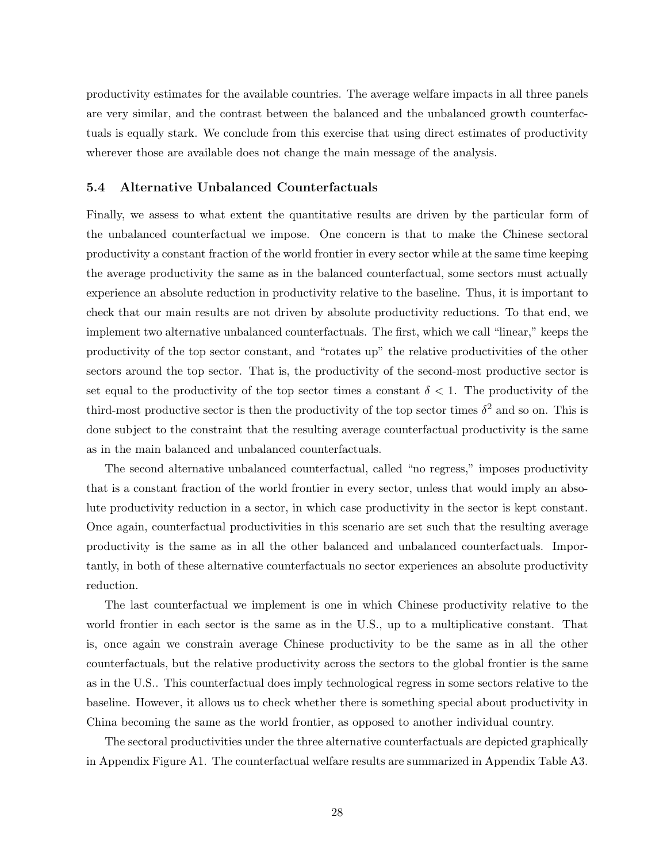productivity estimates for the available countries. The average welfare impacts in all three panels are very similar, and the contrast between the balanced and the unbalanced growth counterfactuals is equally stark. We conclude from this exercise that using direct estimates of productivity wherever those are available does not change the main message of the analysis.

#### 5.4 Alternative Unbalanced Counterfactuals

Finally, we assess to what extent the quantitative results are driven by the particular form of the unbalanced counterfactual we impose. One concern is that to make the Chinese sectoral productivity a constant fraction of the world frontier in every sector while at the same time keeping the average productivity the same as in the balanced counterfactual, some sectors must actually experience an absolute reduction in productivity relative to the baseline. Thus, it is important to check that our main results are not driven by absolute productivity reductions. To that end, we implement two alternative unbalanced counterfactuals. The first, which we call "linear," keeps the productivity of the top sector constant, and "rotates up" the relative productivities of the other sectors around the top sector. That is, the productivity of the second-most productive sector is set equal to the productivity of the top sector times a constant  $\delta < 1$ . The productivity of the third-most productive sector is then the productivity of the top sector times  $\delta^2$  and so on. This is done subject to the constraint that the resulting average counterfactual productivity is the same as in the main balanced and unbalanced counterfactuals.

The second alternative unbalanced counterfactual, called "no regress," imposes productivity that is a constant fraction of the world frontier in every sector, unless that would imply an absolute productivity reduction in a sector, in which case productivity in the sector is kept constant. Once again, counterfactual productivities in this scenario are set such that the resulting average productivity is the same as in all the other balanced and unbalanced counterfactuals. Importantly, in both of these alternative counterfactuals no sector experiences an absolute productivity reduction.

The last counterfactual we implement is one in which Chinese productivity relative to the world frontier in each sector is the same as in the U.S., up to a multiplicative constant. That is, once again we constrain average Chinese productivity to be the same as in all the other counterfactuals, but the relative productivity across the sectors to the global frontier is the same as in the U.S.. This counterfactual does imply technological regress in some sectors relative to the baseline. However, it allows us to check whether there is something special about productivity in China becoming the same as the world frontier, as opposed to another individual country.

The sectoral productivities under the three alternative counterfactuals are depicted graphically in Appendix Figure A1. The counterfactual welfare results are summarized in Appendix Table A3.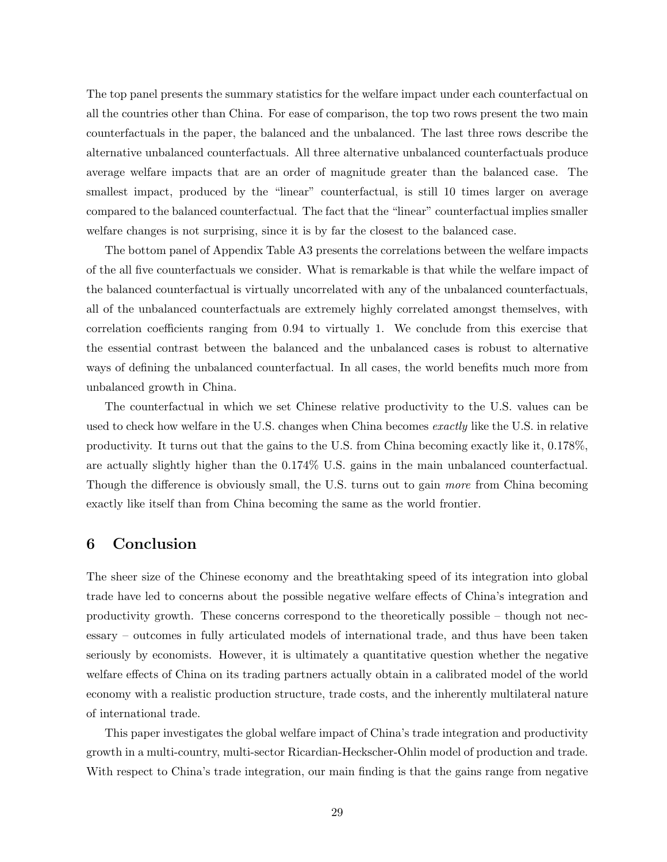The top panel presents the summary statistics for the welfare impact under each counterfactual on all the countries other than China. For ease of comparison, the top two rows present the two main counterfactuals in the paper, the balanced and the unbalanced. The last three rows describe the alternative unbalanced counterfactuals. All three alternative unbalanced counterfactuals produce average welfare impacts that are an order of magnitude greater than the balanced case. The smallest impact, produced by the "linear" counterfactual, is still 10 times larger on average compared to the balanced counterfactual. The fact that the "linear" counterfactual implies smaller welfare changes is not surprising, since it is by far the closest to the balanced case.

The bottom panel of Appendix Table A3 presents the correlations between the welfare impacts of the all five counterfactuals we consider. What is remarkable is that while the welfare impact of the balanced counterfactual is virtually uncorrelated with any of the unbalanced counterfactuals, all of the unbalanced counterfactuals are extremely highly correlated amongst themselves, with correlation coefficients ranging from 0.94 to virtually 1. We conclude from this exercise that the essential contrast between the balanced and the unbalanced cases is robust to alternative ways of defining the unbalanced counterfactual. In all cases, the world benefits much more from unbalanced growth in China.

The counterfactual in which we set Chinese relative productivity to the U.S. values can be used to check how welfare in the U.S. changes when China becomes *exactly* like the U.S. in relative productivity. It turns out that the gains to the U.S. from China becoming exactly like it, 0.178%, are actually slightly higher than the 0.174% U.S. gains in the main unbalanced counterfactual. Though the difference is obviously small, the U.S. turns out to gain *more* from China becoming exactly like itself than from China becoming the same as the world frontier.

### 6 Conclusion

The sheer size of the Chinese economy and the breathtaking speed of its integration into global trade have led to concerns about the possible negative welfare effects of China's integration and productivity growth. These concerns correspond to the theoretically possible – though not necessary – outcomes in fully articulated models of international trade, and thus have been taken seriously by economists. However, it is ultimately a quantitative question whether the negative welfare effects of China on its trading partners actually obtain in a calibrated model of the world economy with a realistic production structure, trade costs, and the inherently multilateral nature of international trade.

This paper investigates the global welfare impact of China's trade integration and productivity growth in a multi-country, multi-sector Ricardian-Heckscher-Ohlin model of production and trade. With respect to China's trade integration, our main finding is that the gains range from negative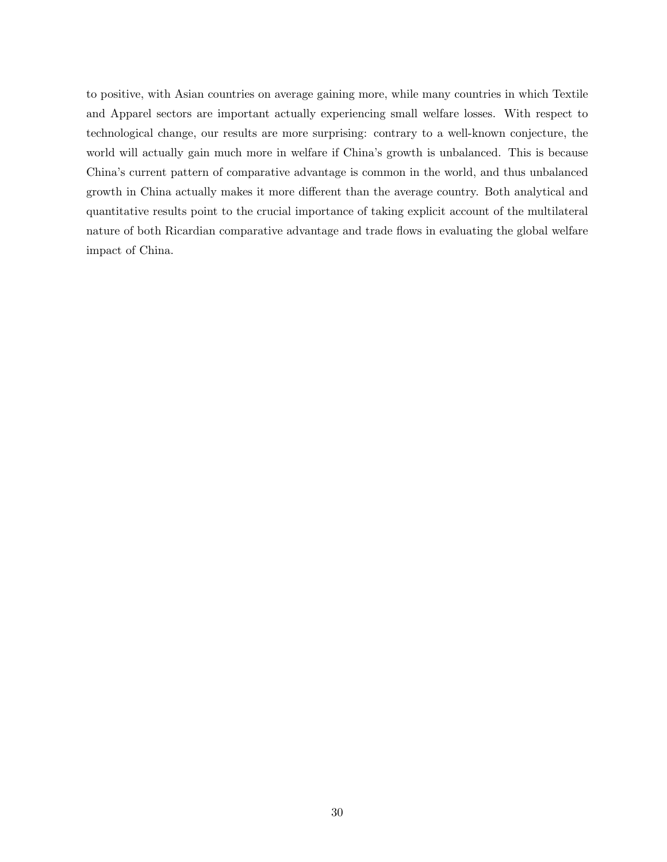to positive, with Asian countries on average gaining more, while many countries in which Textile and Apparel sectors are important actually experiencing small welfare losses. With respect to technological change, our results are more surprising: contrary to a well-known conjecture, the world will actually gain much more in welfare if China's growth is unbalanced. This is because China's current pattern of comparative advantage is common in the world, and thus unbalanced growth in China actually makes it more different than the average country. Both analytical and quantitative results point to the crucial importance of taking explicit account of the multilateral nature of both Ricardian comparative advantage and trade flows in evaluating the global welfare impact of China.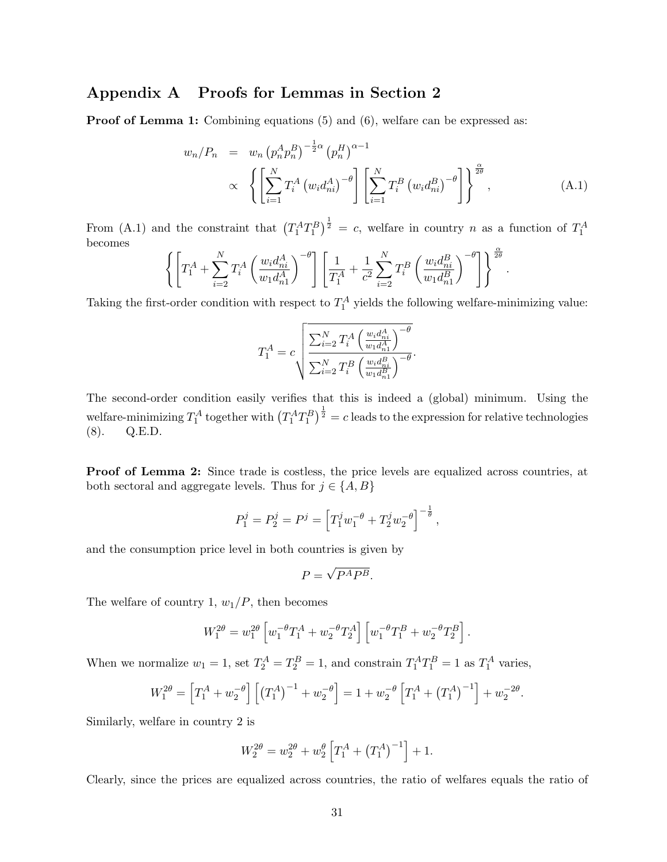### Appendix A Proofs for Lemmas in Section 2

**Proof of Lemma 1:** Combining equations (5) and (6), welfare can be expressed as:

$$
w_n / P_n = w_n (p_n^A p_n^B)^{-\frac{1}{2}\alpha} (p_n^H)^{\alpha - 1}
$$
  
 
$$
\propto \left\{ \left[ \sum_{i=1}^N T_i^A (w_i d_{ni}^A)^{-\theta} \right] \left[ \sum_{i=1}^N T_i^B (w_i d_{ni}^B)^{-\theta} \right] \right\}^{\frac{\alpha}{2\theta}}, \qquad (A.1)
$$

.

From (A.1) and the constraint that  $(T_1^A T_1^B)^{\frac{1}{2}} = c$ , welfare in country n as a function of  $T_1^A$ becomes

$$
\left\{\left[T_1^A+\sum_{i=2}^NT_i^A\left(\frac{w_id_{ni}^A}{w_1d_{n1}^A}\right)^{-\theta}\right]\left[\frac{1}{T_1^A}+\frac{1}{c^2}\sum_{i=2}^NT_i^B\left(\frac{w_id_{ni}^B}{w_1d_{n1}^B}\right)^{-\theta}\right]\right\}^{\frac{\alpha}{2\theta}}
$$

Taking the first-order condition with respect to  $T_1^A$  yields the following welfare-minimizing value:

$$
T_1^A = c \sqrt{\frac{\sum_{i=2}^N T_i^A \left(\frac{w_i d_{ni}^A}{w_1 d_{ni}^A}\right)^{-\theta}}{\sum_{i=2}^N T_i^B \left(\frac{w_i d_{ni}^B}{w_1 d_{ni}^B}\right)^{-\theta}}}.
$$

The second-order condition easily verifies that this is indeed a (global) minimum. Using the welfare-minimizing  $T_1^A$  together with  $\left(T_1^AT_1^B\right)^{\frac{1}{2}}=c$  leads to the expression for relative technologies (8). Q.E.D.

Proof of Lemma 2: Since trade is costless, the price levels are equalized across countries, at both sectoral and aggregate levels. Thus for  $j \in \{A, B\}$ 

$$
P_1^j = P_2^j = P^j = \left[ T_1^j w_1^{-\theta} + T_2^j w_2^{-\theta} \right]^{-\frac{1}{\theta}},
$$

and the consumption price level in both countries is given by

$$
P = \sqrt{P^A P^B}.
$$

The welfare of country 1,  $w_1/P$ , then becomes

$$
W_1^{2\theta} = w_1^{2\theta} \left[ w_1^{-\theta} T_1^A + w_2^{-\theta} T_2^A \right] \left[ w_1^{-\theta} T_1^B + w_2^{-\theta} T_2^B \right].
$$

When we normalize  $w_1 = 1$ , set  $T_2^A = T_2^B = 1$ , and constrain  $T_1^A T_1^B = 1$  as  $T_1^A$  varies,

$$
W_1^{2\theta} = \left[T_1^A + w_2^{-\theta}\right] \left[\left(T_1^A\right)^{-1} + w_2^{-\theta}\right] = 1 + w_2^{-\theta} \left[T_1^A + \left(T_1^A\right)^{-1}\right] + w_2^{-2\theta}.
$$

Similarly, welfare in country 2 is

$$
W_2^{2\theta} = w_2^{2\theta} + w_2^{\theta} \left[ T_1^A + \left( T_1^A \right)^{-1} \right] + 1.
$$

Clearly, since the prices are equalized across countries, the ratio of welfares equals the ratio of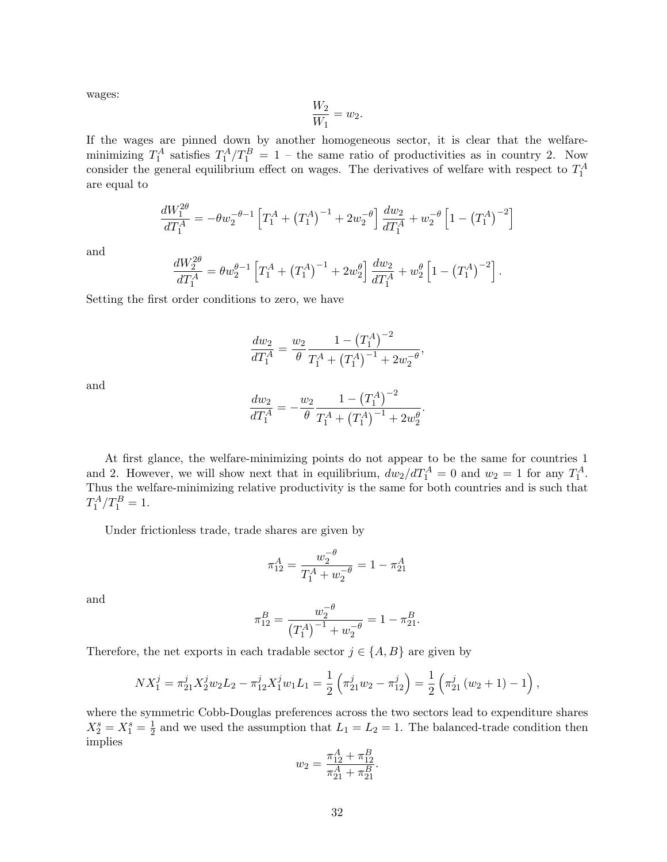wages:

$$
\frac{W_2}{W_1} = w_2.
$$

If the wages are pinned down by another homogeneous sector, it is clear that the welfareminimizing  $T_1^A$  satisfies  $T_1^A/T_1^B = 1$  – the same ratio of productivities as in country 2. Now consider the general equilibrium effect on wages. The derivatives of welfare with respect to  $T_1^A$ are equal to

$$
\frac{dW_1^{2\theta}}{dT_1^A} = -\theta w_2^{-\theta - 1} \left[ T_1^A + \left( T_1^A \right)^{-1} + 2w_2^{-\theta} \right] \frac{dw_2}{dT_1^A} + w_2^{-\theta} \left[ 1 - \left( T_1^A \right)^{-2} \right]
$$

and

$$
\frac{dW_2^{2\theta}}{dT_1^A} = \theta w_2^{\theta-1} \left[ T_1^A + (T_1^A)^{-1} + 2w_2^{\theta} \right] \frac{dw_2}{dT_1^A} + w_2^{\theta} \left[ 1 - (T_1^A)^{-2} \right].
$$

Setting the first order conditions to zero, we have

$$
\frac{dw_2}{dT_1^A} = \frac{w_2}{\theta} \frac{1 - \left(T_1^A\right)^{-2}}{T_1^A + \left(T_1^A\right)^{-1} + 2w_2^{-\theta}},
$$

and

$$
\frac{dw_2}{dT_1^A} = -\frac{w_2}{\theta} \frac{1 - \left(T_1^A\right)^{-2}}{T_1^A + \left(T_1^A\right)^{-1} + 2w_2^{\theta}}
$$

.

At first glance, the welfare-minimizing points do not appear to be the same for countries 1 and 2. However, we will show next that in equilibrium,  $dw_2/dT_1^A = 0$  and  $w_2 = 1$  for any  $T_1^A$ . Thus the welfare-minimizing relative productivity is the same for both countries and is such that  $T_1^A/T_1^B=1.$ 

Under frictionless trade, trade shares are given by

$$
\pi_{12}^A = \frac{w_2^{-\theta}}{T_1^A + w_2^{-\theta}} = 1 - \pi_{21}^A
$$

and

$$
\pi_{12}^B = \frac{w_2^{-\theta}}{\left(T_1^A\right)^{-1} + w_2^{-\theta}} = 1 - \pi_{21}^B.
$$

Therefore, the net exports in each tradable sector  $j \in \{A, B\}$  are given by

$$
NX_1^j = \pi_{21}^j X_2^j w_2 L_2 - \pi_{12}^j X_1^j w_1 L_1 = \frac{1}{2} \left( \pi_{21}^j w_2 - \pi_{12}^j \right) = \frac{1}{2} \left( \pi_{21}^j \left( w_2 + 1 \right) - 1 \right),
$$

where the symmetric Cobb-Douglas preferences across the two sectors lead to expenditure shares  $X_2^s = X_1^s = \frac{1}{2}$  $\frac{1}{2}$  and we used the assumption that  $L_1 = L_2 = 1$ . The balanced-trade condition then implies

$$
w_2 = \frac{\pi_{12}^A + \pi_{12}^B}{\pi_{21}^A + \pi_{21}^B}.
$$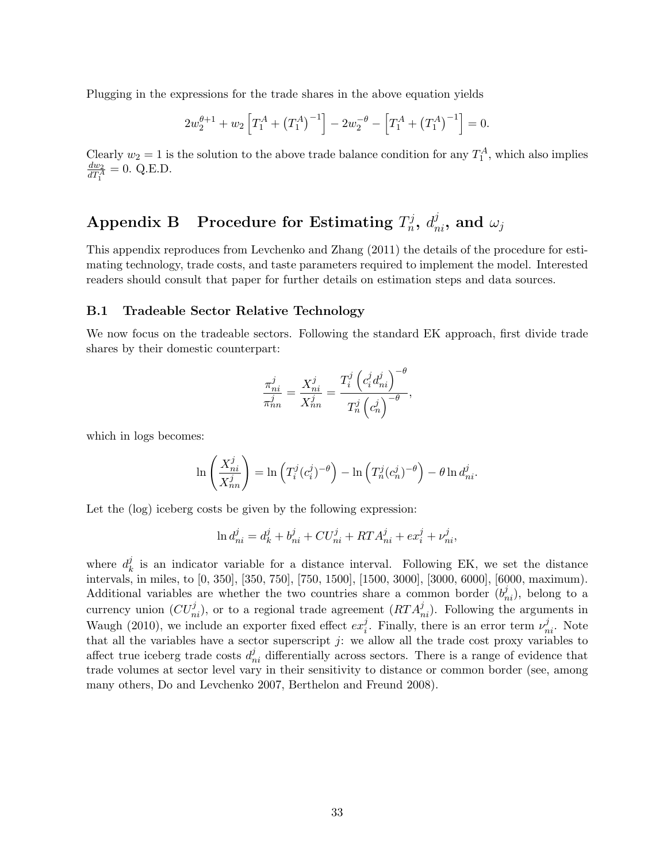Plugging in the expressions for the trade shares in the above equation yields

$$
2w_2^{\theta+1} + w_2 \left[ T_1^A + (T_1^A)^{-1} \right] - 2w_2^{-\theta} - \left[ T_1^A + (T_1^A)^{-1} \right] = 0.
$$

Clearly  $w_2 = 1$  is the solution to the above trade balance condition for any  $T_1^A$ , which also implies  $dw_2$  $\frac{dw_2}{dT_1^A} = 0.$  Q.E.D.

#### Appendix B Procedure for Estimating  $T_n^j$  $n^j_j,~d^j_{ni},~\text{and}~~\omega_j$

This appendix reproduces from Levchenko and Zhang (2011) the details of the procedure for estimating technology, trade costs, and taste parameters required to implement the model. Interested readers should consult that paper for further details on estimation steps and data sources.

#### B.1 Tradeable Sector Relative Technology

We now focus on the tradeable sectors. Following the standard EK approach, first divide trade shares by their domestic counterpart:

$$
\frac{\pi_{ni}^j}{\pi_{nn}^j} = \frac{X_{ni}^j}{X_{nn}^j} = \frac{T_i^j \left(c_i^j d_{ni}^j\right)^{-\theta}}{T_n^j \left(c_n^j\right)^{-\theta}},
$$

which in logs becomes:

$$
\ln\left(\frac{X_{ni}^j}{X_{nn}^j}\right) = \ln\left(T_i^j(c_i^j)^{-\theta}\right) - \ln\left(T_n^j(c_n^j)^{-\theta}\right) - \theta \ln d_{ni}^j.
$$

Let the (log) iceberg costs be given by the following expression:

$$
\ln d_{ni}^j = d_k^j + b_{ni}^j + CU_{ni}^j + RTA_{ni}^j + ex_i^j + \nu_{ni}^j,
$$

where  $d_k^j$  $\mu_k^j$  is an indicator variable for a distance interval. Following EK, we set the distance intervals, in miles, to [0, 350], [350, 750], [750, 1500], [1500, 3000], [3000, 6000], [6000, maximum). Additional variables are whether the two countries share a common border  $(b_{ni}^j)$ , belong to a currency union  $(CU_{ni}^j)$ , or to a regional trade agreement  $(RTA_{ni}^j)$ . Following the arguments in Waugh (2010), we include an exporter fixed effect  $ex_i^j$  $i$ . Finally, there is an error term  $\nu_{ni}^{j}$ . Note that all the variables have a sector superscript  $j$ : we allow all the trade cost proxy variables to affect true iceberg trade costs  $d_{ni}^j$  differentially across sectors. There is a range of evidence that trade volumes at sector level vary in their sensitivity to distance or common border (see, among many others, Do and Levchenko 2007, Berthelon and Freund 2008).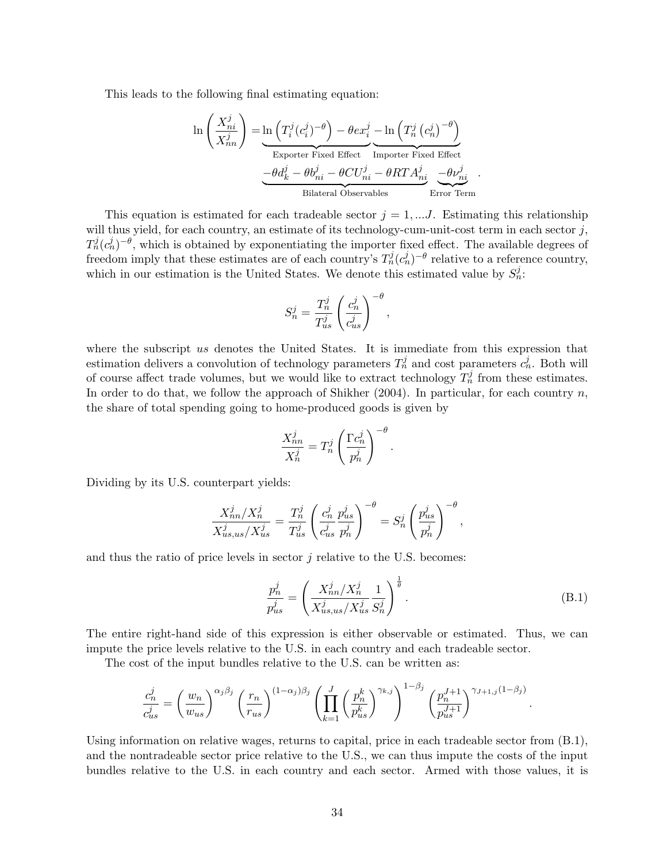This leads to the following final estimating equation:

$$
\ln\left(\frac{X_{ni}^j}{X_{nn}^j}\right) = \underbrace{\ln\left(T_i^j(c_i^j)^{-\theta}\right) - \theta ex_i^j}_{\text{Experted Effect}} - \underbrace{\ln\left(T_n^j(c_n^j)^{-\theta}\right)}_{\text{Importer Fixed Effect}}
$$
\n
$$
\underbrace{-\theta d_k^j - \theta b_{ni}^j - \theta C U_{ni}^j - \theta RT A_{ni}^j}_{\text{Bilateral Observables}} - \underbrace{\theta \nu_{ni}^j}_{\text{Error Term}}.
$$

This equation is estimated for each tradeable sector  $j = 1, \dots J$ . Estimating this relationship will thus yield, for each country, an estimate of its technology-cum-unit-cost term in each sector  $j$ ,  $T_n^j(c_n^j)^{-\theta}$ , which is obtained by exponentiating the importer fixed effect. The available degrees of freedom imply that these estimates are of each country's  $T_n^j(c_n^j)^{-\theta}$  relative to a reference country, which in our estimation is the United States. We denote this estimated value by  $S_n^j$ :

$$
S_n^j = \frac{T_n^j}{T_{us}^j} \left(\frac{c_n^j}{c_{us}^j}\right)^{-\theta},
$$

where the subscript us denotes the United States. It is immediate from this expression that estimation delivers a convolution of technology parameters  $T_n^j$  and cost parameters  $c_n^j$ . Both will of course affect trade volumes, but we would like to extract technology  $T_n^j$  from these estimates. In order to do that, we follow the approach of Shikher  $(2004)$ . In particular, for each country n, the share of total spending going to home-produced goods is given by

$$
\frac{X_{nn}^j}{X_n^j} = T_n^j \left(\frac{\Gamma c_n^j}{p_n^j}\right)^{-\theta}
$$

.

Dividing by its U.S. counterpart yields:

$$
\frac{X_{nn}^j/X_n^j}{X_{us,us}^j/X_{us}^j} = \frac{T_n^j}{T_{us}^j}\left(\frac{c_n^j}{c_{us}^j}\frac{p_{us}^j}{p_n^j}\right)^{-\theta} = S_n^j\left(\frac{p_{us}^j}{p_n^j}\right)^{-\theta},
$$

and thus the ratio of price levels in sector  $j$  relative to the U.S. becomes:

$$
\frac{p_n^j}{p_{us}^j} = \left(\frac{X_{nn}^j/X_{n}^j}{X_{us,us}^j/X_{us}^j}\frac{1}{S_n^j}\right)^{\frac{1}{\theta}}.
$$
\n(B.1)

The entire right-hand side of this expression is either observable or estimated. Thus, we can impute the price levels relative to the U.S. in each country and each tradeable sector.

The cost of the input bundles relative to the U.S. can be written as:

$$
\frac{c_n^j}{c_{us}^j} = \left(\frac{w_n}{w_{us}}\right)^{\alpha_j \beta_j} \left(\frac{r_n}{r_{us}}\right)^{(1-\alpha_j)\beta_j} \left(\prod_{k=1}^J \left(\frac{p_n^k}{p_{us}^k}\right)^{\gamma_{k,j}}\right)^{1-\beta_j} \left(\frac{p_n^{J+1}}{p_{us}^{J+1}}\right)^{\gamma_{J+1,j}(1-\beta_j)}.
$$

Using information on relative wages, returns to capital, price in each tradeable sector from (B.1), and the nontradeable sector price relative to the U.S., we can thus impute the costs of the input bundles relative to the U.S. in each country and each sector. Armed with those values, it is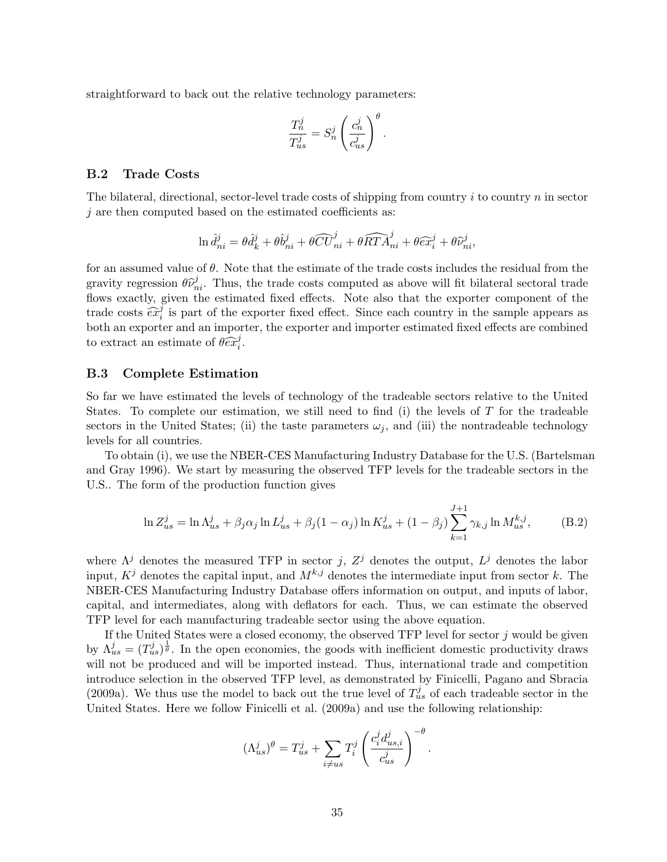straightforward to back out the relative technology parameters:

$$
\frac{T_n^j}{T_{us}^j} = S_n^j \left(\frac{c_n^j}{c_{us}^j}\right)^{\theta}.
$$

#### B.2 Trade Costs

The bilateral, directional, sector-level trade costs of shipping from country  $i$  to country  $n$  in sector j are then computed based on the estimated coefficients as:

$$
\ln \hat{d}_{ni}^j = \theta \hat{d}_k^j + \theta \hat{b}_{ni}^j + \theta \widehat{CU}_{ni}^j + \theta \widehat{RTA}_{ni}^j + \theta \widehat{ex}_i^j + \theta \widehat{\nu}_{ni}^j,
$$

for an assumed value of  $\theta$ . Note that the estimate of the trade costs includes the residual from the gravity regression  $\theta \hat{\nu}_{ni}^j$ . Thus, the trade costs computed as above will fit bilateral sectoral trade<br>flows exactly given the estimated fixed effects. Note also that the expecter component of the flows exactly, given the estimated fixed effects. Note also that the exporter component of the trade costs  $\widehat{ex}_i^j$  is part of the exporter fixed effect. Since each country in the sample appears as both an exporter and an importer, the exporter and importer estimated fixed effects are combined to extract an estimate of  $\theta \hat{ex}_i^j$ .

#### B.3 Complete Estimation

So far we have estimated the levels of technology of the tradeable sectors relative to the United States. To complete our estimation, we still need to find (i) the levels of  $T$  for the tradeable sectors in the United States; (ii) the taste parameters  $\omega_i$ , and (iii) the nontradeable technology levels for all countries.

To obtain (i), we use the NBER-CES Manufacturing Industry Database for the U.S. (Bartelsman and Gray 1996). We start by measuring the observed TFP levels for the tradeable sectors in the U.S.. The form of the production function gives

$$
\ln Z_{us}^j = \ln \Lambda_{us}^j + \beta_j \alpha_j \ln L_{us}^j + \beta_j (1 - \alpha_j) \ln K_{us}^j + (1 - \beta_j) \sum_{k=1}^{J+1} \gamma_{k,j} \ln M_{us}^{k,j},
$$
 (B.2)

where  $\Lambda^j$  denotes the measured TFP in sector j,  $Z^j$  denotes the output,  $L^j$  denotes the labor input,  $K^j$  denotes the capital input, and  $M^{k,j}$  denotes the intermediate input from sector k. The NBER-CES Manufacturing Industry Database offers information on output, and inputs of labor, capital, and intermediates, along with deflators for each. Thus, we can estimate the observed TFP level for each manufacturing tradeable sector using the above equation.

If the United States were a closed economy, the observed TFP level for sector  $j$  would be given by  $\Lambda_{us}^j = (T_{us}^j)^{\frac{1}{\theta}}$ . In the open economies, the goods with inefficient domestic productivity draws will not be produced and will be imported instead. Thus, international trade and competition introduce selection in the observed TFP level, as demonstrated by Finicelli, Pagano and Sbracia (2009a). We thus use the model to back out the true level of  $T_{us}^j$  of each tradeable sector in the United States. Here we follow Finicelli et al. (2009a) and use the following relationship:

$$
(\Lambda_{us}^j)^\theta = T_{us}^j + \sum_{i \neq us} T_i^j \left( \frac{c_i^j d_{us,i}^j}{c_{us}^j} \right)^{-\theta}.
$$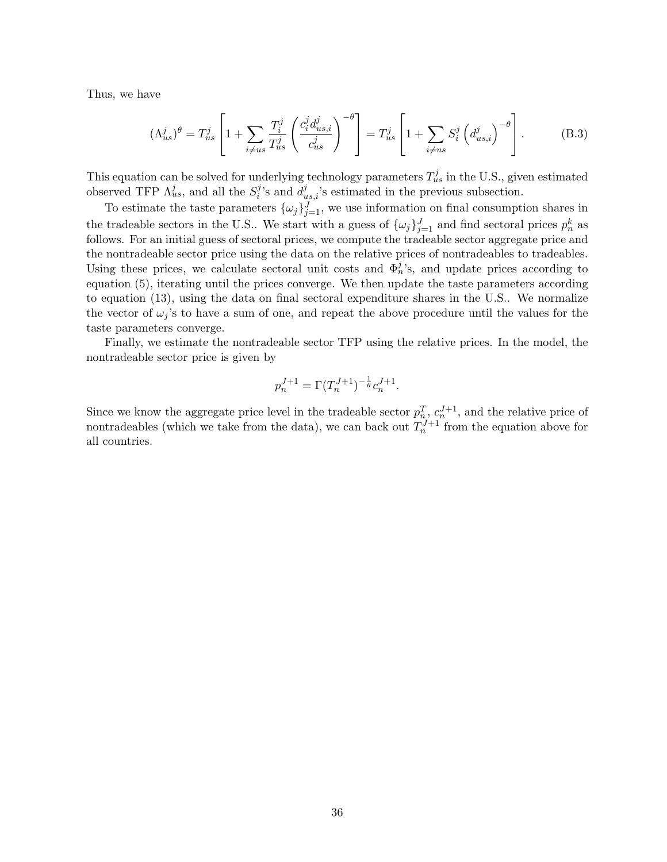Thus, we have

$$
(\Lambda_{us}^j)^\theta = T_{us}^j \left[ 1 + \sum_{i \neq us} \frac{T_i^j}{T_{us}^j} \left( \frac{c_i^j d_{us,i}^j}{c_{us}^j} \right)^{-\theta} \right] = T_{us}^j \left[ 1 + \sum_{i \neq us} S_i^j \left( d_{us,i}^j \right)^{-\theta} \right].
$$
 (B.3)

This equation can be solved for underlying technology parameters  $T_{us}^j$  in the U.S., given estimated observed TFP  $\Lambda_{us}^j$ , and all the  $S_i^j$  $\hat{d}_{us,i}^j$ 's and  $\hat{d}_{us,i}^j$ 's estimated in the previous subsection.

To estimate the taste parameters  $\{\omega_j\}_{j=1}^J$ , we use information on final consumption shares in the tradeable sectors in the U.S.. We start with a guess of  $\{\omega_j\}_{j=1}^J$  and find sectoral prices  $p_n^k$  as follows. For an initial guess of sectoral prices, we compute the tradeable sector aggregate price and the nontradeable sector price using the data on the relative prices of nontradeables to tradeables. Using these prices, we calculate sectoral unit costs and  $\Phi_n^j$ 's, and update prices according to equation (5), iterating until the prices converge. We then update the taste parameters according to equation (13), using the data on final sectoral expenditure shares in the U.S.. We normalize the vector of  $\omega_i$ 's to have a sum of one, and repeat the above procedure until the values for the taste parameters converge.

Finally, we estimate the nontradeable sector TFP using the relative prices. In the model, the nontradeable sector price is given by

$$
p_n^{J+1} = \Gamma(T_n^{J+1})^{-\frac{1}{\theta}} c_n^{J+1}.
$$

Since we know the aggregate price level in the tradeable sector  $p_n^T$ ,  $c_n^{J+1}$ , and the relative price of nontradeables (which we take from the data), we can back out  $T_n^{J+1}$  from the equation above for all countries.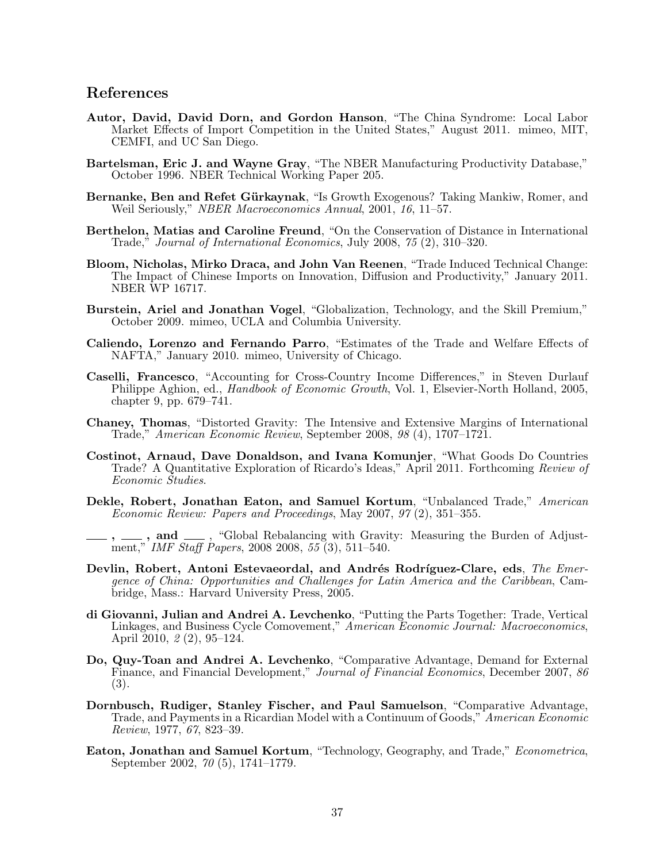### References

- Autor, David, David Dorn, and Gordon Hanson, "The China Syndrome: Local Labor Market Effects of Import Competition in the United States," August 2011. mimeo, MIT, CEMFI, and UC San Diego.
- Bartelsman, Eric J. and Wayne Gray, "The NBER Manufacturing Productivity Database," October 1996. NBER Technical Working Paper 205.
- Bernanke, Ben and Refet Gürkaynak, "Is Growth Exogenous? Taking Mankiw, Romer, and Weil Seriously," NBER Macroeconomics Annual, 2001, 16, 11–57.
- Berthelon, Matias and Caroline Freund, "On the Conservation of Distance in International Trade," Journal of International Economics, July 2008, 75 (2), 310–320.
- Bloom, Nicholas, Mirko Draca, and John Van Reenen, "Trade Induced Technical Change: The Impact of Chinese Imports on Innovation, Diffusion and Productivity," January 2011. NBER WP 16717.
- Burstein, Ariel and Jonathan Vogel, "Globalization, Technology, and the Skill Premium," October 2009. mimeo, UCLA and Columbia University.
- Caliendo, Lorenzo and Fernando Parro, "Estimates of the Trade and Welfare Effects of NAFTA," January 2010. mimeo, University of Chicago.
- Caselli, Francesco, "Accounting for Cross-Country Income Differences," in Steven Durlauf Philippe Aghion, ed., *Handbook of Economic Growth*, Vol. 1, Elsevier-North Holland, 2005, chapter 9, pp. 679–741.
- Chaney, Thomas, "Distorted Gravity: The Intensive and Extensive Margins of International Trade," American Economic Review, September 2008, 98 (4), 1707–1721.
- Costinot, Arnaud, Dave Donaldson, and Ivana Komunjer, "What Goods Do Countries Trade? A Quantitative Exploration of Ricardo's Ideas," April 2011. Forthcoming Review of Economic Studies.
- Dekle, Robert, Jonathan Eaton, and Samuel Kortum, "Unbalanced Trade," American Economic Review: Papers and Proceedings, May 2007, 97 (2), 351–355.

<sub>,</sub> "Global Rebalancing with Gravity: Measuring the Burden of Adjust-,  $\frac{1}{\sqrt{1-\frac{1}{1-\frac{1}{1-\frac{1}{1-\frac{1}{1-\frac{1}{1-\frac{1}{1-\frac{1}{1-\frac{1}{1-\frac{1}{1-\frac{1}{1-\frac{1}{1-\frac{1}{1-\frac{1}{1-\frac{1}{1-\frac{1}{1-\frac{1}{1-\frac{1}{1-\frac{1}{1-\frac{1}{1-\frac{1}{1-\frac{1}{1-\frac{1}{1-\frac{1}{1-\frac{1}{1-\frac{1}{1-\frac{1}{1-\frac{1}{1-\frac{1}{1-\frac{1}{1-\frac{1}{1-\frac{1}{1-\frac{1}{1-\frac{1}{1-\frac{1}{1-\frac{1}{$ 

- Devlin, Robert, Antoni Estevaeordal, and Andrés Rodríguez-Clare, eds, The Emergence of China: Opportunities and Challenges for Latin America and the Caribbean, Cambridge, Mass.: Harvard University Press, 2005.
- di Giovanni, Julian and Andrei A. Levchenko, "Putting the Parts Together: Trade, Vertical Linkages, and Business Cycle Comovement," American Economic Journal: Macroeconomics, April 2010, 2 (2), 95–124.
- Do, Quy-Toan and Andrei A. Levchenko, "Comparative Advantage, Demand for External Finance, and Financial Development," Journal of Financial Economics, December 2007, 86 (3).
- Dornbusch, Rudiger, Stanley Fischer, and Paul Samuelson, "Comparative Advantage, Trade, and Payments in a Ricardian Model with a Continuum of Goods," American Economic Review, 1977, 67, 823–39.
- Eaton, Jonathan and Samuel Kortum, "Technology, Geography, and Trade," Econometrica, September 2002, 70 (5), 1741–1779.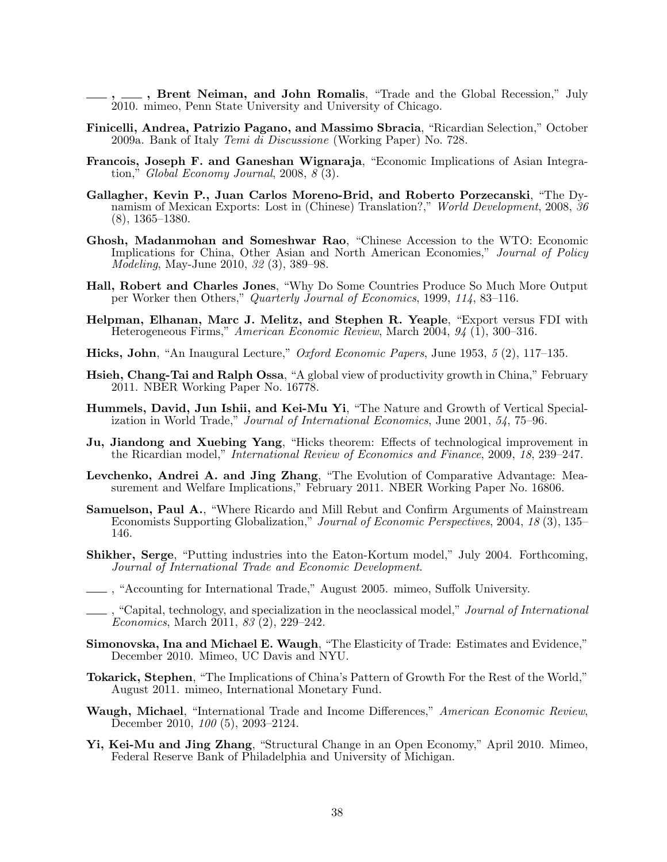, , Brent Neiman, and John Romalis, "Trade and the Global Recession," July 2010. mimeo, Penn State University and University of Chicago.

- Finicelli, Andrea, Patrizio Pagano, and Massimo Sbracia, "Ricardian Selection," October 2009a. Bank of Italy Temi di Discussione (Working Paper) No. 728.
- Francois, Joseph F. and Ganeshan Wignaraja, "Economic Implications of Asian Integration," Global Economy Journal, 2008,  $8(3)$ .
- Gallagher, Kevin P., Juan Carlos Moreno-Brid, and Roberto Porzecanski, "The Dynamism of Mexican Exports: Lost in (Chinese) Translation?," World Development, 2008, 36 (8), 1365–1380.
- Ghosh, Madanmohan and Someshwar Rao, "Chinese Accession to the WTO: Economic Implications for China, Other Asian and North American Economies," Journal of Policy Modeling, May-June 2010, 32 (3), 389–98.
- Hall, Robert and Charles Jones, "Why Do Some Countries Produce So Much More Output per Worker then Others," Quarterly Journal of Economics, 1999, 114, 83–116.
- Helpman, Elhanan, Marc J. Melitz, and Stephen R. Yeaple, "Export versus FDI with Heterogeneous Firms," American Economic Review, March 2004, 94 (1), 300–316.
- Hicks, John, "An Inaugural Lecture," Oxford Economic Papers, June 1953, 5 (2), 117–135.
- Hsieh, Chang-Tai and Ralph Ossa, "A global view of productivity growth in China," February 2011. NBER Working Paper No. 16778.
- Hummels, David, Jun Ishii, and Kei-Mu Yi, "The Nature and Growth of Vertical Specialization in World Trade," Journal of International Economics, June 2001, 54, 75–96.
- Ju, Jiandong and Xuebing Yang, "Hicks theorem: Effects of technological improvement in the Ricardian model," International Review of Economics and Finance, 2009, 18, 239–247.
- Levchenko, Andrei A. and Jing Zhang, "The Evolution of Comparative Advantage: Measurement and Welfare Implications," February 2011. NBER Working Paper No. 16806.
- Samuelson, Paul A., "Where Ricardo and Mill Rebut and Confirm Arguments of Mainstream Economists Supporting Globalization," Journal of Economic Perspectives, 2004, 18 (3), 135– 146.
- Shikher, Serge, "Putting industries into the Eaton-Kortum model," July 2004. Forthcoming, Journal of International Trade and Economic Development.
- , "Accounting for International Trade," August 2005. mimeo, Suffolk University.
- $\Box$ , "Capital, technology, and specialization in the neoclassical model," *Journal of International* Economics, March 2011, 83 (2), 229–242.
- Simonovska, Ina and Michael E. Waugh, "The Elasticity of Trade: Estimates and Evidence," December 2010. Mimeo, UC Davis and NYU.
- Tokarick, Stephen, "The Implications of China's Pattern of Growth For the Rest of the World," August 2011. mimeo, International Monetary Fund.
- Waugh, Michael, "International Trade and Income Differences," American Economic Review, December 2010, 100 (5), 2093–2124.
- Yi, Kei-Mu and Jing Zhang, "Structural Change in an Open Economy," April 2010. Mimeo, Federal Reserve Bank of Philadelphia and University of Michigan.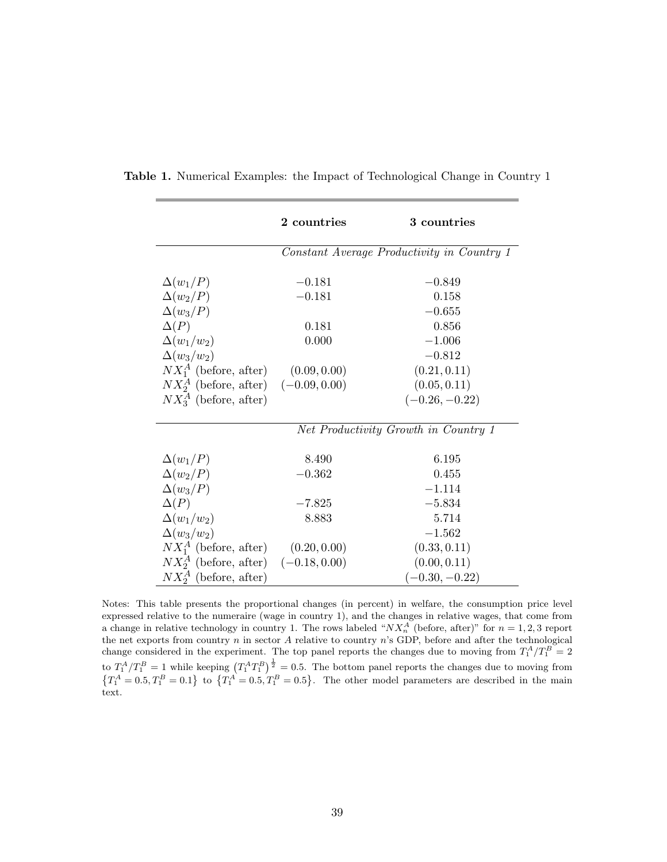|                                          | 2 countries | 3 countries                                |
|------------------------------------------|-------------|--------------------------------------------|
|                                          |             | Constant Average Productivity in Country 1 |
| $\Delta(w_1/P)$                          | $-0.181$    | $-0.849$                                   |
| $\Delta(w_2/P)$                          | $-0.181$    | 0.158                                      |
| $\Delta(w_3/P)$                          |             | $-0.655$                                   |
| $\Delta(P)$                              | 0.181       | 0.856                                      |
| $\Delta(w_1/w_2)$                        | 0.000       | $-1.006$                                   |
| $\Delta(w_3/w_2)$                        |             | $-0.812$                                   |
| $NX_1^A$ (before, after) $(0.09, 0.00)$  |             | (0.21, 0.11)                               |
| $NX_2^A$ (before, after) $(-0.09, 0.00)$ |             | (0.05, 0.11)                               |
| $NX_3^A$ (before, after)                 |             | $(-0.26, -0.22)$                           |
|                                          |             |                                            |
|                                          |             | Net Productivity Growth in Country 1       |
| $\Delta(w_1/P)$                          | 8.490       | 6.195                                      |
| $\Delta(w_2/P)$                          | $-0.362$    | 0.455                                      |
| $\Delta(w_3/P)$                          |             | $-1.114$                                   |
| $\Delta(P)$                              | $-7.825$    | $-5.834$                                   |
| $\Delta(w_1/w_2)$                        | 8.883       | 5.714                                      |
| $\Delta(w_3/w_2)$                        |             | $-1.562$                                   |
| $NX_1^A$ (before, after) $(0.20, 0.00)$  |             | (0.33, 0.11)                               |
| $NX_2^A$ (before, after) $(-0.18, 0.00)$ |             | (0.00, 0.11)                               |
| $NX_2^A$ (before, after)                 |             | $(-0.30, -0.22)$                           |

Table 1. Numerical Examples: the Impact of Technological Change in Country 1

Notes: This table presents the proportional changes (in percent) in welfare, the consumption price level expressed relative to the numeraire (wage in country 1), and the changes in relative wages, that come from a change in relative technology in country 1. The rows labeled " $NX_n^A$  (before, after)" for  $n = 1, 2, 3$  report the net exports from country  $n$  in sector  $A$  relative to country  $n$ 's GDP, before and after the technological change considered in the experiment. The top panel reports the changes due to moving from  $T_1^A/T_1^B = 2$ to  $T_1^A/T_1^B = 1$  while keeping  $(T_1^AT_1^B)^{\frac{1}{2}} = 0.5$ . The bottom panel reports the changes due to moving from  $\{T_1^A=0.5, T_1^B=0.1\}$  to  $\{T_1^A=0.5, T_1^B=0.5\}$ . The other model parameters are described in the main text.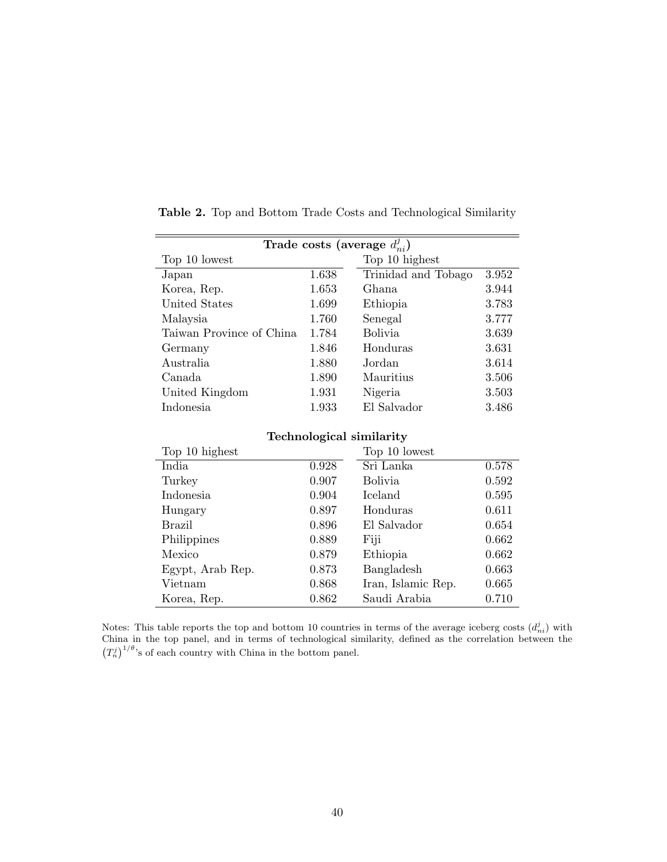| Trade costs (average $d_{ni}^j$ ) |                          |                     |       |  |  |  |
|-----------------------------------|--------------------------|---------------------|-------|--|--|--|
| Top 10 lowest                     |                          | Top 10 highest      |       |  |  |  |
| Japan                             | 1.638                    | Trinidad and Tobago | 3.952 |  |  |  |
| Korea, Rep.                       | 1.653                    | Ghana               | 3.944 |  |  |  |
| United States                     | 1.699                    | Ethiopia            | 3.783 |  |  |  |
| Malaysia                          | 1.760                    | Senegal             | 3.777 |  |  |  |
| Taiwan Province of China          | 1.784                    | <b>Bolivia</b>      | 3.639 |  |  |  |
| Germany                           | 1.846                    | Honduras            | 3.631 |  |  |  |
| Australia                         | 1.880                    | Jordan              | 3.614 |  |  |  |
| Canada                            | 1.890                    | Mauritius           | 3.506 |  |  |  |
| United Kingdom                    | 1.931                    | Nigeria             | 3.503 |  |  |  |
| Indonesia                         | 1.933                    | El Salvador         | 3.486 |  |  |  |
|                                   |                          |                     |       |  |  |  |
|                                   | Technological similarity |                     |       |  |  |  |
| Top 10 highest                    |                          | Top 10 lowest       |       |  |  |  |
| India                             | 0.928                    | Sri Lanka           | 0.578 |  |  |  |
| Turkey                            | 0.907                    | <b>Bolivia</b>      | 0.592 |  |  |  |
| Indonesia                         | 0.904                    | Iceland             | 0.595 |  |  |  |
| Hungary                           | 0.897                    | Honduras            | 0.611 |  |  |  |
| Brazil                            | 0.896                    | El Salvador         | 0.654 |  |  |  |
| Philippines                       | 0.889                    | Fiji                | 0.662 |  |  |  |
| Mexico                            | 0.879                    | Ethiopia            | 0.662 |  |  |  |
| Egypt, Arab Rep.                  | 0.873                    | Bangladesh          | 0.663 |  |  |  |
| Vietnam                           | 0.868                    | Iran, Islamic Rep.  | 0.665 |  |  |  |

Table 2. Top and Bottom Trade Costs and Technological Similarity

Notes: This table reports the top and bottom 10 countries in terms of the average iceberg costs  $(d_{ni}^j)$  with China in the top panel, and in terms of technological similarity, defined as the correlation between the  $(T_n^j)^{1/\theta}$ 's of each country with China in the bottom panel.

Korea, Rep. 0.862 Saudi Arabia 0.710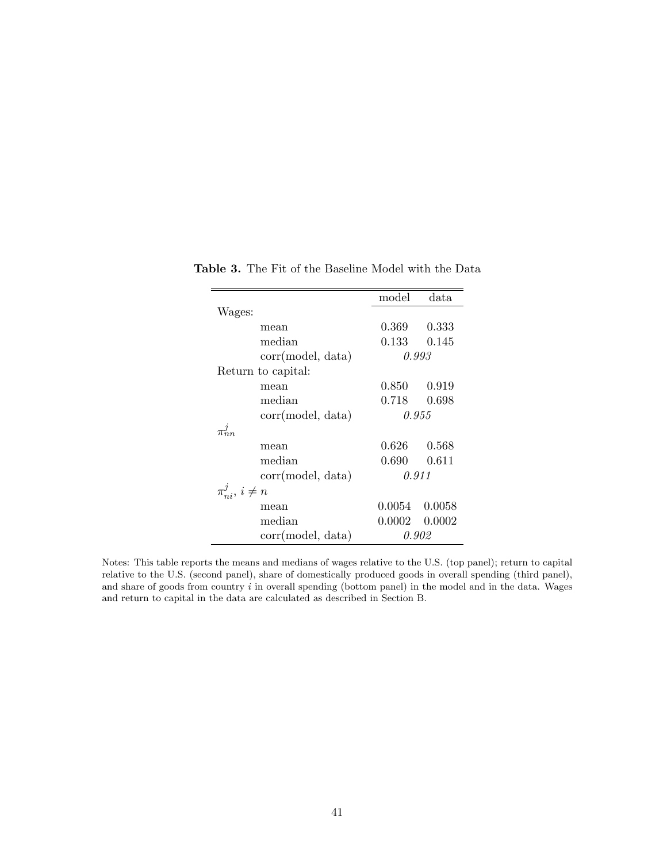|                        | model  | data                  |
|------------------------|--------|-----------------------|
| Wages:                 |        |                       |
| mean                   | 0.369  | 0.333                 |
| median                 | 0.133  | 0.145                 |
| corr(model, data)      |        | 0.993                 |
| Return to capital:     |        |                       |
| mean                   | 0.850  | 0.919                 |
| median                 | 0.718  | 0.698                 |
| corr(model, data)      |        | 0.955                 |
| $\pi^j_{nn}$           |        |                       |
| mean                   | 0.626  | 0.568                 |
| median                 | 0.690  | 0.611                 |
| corr(model, data)      |        | 0.911                 |
| $\pi_{ni}^j, i \neq n$ |        |                       |
| mean                   | 0.0054 | 0.0058                |
| median                 |        | $0.0002 \quad 0.0002$ |
| corr(model, data)      |        | 0.902                 |

Table 3. The Fit of the Baseline Model with the Data

Notes: This table reports the means and medians of wages relative to the U.S. (top panel); return to capital relative to the U.S. (second panel), share of domestically produced goods in overall spending (third panel), and share of goods from country  $i$  in overall spending (bottom panel) in the model and in the data. Wages and return to capital in the data are calculated as described in Section B.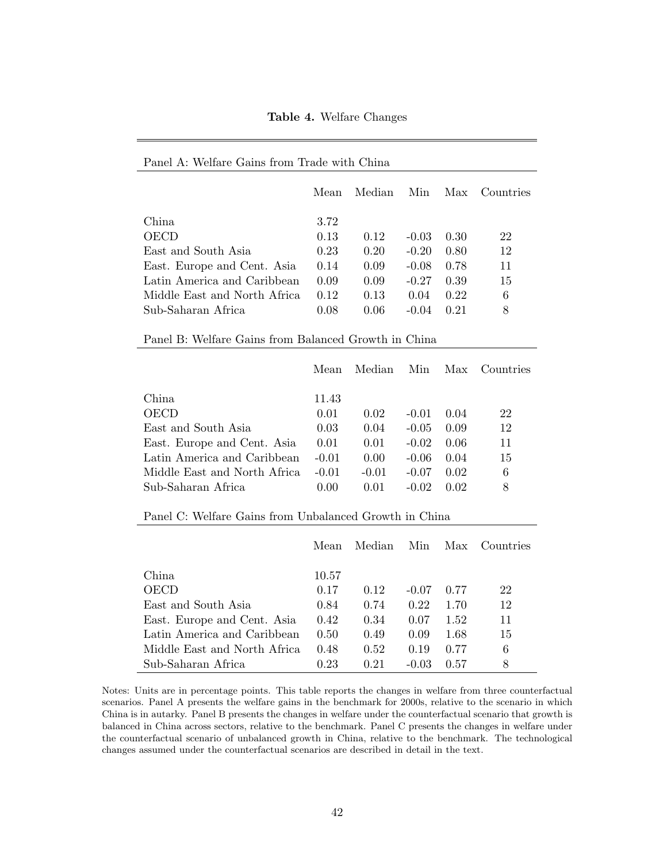|                                    | Mean         | Median       | Min.               | Max          | Countries |
|------------------------------------|--------------|--------------|--------------------|--------------|-----------|
| China                              | 3.72         |              |                    |              |           |
| <b>OECD</b><br>East and South Asia | 0.13<br>0.23 | 0.12<br>0.20 | $-0.03$<br>$-0.20$ | 0.30<br>0.80 | 22<br>12  |
| East. Europe and Cent. Asia        | 0.14         | 0.09         | $-0.08$            | 0.78         | 11        |
| Latin America and Caribbean        | 0.09         | 0.09         | $-0.27$            | 0.39         | 15        |
| Middle East and North Africa       | 0.12         | 0.13         | 0.04               | 0.22         | 6         |
| Sub-Saharan Africa                 | 0.08         | 0.06         | $-0.04$            | 0.21         | 8         |

#### Panel A: Welfare Gains from Trade with China

Panel B: Welfare Gains from Balanced Growth in China

|                              | Mean    | Median  | Min     | Max  | Countries |
|------------------------------|---------|---------|---------|------|-----------|
| China                        | 11.43   |         |         |      |           |
| <b>OECD</b>                  | 0.01    | 0.02    | $-0.01$ | 0.04 | 22        |
| East and South Asia          | 0.03    | 0.04    | $-0.05$ | 0.09 | 12        |
| East. Europe and Cent. Asia  | 0.01    | 0.01    | $-0.02$ | 0.06 | 11        |
| Latin America and Caribbean  | $-0.01$ | 0.00    | $-0.06$ | 0.04 | 15        |
| Middle East and North Africa | $-0.01$ | $-0.01$ | $-0.07$ | 0.02 | 6         |
| Sub-Saharan Africa           | 0.00    | 0.01    | $-0.02$ | 0.02 | 8         |

#### Panel C: Welfare Gains from Unbalanced Growth in China

|                              | Mean  | Median | Min     | Max  | Countries |
|------------------------------|-------|--------|---------|------|-----------|
| China                        | 10.57 |        |         |      |           |
| OECD                         | 0.17  | 0.12   | $-0.07$ | 0.77 | 22        |
| East and South Asia          | 0.84  | 0.74   | 0.22    | 1.70 | 12        |
| East. Europe and Cent. Asia  | 0.42  | 0.34   | 0.07    | 1.52 | 11        |
| Latin America and Caribbean  | 0.50  | 0.49   | 0.09    | 1.68 | 15        |
| Middle East and North Africa | 0.48  | 0.52   | 0.19    | 0.77 | 6         |
| Sub-Saharan Africa           | 0.23  | 0.21   | $-0.03$ | 0.57 | 8         |

Notes: Units are in percentage points. This table reports the changes in welfare from three counterfactual scenarios. Panel A presents the welfare gains in the benchmark for 2000s, relative to the scenario in which China is in autarky. Panel B presents the changes in welfare under the counterfactual scenario that growth is balanced in China across sectors, relative to the benchmark. Panel C presents the changes in welfare under the counterfactual scenario of unbalanced growth in China, relative to the benchmark. The technological changes assumed under the counterfactual scenarios are described in detail in the text.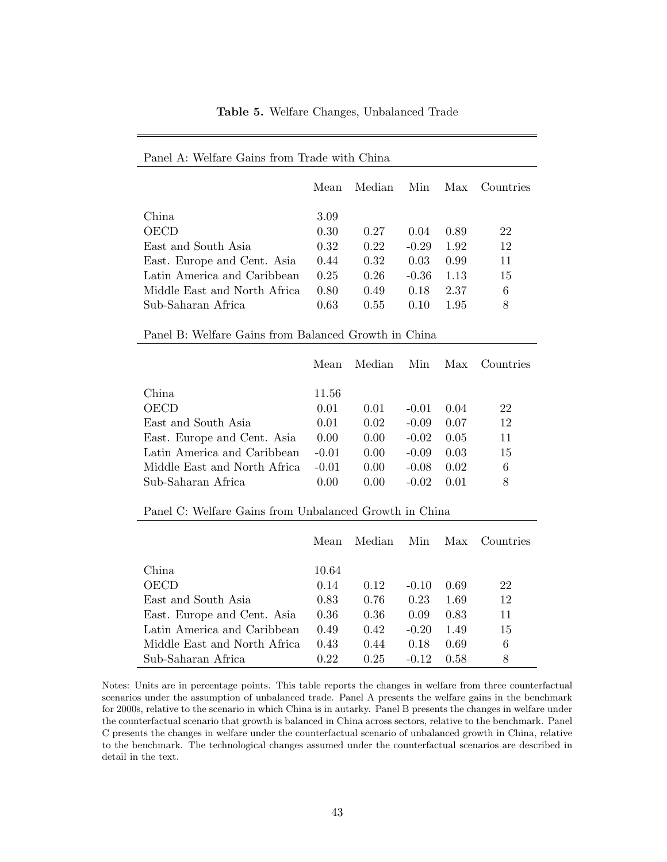|                                                      | Mean | Median | Min     | Max  | Countries |  |
|------------------------------------------------------|------|--------|---------|------|-----------|--|
| China                                                | 3.09 |        |         |      |           |  |
| OECD                                                 | 0.30 | 0.27   | 0.04    | 0.89 | 22        |  |
| East and South Asia                                  | 0.32 | 0.22   | $-0.29$ | 1.92 | 12        |  |
| East. Europe and Cent. Asia                          | 0.44 | 0.32   | 0.03    | 0.99 | 11        |  |
| Latin America and Caribbean                          | 0.25 | 0.26   | $-0.36$ | 1.13 | 15        |  |
| Middle East and North Africa                         | 0.80 | 0.49   | 0.18    | 2.37 | 6         |  |
| Sub-Saharan Africa                                   | 0.63 | 0.55   | 0.10    | 1.95 | 8         |  |
| Panel B: Welfare Gains from Balanced Growth in China |      |        |         |      |           |  |

#### Panel A: Welfare Gains from Trade with China

| Mean    | Median | Min     |      | Max Countries |
|---------|--------|---------|------|---------------|
|         |        |         |      |               |
| 11.56   |        |         |      |               |
| 0.01    | 0.01   | $-0.01$ | 0.04 | 22            |
| 0.01    | 0.02   | $-0.09$ | 0.07 | 12            |
| 0.00    | 0.00   | $-0.02$ | 0.05 | 11            |
| $-0.01$ | 0.00   | $-0.09$ | 0.03 | 15            |
| $-0.01$ | 0.00   | $-0.08$ | 0.02 | 6             |
| 0.00    | 0.00   | $-0.02$ | 0.01 | 8             |
|         |        |         |      |               |

#### Panel C: Welfare Gains from Unbalanced Growth in China

|                              | Mean  | Median | Min     | Max  | Countries |
|------------------------------|-------|--------|---------|------|-----------|
|                              |       |        |         |      |           |
| China                        | 10.64 |        |         |      |           |
| OECD                         | 0.14  | 0.12   | $-0.10$ | 0.69 | 22        |
| East and South Asia          | 0.83  | 0.76   | 0.23    | 1.69 | 12        |
| East. Europe and Cent. Asia  | 0.36  | 0.36   | 0.09    | 0.83 | 11        |
| Latin America and Caribbean  | 0.49  | 0.42   | $-0.20$ | 1.49 | 15        |
| Middle East and North Africa | 0.43  | 0.44   | 0.18    | 0.69 | 6         |
| Sub-Saharan Africa           | 0.22  | 0.25   | $-0.12$ | 0.58 | 8         |

Notes: Units are in percentage points. This table reports the changes in welfare from three counterfactual scenarios under the assumption of unbalanced trade. Panel A presents the welfare gains in the benchmark for 2000s, relative to the scenario in which China is in autarky. Panel B presents the changes in welfare under the counterfactual scenario that growth is balanced in China across sectors, relative to the benchmark. Panel C presents the changes in welfare under the counterfactual scenario of unbalanced growth in China, relative to the benchmark. The technological changes assumed under the counterfactual scenarios are described in detail in the text.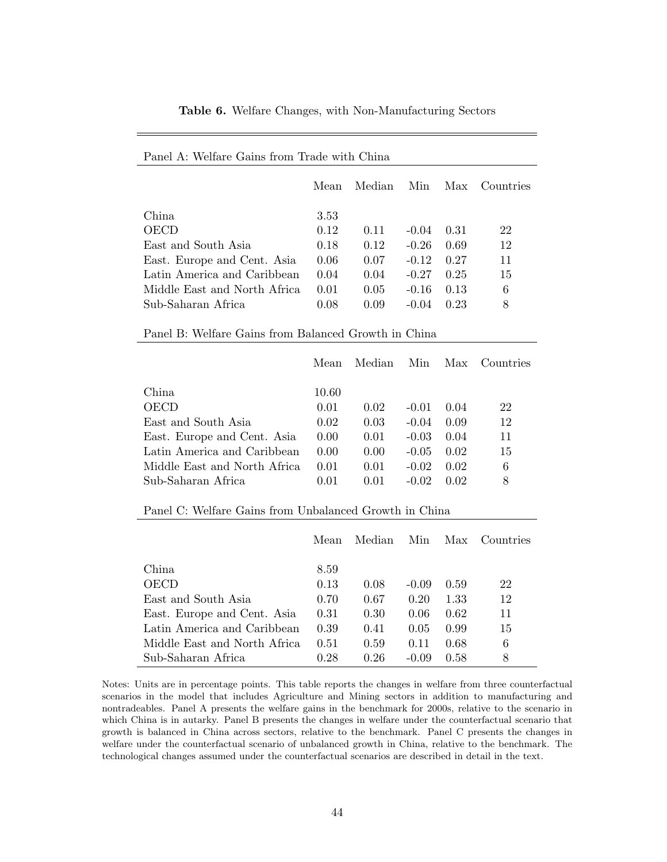| Panel A: Welfare Gains from Trade with China |      |        |         |      |           |  |
|----------------------------------------------|------|--------|---------|------|-----------|--|
|                                              | Mean | Median | Min     | Max  | Countries |  |
| China                                        | 3.53 |        |         |      |           |  |
| <b>OECD</b>                                  | 0.12 | 0.11   | $-0.04$ | 0.31 | 22        |  |
| East and South Asia                          | 0.18 | 0.12   | $-0.26$ | 0.69 | 12        |  |
| East. Europe and Cent. Asia                  | 0.06 | 0.07   | $-0.12$ | 0.27 | 11        |  |
| Latin America and Caribbean                  | 0.04 | 0.04   | $-0.27$ | 0.25 | 15        |  |
| Middle East and North Africa                 | 0.01 | 0.05   | $-0.16$ | 0.13 | 6         |  |
| Sub-Saharan Africa                           | 0.08 | 0.09   | $-0.04$ | 0.23 | 8         |  |
|                                              |      |        |         |      |           |  |

Table 6. Welfare Changes, with Non-Manufacturing Sectors

Panel B: Welfare Gains from Balanced Growth in China

| Mean  | Median | Min.    | Max  | Countries |
|-------|--------|---------|------|-----------|
| 10.60 |        |         |      |           |
| 0.01  | 0.02   | $-0.01$ | 0.04 | 22        |
| 0.02  | 0.03   | $-0.04$ | 0.09 | 12        |
| 0.00  | 0.01   | $-0.03$ | 0.04 | 11        |
| 0.00  | 0.00   | $-0.05$ | 0.02 | 15        |
| 0.01  | 0.01   | $-0.02$ | 0.02 | 6         |
| 0.01  | 0.01   | $-0.02$ | 0.02 | 8         |
|       |        |         |      |           |

#### Panel C: Welfare Gains from Unbalanced Growth in China

|                              | Mean | Median | Min     | Max  | Countries |
|------------------------------|------|--------|---------|------|-----------|
| China                        | 8.59 |        |         |      |           |
| OECD                         | 0.13 | 0.08   | $-0.09$ | 0.59 | 22        |
| East and South Asia          | 0.70 | 0.67   | 0.20    | 1.33 | 12        |
| East. Europe and Cent. Asia  | 0.31 | 0.30   | 0.06    | 0.62 | 11        |
| Latin America and Caribbean  | 0.39 | 0.41   | 0.05    | 0.99 | 15        |
| Middle East and North Africa | 0.51 | 0.59   | 0.11    | 0.68 | 6         |
| Sub-Saharan Africa           | 0.28 | 0.26   | $-0.09$ | 0.58 | 8         |

Notes: Units are in percentage points. This table reports the changes in welfare from three counterfactual scenarios in the model that includes Agriculture and Mining sectors in addition to manufacturing and nontradeables. Panel A presents the welfare gains in the benchmark for 2000s, relative to the scenario in which China is in autarky. Panel B presents the changes in welfare under the counterfactual scenario that growth is balanced in China across sectors, relative to the benchmark. Panel C presents the changes in welfare under the counterfactual scenario of unbalanced growth in China, relative to the benchmark. The technological changes assumed under the counterfactual scenarios are described in detail in the text.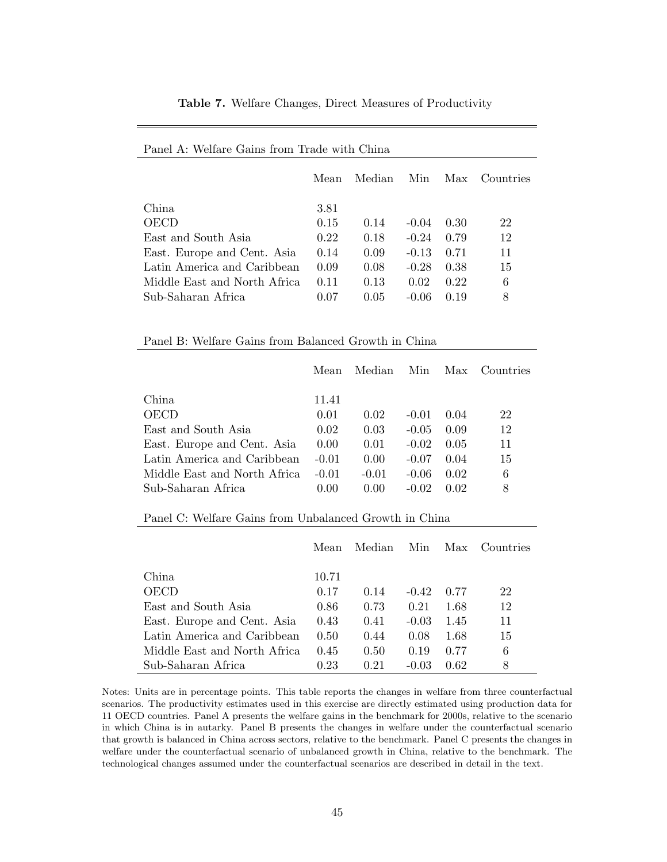|  |  |  |  |  | Table 7. Welfare Changes, Direct Measures of Productivity |  |
|--|--|--|--|--|-----------------------------------------------------------|--|
|--|--|--|--|--|-----------------------------------------------------------|--|

|                              | Mean | Median | Min.    | Max  | Countries |
|------------------------------|------|--------|---------|------|-----------|
| China                        | 3.81 |        |         |      |           |
| OECD                         | 0.15 | 0.14   | $-0.04$ | 0.30 | 22        |
| East and South Asia          | 0.22 | 0.18   | $-0.24$ | 0.79 | 12        |
| East. Europe and Cent. Asia  | 0.14 | 0.09   | $-0.13$ | 0.71 | 11        |
| Latin America and Caribbean  | 0.09 | 0.08   | $-0.28$ | 0.38 | 15        |
| Middle East and North Africa | 0.11 | 0.13   | 0.02    | 0.22 | 6         |
| Sub-Saharan Africa           | 0.07 | 0.05   | $-0.06$ | 0.19 | 8         |

#### Panel A: Welfare Gains from Trade with China

Panel B: Welfare Gains from Balanced Growth in China

| Mean    | Median  | Min     | Max  | Countries |
|---------|---------|---------|------|-----------|
| 11.41   |         |         |      |           |
| 0.01    | 0.02    | $-0.01$ | 0.04 | 22        |
| 0.02    | 0.03    | $-0.05$ | 0.09 | 12        |
| 0.00    | 0.01    | $-0.02$ | 0.05 | 11        |
| $-0.01$ | 0.00    | $-0.07$ | 0.04 | 15        |
| $-0.01$ | $-0.01$ | $-0.06$ | 0.02 | 6         |
| 0.00    | 0.00    | $-0.02$ | 0.02 | 8         |
|         |         |         |      |           |

Panel C: Welfare Gains from Unbalanced Growth in China

|                              | Mean  | Median | Min     | Max  | Countries |
|------------------------------|-------|--------|---------|------|-----------|
| China                        | 10.71 |        |         |      |           |
| OECD                         | 0.17  | 0.14   | $-0.42$ | 0.77 | 22        |
| East and South Asia          | 0.86  | 0.73   | 0.21    | 1.68 | 12        |
| East. Europe and Cent. Asia  | 0.43  | 0.41   | $-0.03$ | 1.45 | 11        |
| Latin America and Caribbean  | 0.50  | 0.44   | 0.08    | 1.68 | 15        |
| Middle East and North Africa | 0.45  | 0.50   | 0.19    | 0.77 | 6         |
| Sub-Saharan Africa           | 0.23  | 0.21   | $-0.03$ | 0.62 | 8         |

Notes: Units are in percentage points. This table reports the changes in welfare from three counterfactual scenarios. The productivity estimates used in this exercise are directly estimated using production data for 11 OECD countries. Panel A presents the welfare gains in the benchmark for 2000s, relative to the scenario in which China is in autarky. Panel B presents the changes in welfare under the counterfactual scenario that growth is balanced in China across sectors, relative to the benchmark. Panel C presents the changes in welfare under the counterfactual scenario of unbalanced growth in China, relative to the benchmark. The technological changes assumed under the counterfactual scenarios are described in detail in the text.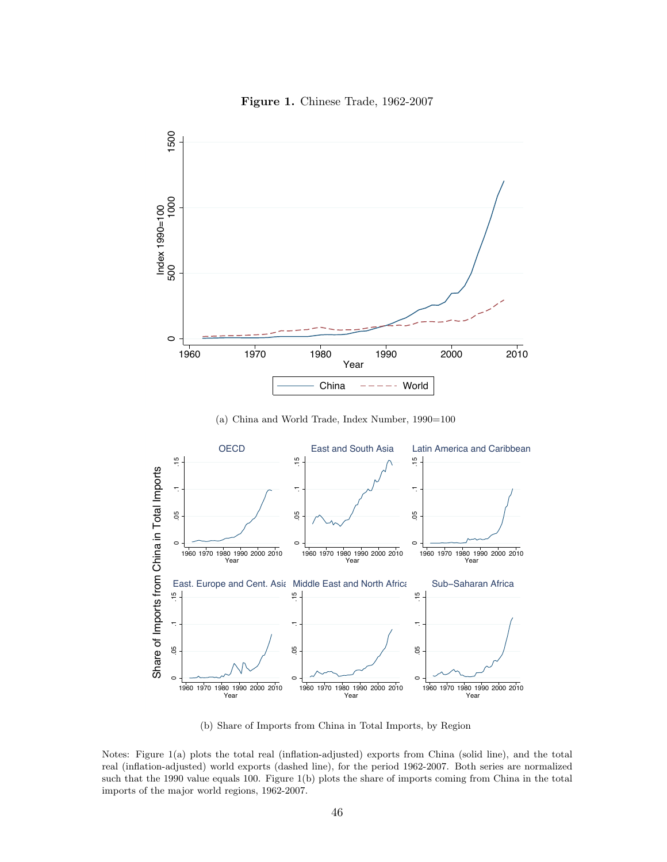



(a) China and World Trade, Index Number, 1990=100



(b) Share of Imports from China in Total Imports, by Region

Notes: Figure 1(a) plots the total real (inflation-adjusted) exports from China (solid line), and the total real (inflation-adjusted) world exports (dashed line), for the period 1962-2007. Both series are normalized such that the 1990 value equals 100. Figure 1(b) plots the share of imports coming from China in the total imports of the major world regions, 1962-2007.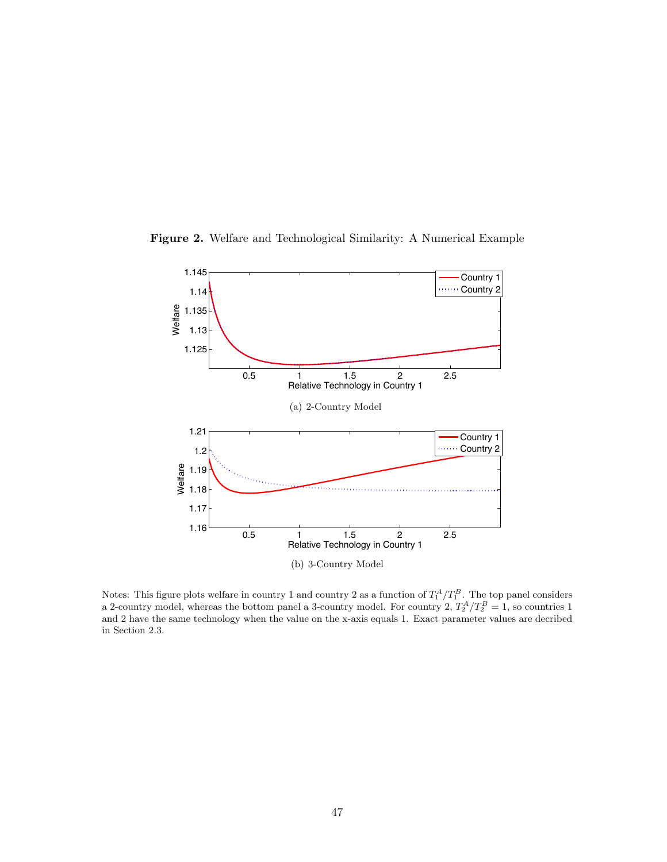

Figure 2. Welfare and Technological Similarity: A Numerical Example

Notes: This figure plots welfare in country 1 and country 2 as a function of  $T_1^A/T_1^B$ . The top panel considers a 2-country model, whereas the bottom panel a 3-country model. For country  $2, T_2^A/T_2^B = 1$ , so countries 1 and 2 have the same technology when the value on the x-axis equals 1. Exact parameter values are decribed in Section 2.3.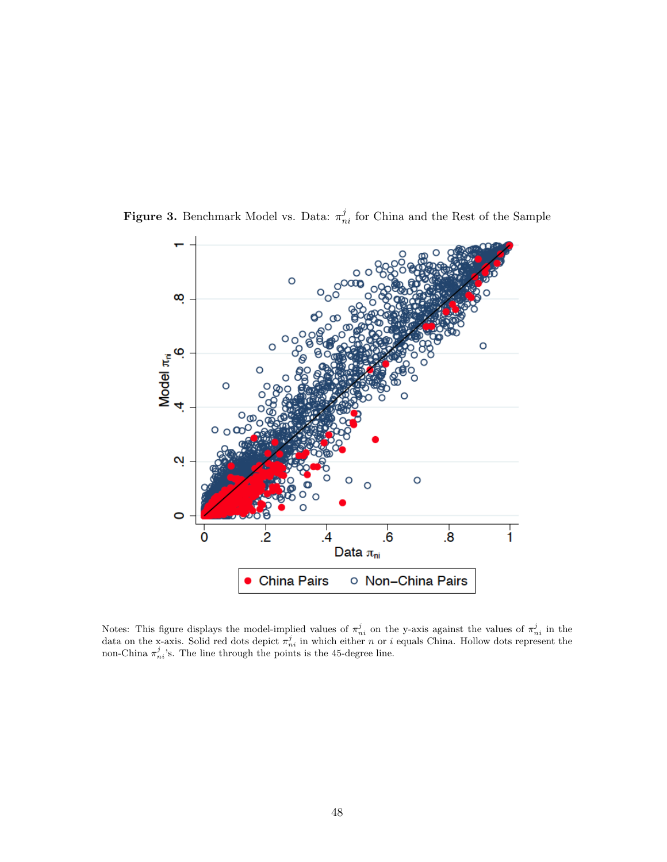

**Figure 3.** Benchmark Model vs. Data:  $\pi_{ni}^j$  for China and the Rest of the Sample

Notes: This figure displays the model-implied values of  $\pi_{ni}^j$  on the y-axis against the values of  $\pi_{ni}^j$  in the data on the x-axis. Solid red dots depict  $\pi_{ni}^j$  in which either n or i equals China. Hollow dots represent the non-China  $\pi_{ni}^j$ 's. The line through the points is the 45-degree line.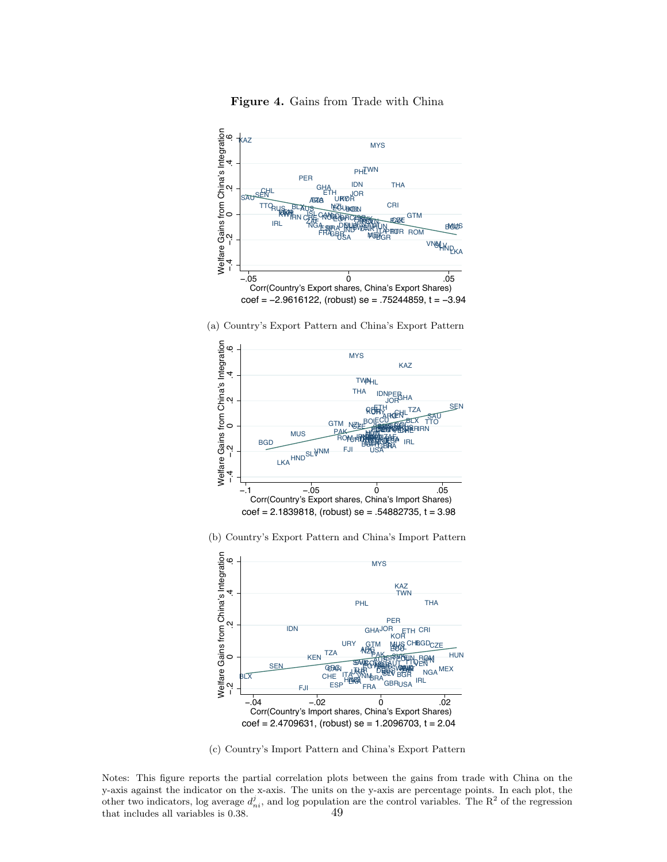

Figure 4. Gains from Trade with China

(a) Country's Export Pattern and China's Export Pattern



(b) Country's Export Pattern and China's Import Pattern



(c) Country's Import Pattern and China's Export Pattern

Notes: This figure reports the partial correlation plots between the gains from trade with China on the y-axis against the indicator on the x-axis. The units on the y-axis are percentage points. In each plot, the other two indicators, log average  $d_{ni}^j$ , and log population are the control variables. The  $\mathbb{R}^2$  of the regression that includes all variables is  $0.38$ .  $49$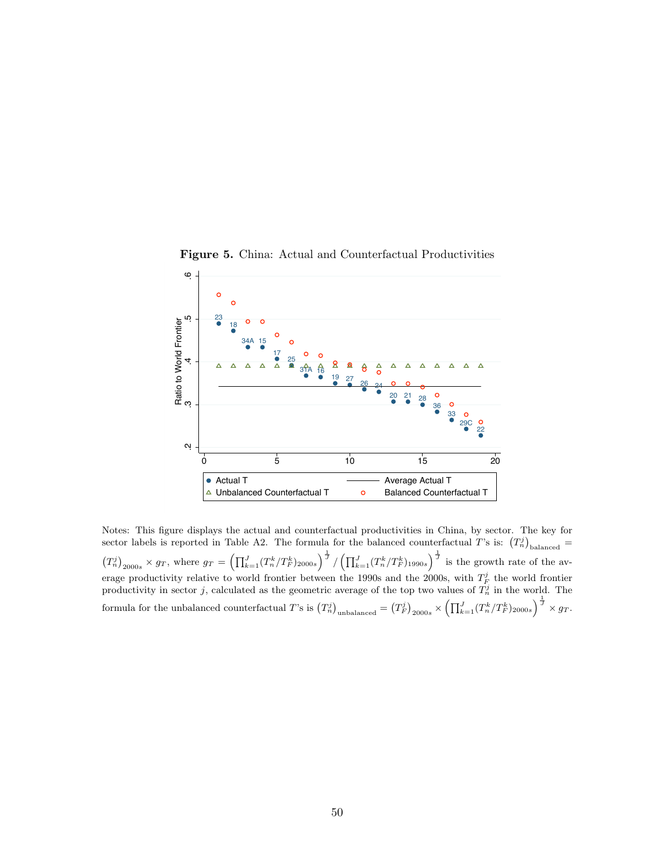

Figure 5. China: Actual and Counterfactual Productivities

Notes: This figure displays the actual and counterfactual productivities in China, by sector. The key for sector labels is reported in Table A2. The formula for the balanced counterfactual T's is:  $(T_n^j)_{\text{balanced}} =$  $(T_n^j)_{2000s} \times g_T$ , where  $g_T = \left(\prod_{k=1}^J (T_n^k / T_F^k)_{2000s}\right)^{\frac{1}{J}} / \left(\prod_{k=1}^J (T_n^k / T_F^k)_{1990s}\right)^{\frac{1}{J}}$  is the growth rate of the average productivity relative to world frontier between the 1990s and the 2000s, with  $T_F^j$  the world frontier productivity in sector j, calculated as the geometric average of the top two values of  $T_n^j$  in the world. The formula for the unbalanced counterfactual T's is  $(T_n^j)_{\text{unbalanced}} = (T_F^j)_{2000s} \times \left(\prod_{k=1}^J (T_n^k / T_F^k)_{2000s}\right)^{\frac{1}{J}} \times g_T$ .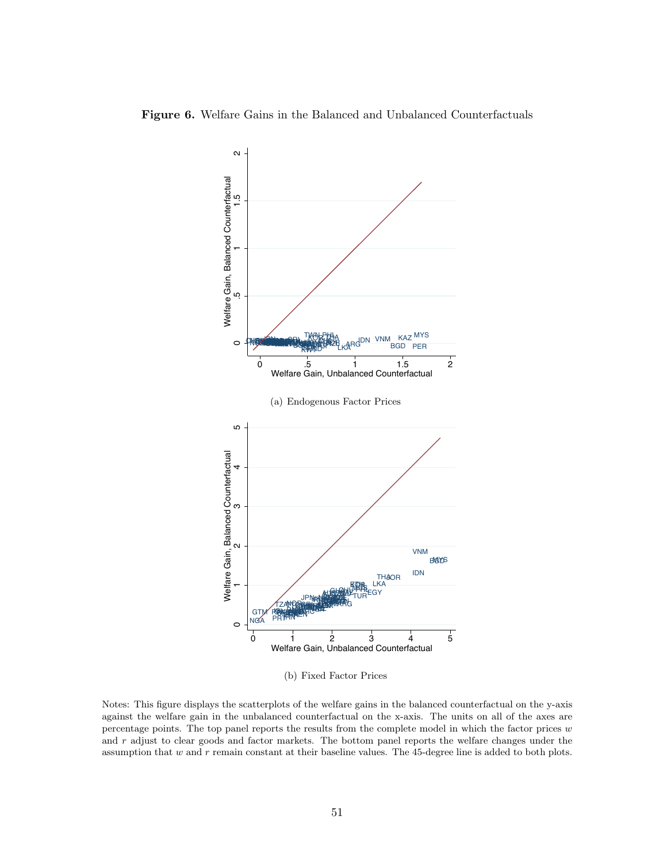

Figure 6. Welfare Gains in the Balanced and Unbalanced Counterfactuals

(b) Fixed Factor Prices

Notes: This figure displays the scatterplots of the welfare gains in the balanced counterfactual on the y-axis against the welfare gain in the unbalanced counterfactual on the x-axis. The units on all of the axes are percentage points. The top panel reports the results from the complete model in which the factor prices  $w$ and r adjust to clear goods and factor markets. The bottom panel reports the welfare changes under the assumption that  $w$  and  $r$  remain constant at their baseline values. The 45-degree line is added to both plots.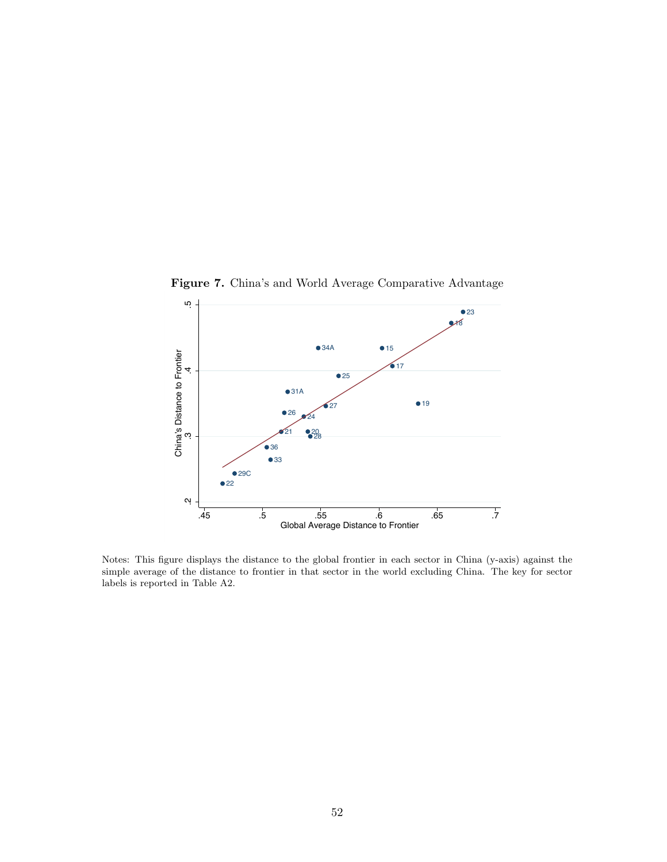

Figure 7. China's and World Average Comparative Advantage

Notes: This figure displays the distance to the global frontier in each sector in China (y-axis) against the simple average of the distance to frontier in that sector in the world excluding China. The key for sector labels is reported in Table A2.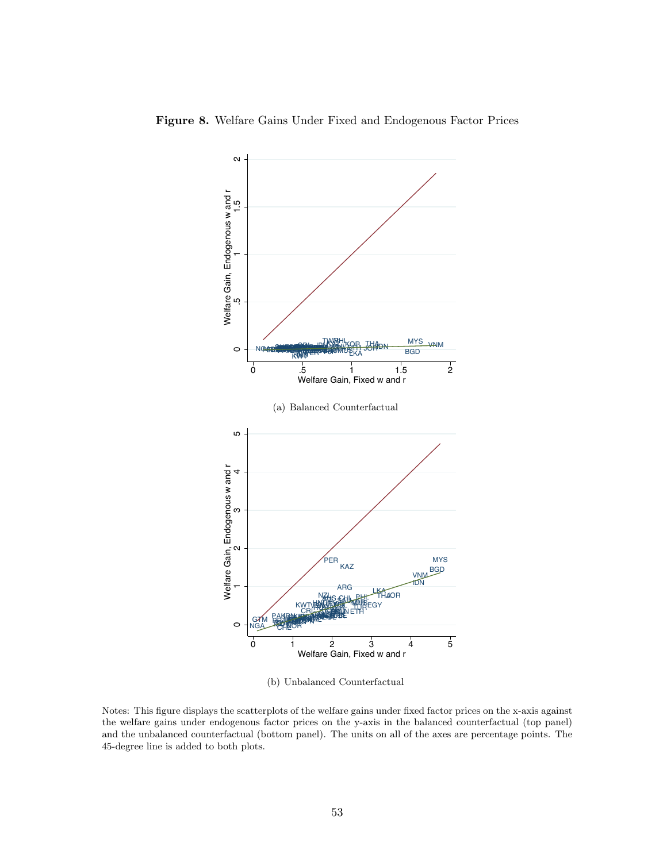

Figure 8. Welfare Gains Under Fixed and Endogenous Factor Prices

(b) Unbalanced Counterfactual

Notes: This figure displays the scatterplots of the welfare gains under fixed factor prices on the x-axis against the welfare gains under endogenous factor prices on the y-axis in the balanced counterfactual (top panel) and the unbalanced counterfactual (bottom panel). The units on all of the axes are percentage points. The 45-degree line is added to both plots.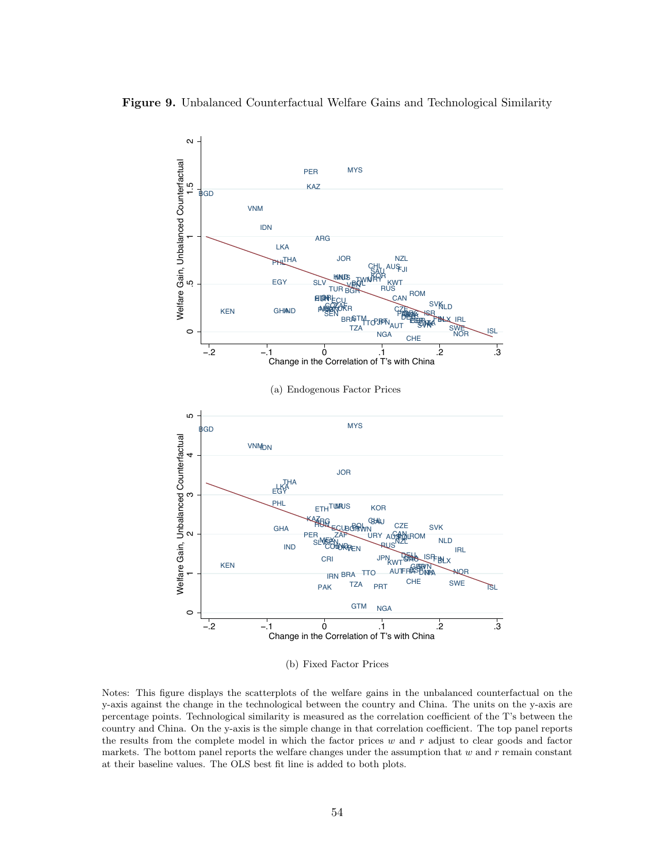

Figure 9. Unbalanced Counterfactual Welfare Gains and Technological Similarity

(b) Fixed Factor Prices

Notes: This figure displays the scatterplots of the welfare gains in the unbalanced counterfactual on the y-axis against the change in the technological between the country and China. The units on the y-axis are percentage points. Technological similarity is measured as the correlation coefficient of the T's between the country and China. On the y-axis is the simple change in that correlation coefficient. The top panel reports the results from the complete model in which the factor prices  $w$  and  $r$  adjust to clear goods and factor markets. The bottom panel reports the welfare changes under the assumption that  $w$  and  $r$  remain constant at their baseline values. The OLS best fit line is added to both plots.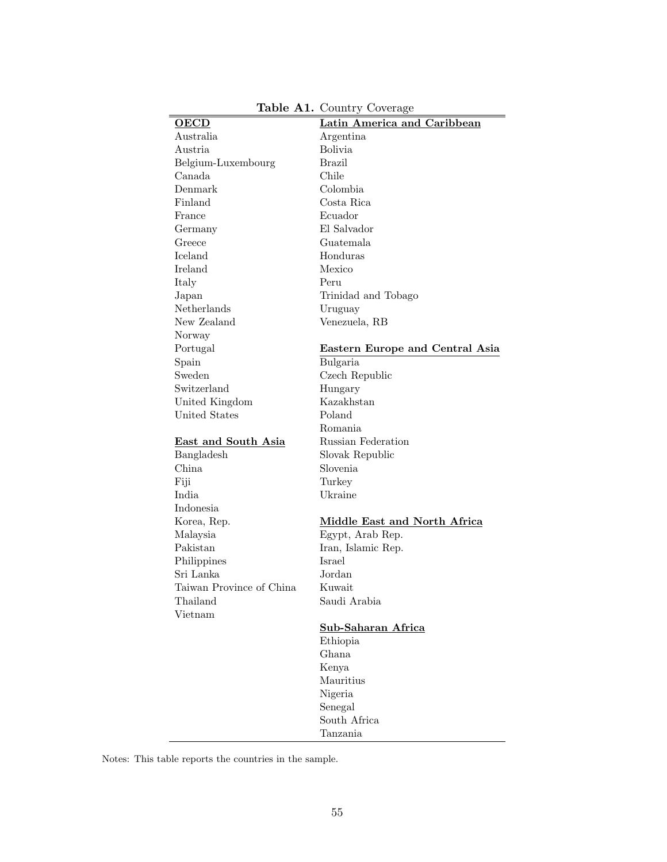| <b>OECD</b>              | Latin America and Caribbean     |
|--------------------------|---------------------------------|
| Australia                | Argentina                       |
| Austria                  | <b>Bolivia</b>                  |
| Belgium-Luxembourg       | <b>Brazil</b>                   |
| Canada                   | Chile                           |
| Denmark                  | Colombia                        |
| Finland                  | Costa Rica                      |
| France                   | Ecuador                         |
| Germany                  | El Salvador                     |
| Greece                   | Guatemala                       |
| Iceland                  | Honduras                        |
| Ireland                  | Mexico                          |
| Italy                    | Peru                            |
| Japan                    | Trinidad and Tobago             |
| Netherlands              | Uruguay                         |
| New Zealand              | Venezuela, RB                   |
| Norway                   |                                 |
| Portugal                 | Eastern Europe and Central Asia |
| Spain                    | Bulgaria                        |
| Sweden                   | Czech Republic                  |
| Switzerland              | Hungary                         |
| United Kingdom           | Kazakhstan                      |
| United States            | Poland                          |
|                          | Romania                         |
| East and South Asia      | Russian Federation              |
| Bangladesh               | Slovak Republic                 |
| China                    | Slovenia                        |
| Fiji                     | Turkey                          |
| India                    | Ukraine                         |
| Indonesia                |                                 |
| Korea, Rep.              | Middle East and North Africa    |
| Malaysia                 | Egypt, Arab Rep.                |
| Pakistan                 | Iran, Islamic Rep.              |
| Philippines              | Israel                          |
| Sri Lanka                | Jordan                          |
| Taiwan Province of China | Kuwait                          |
| Thailand                 | Saudi Arabia                    |
| Vietnam                  |                                 |
|                          | Sub-Saharan Africa              |
|                          | Ethiopia                        |
|                          | Ghana                           |
|                          | Kenya                           |
|                          | Mauritius                       |
|                          | Nigeria                         |
|                          | Senegal                         |
|                          | South Africa                    |
|                          | Tanzania                        |

Table A1. Country Coverage

Notes: This table reports the countries in the sample.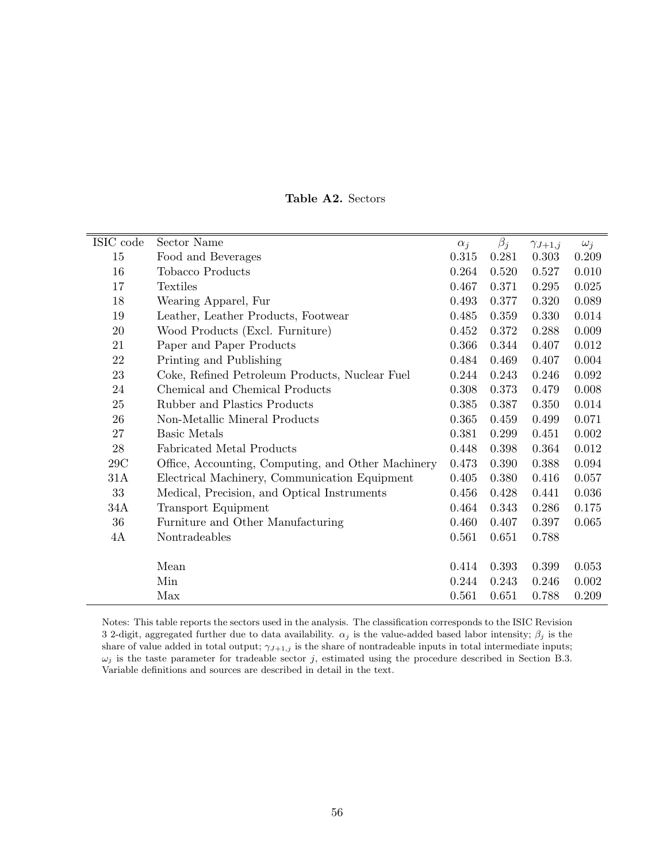| ISIC code      | Sector Name                                        | $\alpha_j$ | $\beta_j$ | $\gamma_{J+1,j}$ | $\omega_i$ |
|----------------|----------------------------------------------------|------------|-----------|------------------|------------|
| 15             | Food and Beverages                                 | 0.315      | 0.281     | 0.303            | 0.209      |
| 16             | <b>Tobacco Products</b>                            | 0.264      | 0.520     | 0.527            | 0.010      |
| 17             | <b>Textiles</b>                                    | 0.467      | 0.371     | 0.295            | 0.025      |
| 18             | Wearing Apparel, Fur                               | 0.493      | 0.377     | 0.320            | 0.089      |
| 19             | Leather, Leather Products, Footwear                | 0.485      | 0.359     | 0.330            | 0.014      |
| $20\,$         | Wood Products (Excl. Furniture)                    | 0.452      | 0.372     | 0.288            | 0.009      |
| 21             | Paper and Paper Products                           | 0.366      | 0.344     | 0.407            | 0.012      |
| 22             | Printing and Publishing                            | 0.484      | 0.469     | 0.407            | 0.004      |
| 23             | Coke, Refined Petroleum Products, Nuclear Fuel     | 0.244      | 0.243     | 0.246            | 0.092      |
| 24             | Chemical and Chemical Products                     | 0.308      | 0.373     | 0.479            | 0.008      |
| $25\,$         | Rubber and Plastics Products                       | 0.385      | 0.387     | 0.350            | 0.014      |
| $26\,$         | Non-Metallic Mineral Products                      | 0.365      | 0.459     | 0.499            | 0.071      |
| 27             | <b>Basic Metals</b>                                | 0.381      | 0.299     | 0.451            | 0.002      |
| $28\,$         | <b>Fabricated Metal Products</b>                   | 0.448      | 0.398     | 0.364            | 0.012      |
| $29\mathrm{C}$ | Office, Accounting, Computing, and Other Machinery | 0.473      | 0.390     | 0.388            | 0.094      |
| 31A            | Electrical Machinery, Communication Equipment      | 0.405      | 0.380     | 0.416            | 0.057      |
| 33             | Medical, Precision, and Optical Instruments        | 0.456      | 0.428     | 0.441            | 0.036      |
| 34A            | <b>Transport Equipment</b>                         | 0.464      | 0.343     | 0.286            | 0.175      |
| 36             | Furniture and Other Manufacturing                  | 0.460      | 0.407     | 0.397            | 0.065      |
| 4A             | Nontradeables                                      | 0.561      | 0.651     | 0.788            |            |
|                |                                                    |            |           |                  |            |
|                | Mean                                               | 0.414      | 0.393     | 0.399            | 0.053      |
|                | Min                                                | 0.244      | 0.243     | 0.246            | 0.002      |
|                | Max                                                | 0.561      | 0.651     | 0.788            | 0.209      |

Notes: This table reports the sectors used in the analysis. The classification corresponds to the ISIC Revision 3 2-digit, aggregated further due to data availability.  $\alpha_j$  is the value-added based labor intensity;  $\beta_j$  is the share of value added in total output;  $\gamma_{J+1,j}$  is the share of nontradeable inputs in total intermediate inputs;  $\omega_j$  is the taste parameter for tradeable sector j, estimated using the procedure described in Section B.3. Variable definitions and sources are described in detail in the text.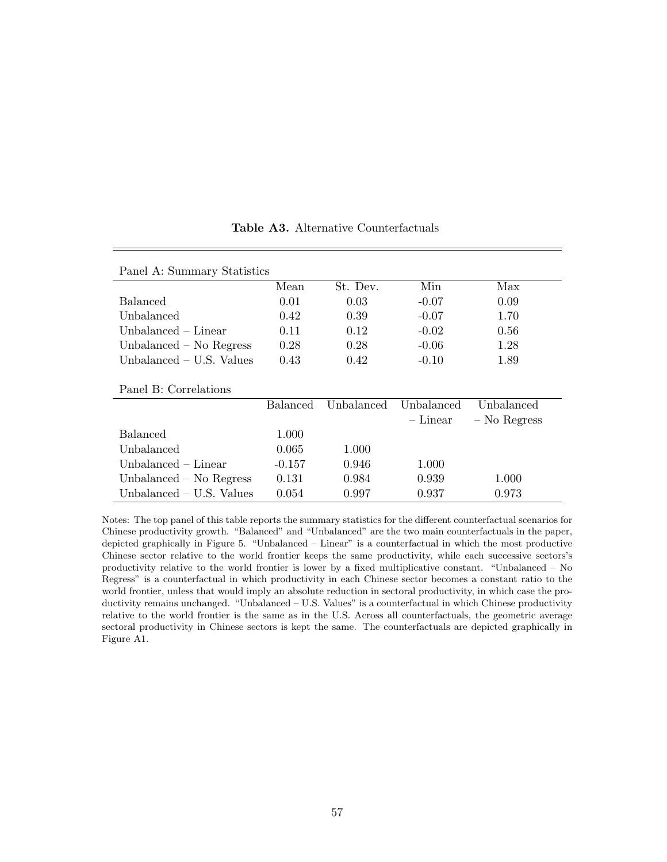| Panel A: Summary Statistics |                 |            |                       |                |  |  |  |
|-----------------------------|-----------------|------------|-----------------------|----------------|--|--|--|
|                             | Mean            | St. Dev.   | Min                   | Max            |  |  |  |
| <b>Balanced</b>             | 0.01            | 0.03       | $-0.07$               | 0.09           |  |  |  |
| Unbalanced                  | 0.42            | 0.39       | $-0.07$               | 1.70           |  |  |  |
| Unbalanced – Linear         | 0.11            | 0.12       | $-0.02$               | 0.56           |  |  |  |
| Unbalanced $-$ No Regress   | 0.28            | 0.28       | $-0.06$               | 1.28           |  |  |  |
| Unbalanced – U.S. Values    | 0.43            | 0.42       | $-0.10$               | 1.89           |  |  |  |
|                             |                 |            |                       |                |  |  |  |
| Panel B: Correlations       |                 |            |                       |                |  |  |  |
|                             | <b>Balanced</b> | Unbalanced | Unbalanced            | Unbalanced     |  |  |  |
|                             |                 |            | $\overline{-}$ Linear | $-$ No Regress |  |  |  |
| <b>Balanced</b>             | 1.000           |            |                       |                |  |  |  |
| Unbalanced                  | 0.065           | 1.000      |                       |                |  |  |  |
| Unbalanced – Linear         | $-0.157$        | 0.946      | 1.000                 |                |  |  |  |
| Unbalanced $-$ No Regress   | 0.131           | 0.984      | 0.939                 | 1.000          |  |  |  |
| Unbalanced – U.S. Values    | 0.054           | 0.997      | 0.937                 | 0.973          |  |  |  |

Table A3. Alternative Counterfactuals

Notes: The top panel of this table reports the summary statistics for the different counterfactual scenarios for Chinese productivity growth. "Balanced" and "Unbalanced" are the two main counterfactuals in the paper, depicted graphically in Figure 5. "Unbalanced – Linear" is a counterfactual in which the most productive Chinese sector relative to the world frontier keeps the same productivity, while each successive sectors's productivity relative to the world frontier is lower by a fixed multiplicative constant. "Unbalanced – No Regress" is a counterfactual in which productivity in each Chinese sector becomes a constant ratio to the world frontier, unless that would imply an absolute reduction in sectoral productivity, in which case the productivity remains unchanged. "Unbalanced – U.S. Values" is a counterfactual in which Chinese productivity relative to the world frontier is the same as in the U.S. Across all counterfactuals, the geometric average sectoral productivity in Chinese sectors is kept the same. The counterfactuals are depicted graphically in Figure A1.